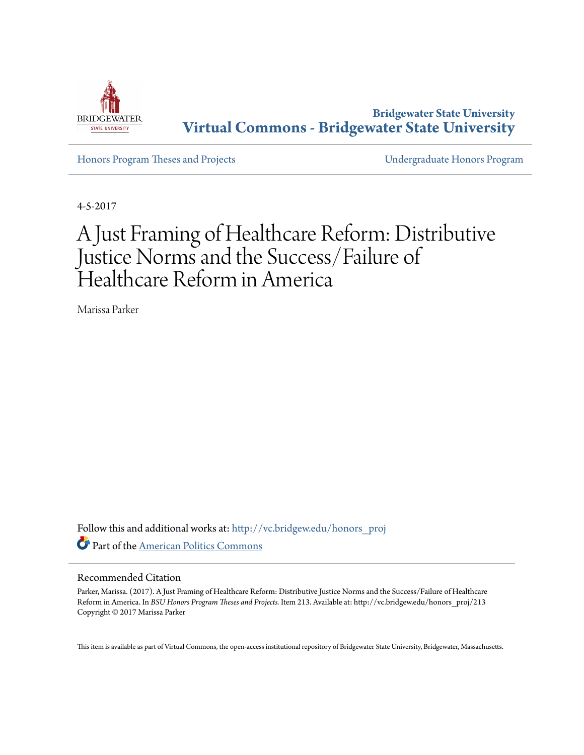

**Bridgewater State University [Virtual Commons - Bridgewater State University](http://vc.bridgew.edu?utm_source=vc.bridgew.edu%2Fhonors_proj%2F213&utm_medium=PDF&utm_campaign=PDFCoverPages)**

[Honors Program Theses and Projects](http://vc.bridgew.edu/honors_proj?utm_source=vc.bridgew.edu%2Fhonors_proj%2F213&utm_medium=PDF&utm_campaign=PDFCoverPages) [Undergraduate Honors Program](http://vc.bridgew.edu/honors?utm_source=vc.bridgew.edu%2Fhonors_proj%2F213&utm_medium=PDF&utm_campaign=PDFCoverPages)

4-5-2017

# A Just Framing of Healthcare Reform: Distributive Justice Norms and the Success/Failure of Healthcare Reform in America

Marissa Parker

Follow this and additional works at: [http://vc.bridgew.edu/honors\\_proj](http://vc.bridgew.edu/honors_proj?utm_source=vc.bridgew.edu%2Fhonors_proj%2F213&utm_medium=PDF&utm_campaign=PDFCoverPages) Part of the [American Politics Commons](http://network.bepress.com/hgg/discipline/387?utm_source=vc.bridgew.edu%2Fhonors_proj%2F213&utm_medium=PDF&utm_campaign=PDFCoverPages)

## Recommended Citation

Parker, Marissa. (2017). A Just Framing of Healthcare Reform: Distributive Justice Norms and the Success/Failure of Healthcare Reform in America. In *BSU Honors Program Theses and Projects.* Item 213. Available at: http://vc.bridgew.edu/honors\_proj/213 Copyright © 2017 Marissa Parker

This item is available as part of Virtual Commons, the open-access institutional repository of Bridgewater State University, Bridgewater, Massachusetts.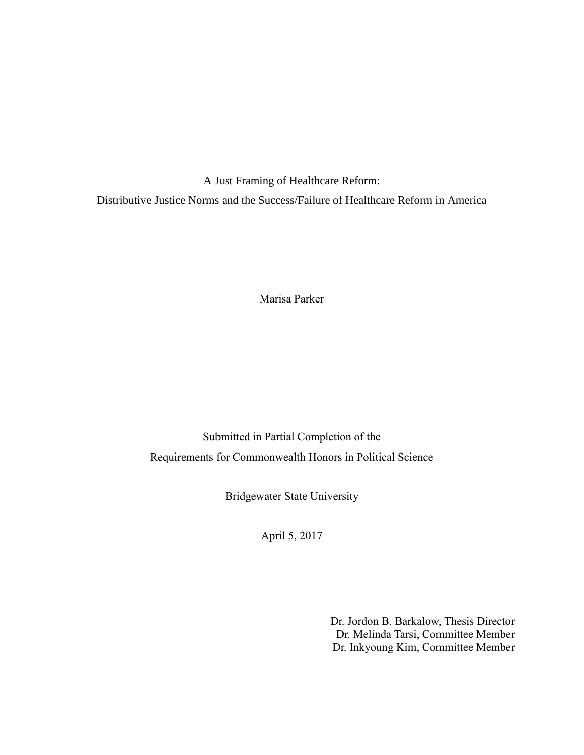A Just Framing of Healthcare Reform: Distributive Justice Norms and the Success/Failure of Healthcare Reform in America

Marisa Parker

Submitted in Partial Completion of the Requirements for Commonwealth Honors in Political Science

Bridgewater State University

April 5, 2017

Dr. Jordon B. Barkalow, Thesis Director Dr. Melinda Tarsi, Committee Member Dr. Inkyoung Kim, Committee Member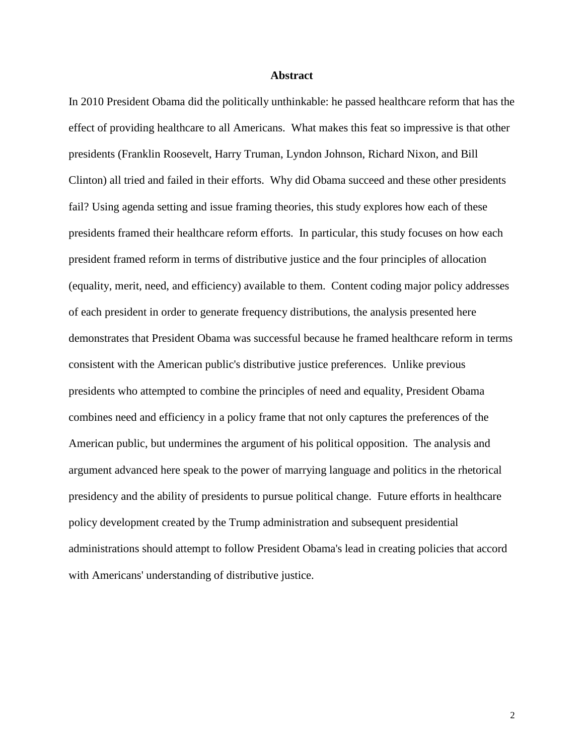## **Abstract**

In 2010 President Obama did the politically unthinkable: he passed healthcare reform that has the effect of providing healthcare to all Americans. What makes this feat so impressive is that other presidents (Franklin Roosevelt, Harry Truman, Lyndon Johnson, Richard Nixon, and Bill Clinton) all tried and failed in their efforts. Why did Obama succeed and these other presidents fail? Using agenda setting and issue framing theories, this study explores how each of these presidents framed their healthcare reform efforts. In particular, this study focuses on how each president framed reform in terms of distributive justice and the four principles of allocation (equality, merit, need, and efficiency) available to them. Content coding major policy addresses of each president in order to generate frequency distributions, the analysis presented here demonstrates that President Obama was successful because he framed healthcare reform in terms consistent with the American public's distributive justice preferences. Unlike previous presidents who attempted to combine the principles of need and equality, President Obama combines need and efficiency in a policy frame that not only captures the preferences of the American public, but undermines the argument of his political opposition. The analysis and argument advanced here speak to the power of marrying language and politics in the rhetorical presidency and the ability of presidents to pursue political change. Future efforts in healthcare policy development created by the Trump administration and subsequent presidential administrations should attempt to follow President Obama's lead in creating policies that accord with Americans' understanding of distributive justice.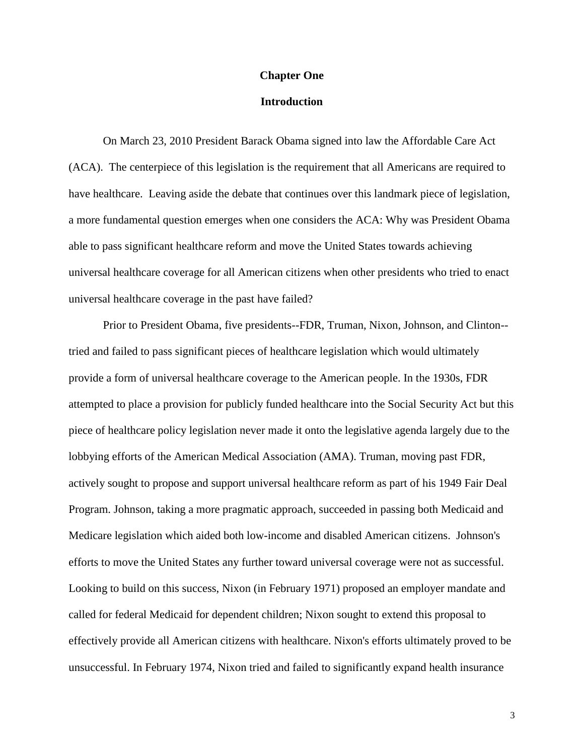#### **Chapter One**

## **Introduction**

On March 23, 2010 President Barack Obama signed into law the Affordable Care Act (ACA). The centerpiece of this legislation is the requirement that all Americans are required to have healthcare. Leaving aside the debate that continues over this landmark piece of legislation, a more fundamental question emerges when one considers the ACA: Why was President Obama able to pass significant healthcare reform and move the United States towards achieving universal healthcare coverage for all American citizens when other presidents who tried to enact universal healthcare coverage in the past have failed?

Prior to President Obama, five presidents--FDR, Truman, Nixon, Johnson, and Clinton- tried and failed to pass significant pieces of healthcare legislation which would ultimately provide a form of universal healthcare coverage to the American people. In the 1930s, FDR attempted to place a provision for publicly funded healthcare into the Social Security Act but this piece of healthcare policy legislation never made it onto the legislative agenda largely due to the lobbying efforts of the American Medical Association (AMA). Truman, moving past FDR, actively sought to propose and support universal healthcare reform as part of his 1949 Fair Deal Program. Johnson, taking a more pragmatic approach, succeeded in passing both Medicaid and Medicare legislation which aided both low-income and disabled American citizens. Johnson's efforts to move the United States any further toward universal coverage were not as successful. Looking to build on this success, Nixon (in February 1971) proposed an employer mandate and called for federal Medicaid for dependent children; Nixon sought to extend this proposal to effectively provide all American citizens with healthcare. Nixon's efforts ultimately proved to be unsuccessful. In February 1974, Nixon tried and failed to significantly expand health insurance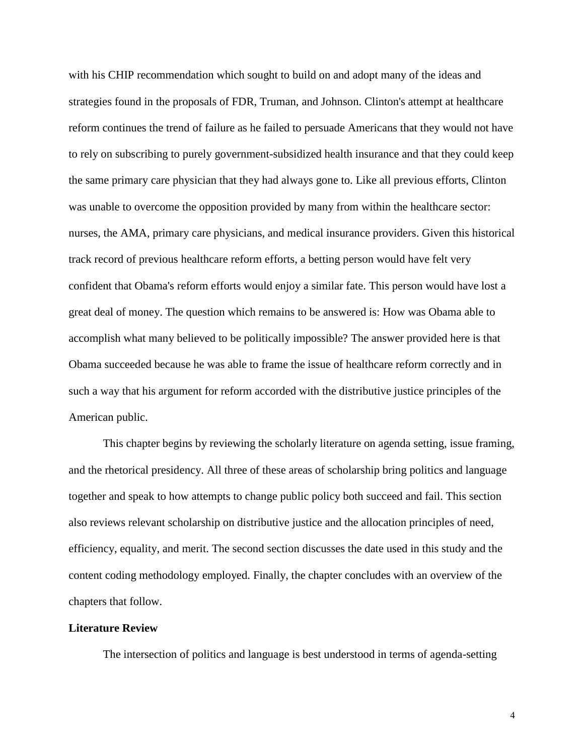with his CHIP recommendation which sought to build on and adopt many of the ideas and strategies found in the proposals of FDR, Truman, and Johnson. Clinton's attempt at healthcare reform continues the trend of failure as he failed to persuade Americans that they would not have to rely on subscribing to purely government-subsidized health insurance and that they could keep the same primary care physician that they had always gone to. Like all previous efforts, Clinton was unable to overcome the opposition provided by many from within the healthcare sector: nurses, the AMA, primary care physicians, and medical insurance providers. Given this historical track record of previous healthcare reform efforts, a betting person would have felt very confident that Obama's reform efforts would enjoy a similar fate. This person would have lost a great deal of money. The question which remains to be answered is: How was Obama able to accomplish what many believed to be politically impossible? The answer provided here is that Obama succeeded because he was able to frame the issue of healthcare reform correctly and in such a way that his argument for reform accorded with the distributive justice principles of the American public.

This chapter begins by reviewing the scholarly literature on agenda setting, issue framing, and the rhetorical presidency. All three of these areas of scholarship bring politics and language together and speak to how attempts to change public policy both succeed and fail. This section also reviews relevant scholarship on distributive justice and the allocation principles of need, efficiency, equality, and merit. The second section discusses the date used in this study and the content coding methodology employed. Finally, the chapter concludes with an overview of the chapters that follow.

#### **Literature Review**

The intersection of politics and language is best understood in terms of agenda-setting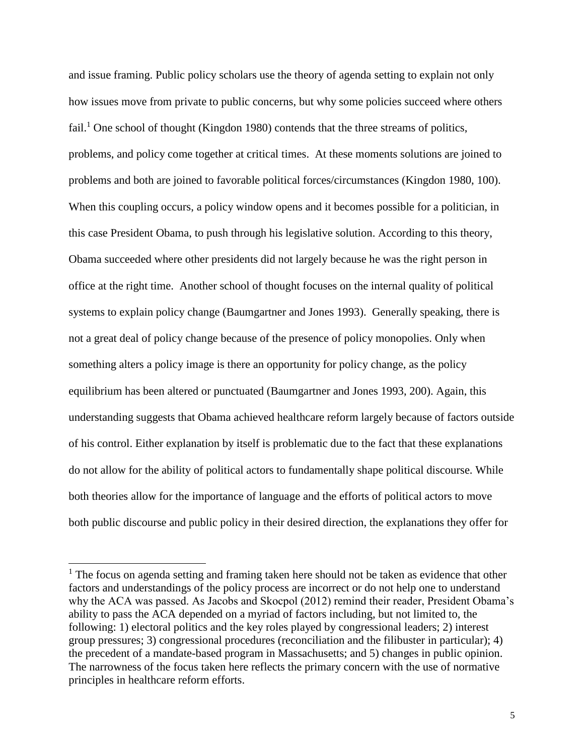and issue framing. Public policy scholars use the theory of agenda setting to explain not only how issues move from private to public concerns, but why some policies succeed where others fail.<sup>1</sup> One school of thought (Kingdon 1980) contends that the three streams of politics, problems, and policy come together at critical times. At these moments solutions are joined to problems and both are joined to favorable political forces/circumstances (Kingdon 1980, 100). When this coupling occurs, a policy window opens and it becomes possible for a politician, in this case President Obama, to push through his legislative solution. According to this theory, Obama succeeded where other presidents did not largely because he was the right person in office at the right time. Another school of thought focuses on the internal quality of political systems to explain policy change (Baumgartner and Jones 1993). Generally speaking, there is not a great deal of policy change because of the presence of policy monopolies. Only when something alters a policy image is there an opportunity for policy change, as the policy equilibrium has been altered or punctuated (Baumgartner and Jones 1993, 200). Again, this understanding suggests that Obama achieved healthcare reform largely because of factors outside of his control. Either explanation by itself is problematic due to the fact that these explanations do not allow for the ability of political actors to fundamentally shape political discourse. While both theories allow for the importance of language and the efforts of political actors to move both public discourse and public policy in their desired direction, the explanations they offer for

 $\overline{a}$ 

 $<sup>1</sup>$  The focus on agenda setting and framing taken here should not be taken as evidence that other</sup> factors and understandings of the policy process are incorrect or do not help one to understand why the ACA was passed. As Jacobs and Skocpol (2012) remind their reader, President Obama's ability to pass the ACA depended on a myriad of factors including, but not limited to, the following: 1) electoral politics and the key roles played by congressional leaders; 2) interest group pressures; 3) congressional procedures (reconciliation and the filibuster in particular); 4) the precedent of a mandate-based program in Massachusetts; and 5) changes in public opinion. The narrowness of the focus taken here reflects the primary concern with the use of normative principles in healthcare reform efforts.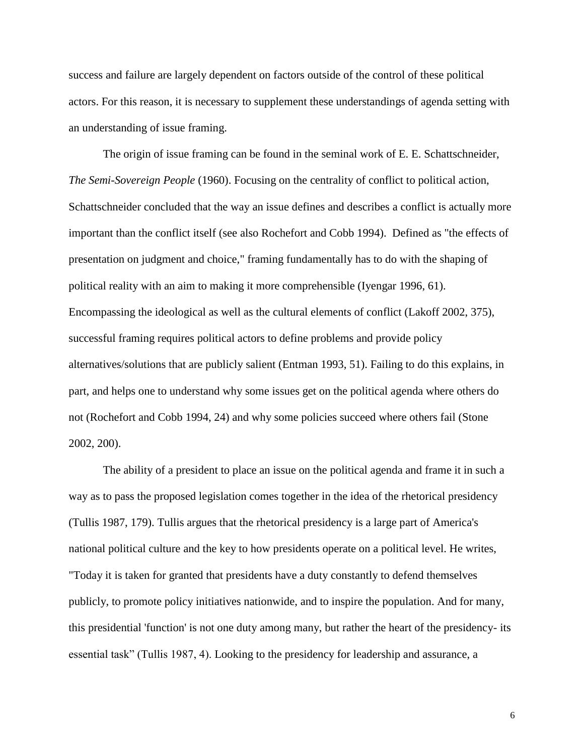success and failure are largely dependent on factors outside of the control of these political actors. For this reason, it is necessary to supplement these understandings of agenda setting with an understanding of issue framing.

The origin of issue framing can be found in the seminal work of E. E. Schattschneider, *The Semi-Sovereign People* (1960). Focusing on the centrality of conflict to political action, Schattschneider concluded that the way an issue defines and describes a conflict is actually more important than the conflict itself (see also Rochefort and Cobb 1994). Defined as "the effects of presentation on judgment and choice," framing fundamentally has to do with the shaping of political reality with an aim to making it more comprehensible (Iyengar 1996, 61). Encompassing the ideological as well as the cultural elements of conflict (Lakoff 2002, 375), successful framing requires political actors to define problems and provide policy alternatives/solutions that are publicly salient (Entman 1993, 51). Failing to do this explains, in part, and helps one to understand why some issues get on the political agenda where others do not (Rochefort and Cobb 1994, 24) and why some policies succeed where others fail (Stone 2002, 200).

The ability of a president to place an issue on the political agenda and frame it in such a way as to pass the proposed legislation comes together in the idea of the rhetorical presidency (Tullis 1987, 179). Tullis argues that the rhetorical presidency is a large part of America's national political culture and the key to how presidents operate on a political level. He writes, "Today it is taken for granted that presidents have a duty constantly to defend themselves publicly, to promote policy initiatives nationwide, and to inspire the population. And for many, this presidential 'function' is not one duty among many, but rather the heart of the presidency- its essential task" (Tullis 1987, 4). Looking to the presidency for leadership and assurance, a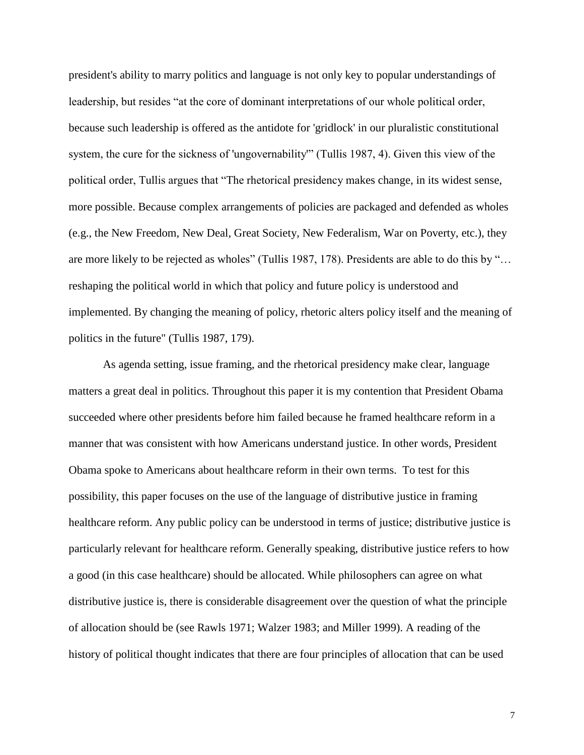president's ability to marry politics and language is not only key to popular understandings of leadership, but resides "at the core of dominant interpretations of our whole political order, because such leadership is offered as the antidote for 'gridlock' in our pluralistic constitutional system, the cure for the sickness of 'ungovernability'" (Tullis 1987, 4). Given this view of the political order, Tullis argues that "The rhetorical presidency makes change, in its widest sense, more possible. Because complex arrangements of policies are packaged and defended as wholes (e.g., the New Freedom, New Deal, Great Society, New Federalism, War on Poverty, etc.), they are more likely to be rejected as wholes" (Tullis 1987, 178). Presidents are able to do this by "… reshaping the political world in which that policy and future policy is understood and implemented. By changing the meaning of policy, rhetoric alters policy itself and the meaning of politics in the future" (Tullis 1987, 179).

As agenda setting, issue framing, and the rhetorical presidency make clear, language matters a great deal in politics. Throughout this paper it is my contention that President Obama succeeded where other presidents before him failed because he framed healthcare reform in a manner that was consistent with how Americans understand justice. In other words, President Obama spoke to Americans about healthcare reform in their own terms. To test for this possibility, this paper focuses on the use of the language of distributive justice in framing healthcare reform. Any public policy can be understood in terms of justice; distributive justice is particularly relevant for healthcare reform. Generally speaking, distributive justice refers to how a good (in this case healthcare) should be allocated. While philosophers can agree on what distributive justice is, there is considerable disagreement over the question of what the principle of allocation should be (see Rawls 1971; Walzer 1983; and Miller 1999). A reading of the history of political thought indicates that there are four principles of allocation that can be used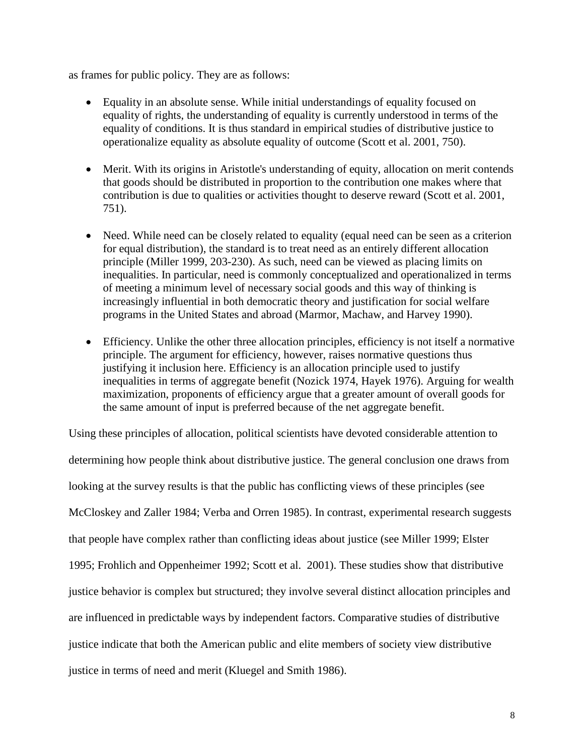as frames for public policy. They are as follows:

- Equality in an absolute sense. While initial understandings of equality focused on equality of rights, the understanding of equality is currently understood in terms of the equality of conditions. It is thus standard in empirical studies of distributive justice to operationalize equality as absolute equality of outcome (Scott et al. 2001, 750).
- Merit. With its origins in Aristotle's understanding of equity, allocation on merit contends that goods should be distributed in proportion to the contribution one makes where that contribution is due to qualities or activities thought to deserve reward (Scott et al. 2001, 751).
- Need. While need can be closely related to equality (equal need can be seen as a criterion for equal distribution), the standard is to treat need as an entirely different allocation principle (Miller 1999, 203-230). As such, need can be viewed as placing limits on inequalities. In particular, need is commonly conceptualized and operationalized in terms of meeting a minimum level of necessary social goods and this way of thinking is increasingly influential in both democratic theory and justification for social welfare programs in the United States and abroad (Marmor, Machaw, and Harvey 1990).
- Efficiency. Unlike the other three allocation principles, efficiency is not itself a normative principle. The argument for efficiency, however, raises normative questions thus justifying it inclusion here. Efficiency is an allocation principle used to justify inequalities in terms of aggregate benefit (Nozick 1974, Hayek 1976). Arguing for wealth maximization, proponents of efficiency argue that a greater amount of overall goods for the same amount of input is preferred because of the net aggregate benefit.

Using these principles of allocation, political scientists have devoted considerable attention to determining how people think about distributive justice. The general conclusion one draws from looking at the survey results is that the public has conflicting views of these principles (see McCloskey and Zaller 1984; Verba and Orren 1985). In contrast, experimental research suggests that people have complex rather than conflicting ideas about justice (see Miller 1999; Elster 1995; Frohlich and Oppenheimer 1992; Scott et al. 2001). These studies show that distributive justice behavior is complex but structured; they involve several distinct allocation principles and are influenced in predictable ways by independent factors. Comparative studies of distributive justice indicate that both the American public and elite members of society view distributive justice in terms of need and merit (Kluegel and Smith 1986).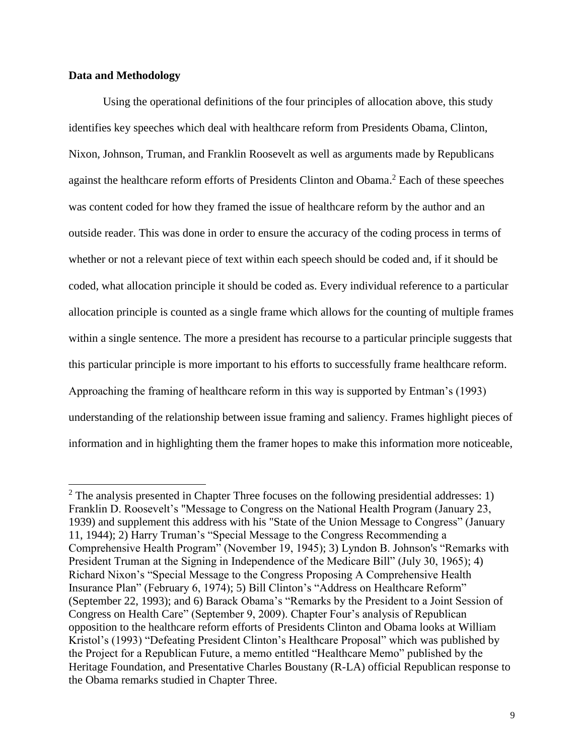## **Data and Methodology**

 $\overline{a}$ 

Using the operational definitions of the four principles of allocation above, this study identifies key speeches which deal with healthcare reform from Presidents Obama, Clinton, Nixon, Johnson, Truman, and Franklin Roosevelt as well as arguments made by Republicans against the healthcare reform efforts of Presidents Clinton and Obama. <sup>2</sup> Each of these speeches was content coded for how they framed the issue of healthcare reform by the author and an outside reader. This was done in order to ensure the accuracy of the coding process in terms of whether or not a relevant piece of text within each speech should be coded and, if it should be coded, what allocation principle it should be coded as. Every individual reference to a particular allocation principle is counted as a single frame which allows for the counting of multiple frames within a single sentence. The more a president has recourse to a particular principle suggests that this particular principle is more important to his efforts to successfully frame healthcare reform. Approaching the framing of healthcare reform in this way is supported by Entman's (1993) understanding of the relationship between issue framing and saliency. Frames highlight pieces of information and in highlighting them the framer hopes to make this information more noticeable,

 $2$  The analysis presented in Chapter Three focuses on the following presidential addresses: 1) Franklin D. Roosevelt's "Message to Congress on the National Health Program (January 23, 1939) and supplement this address with his "State of the Union Message to Congress" (January 11, 1944); 2) Harry Truman's "Special Message to the Congress Recommending a Comprehensive Health Program" (November 19, 1945); 3) Lyndon B. Johnson's "Remarks with President Truman at the Signing in Independence of the Medicare Bill" (July 30, 1965); 4) Richard Nixon's "Special Message to the Congress Proposing A Comprehensive Health Insurance Plan" (February 6, 1974); 5) Bill Clinton's "Address on Healthcare Reform" (September 22, 1993); and 6) Barack Obama's "Remarks by the President to a Joint Session of Congress on Health Care" (September 9, 2009). Chapter Four's analysis of Republican opposition to the healthcare reform efforts of Presidents Clinton and Obama looks at William Kristol's (1993) "Defeating President Clinton's Healthcare Proposal" which was published by the Project for a Republican Future, a memo entitled "Healthcare Memo" published by the Heritage Foundation, and Presentative Charles Boustany (R-LA) official Republican response to the Obama remarks studied in Chapter Three.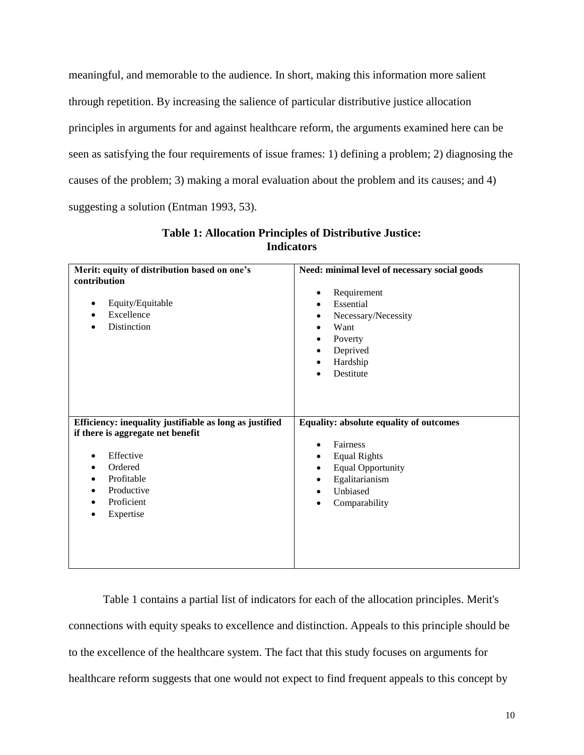meaningful, and memorable to the audience. In short, making this information more salient through repetition. By increasing the salience of particular distributive justice allocation principles in arguments for and against healthcare reform, the arguments examined here can be seen as satisfying the four requirements of issue frames: 1) defining a problem; 2) diagnosing the causes of the problem; 3) making a moral evaluation about the problem and its causes; and 4) suggesting a solution (Entman 1993, 53).

| Merit: equity of distribution based on one's            | Need: minimal level of necessary social goods |
|---------------------------------------------------------|-----------------------------------------------|
| contribution                                            |                                               |
|                                                         | Requirement<br>٠                              |
| Equity/Equitable<br>٠                                   | Essential<br>٠                                |
| Excellence<br>٠                                         | Necessary/Necessity<br>٠                      |
| Distinction                                             | Want<br>٠                                     |
|                                                         | Poverty<br>٠                                  |
|                                                         | Deprived<br>٠                                 |
|                                                         | Hardship<br>٠                                 |
|                                                         | Destitute                                     |
|                                                         |                                               |
|                                                         |                                               |
|                                                         |                                               |
|                                                         |                                               |
|                                                         |                                               |
| Efficiency: inequality justifiable as long as justified | Equality: absolute equality of outcomes       |
| if there is aggregate net benefit                       |                                               |
|                                                         | Fairness<br>٠                                 |
| Effective<br>٠                                          | <b>Equal Rights</b><br>$\bullet$              |
| Ordered                                                 | <b>Equal Opportunity</b><br>$\bullet$         |
| Profitable                                              | Egalitarianism<br>٠                           |
| Productive<br>٠                                         | Unbiased<br>٠                                 |
| Proficient<br>٠                                         | Comparability<br>٠                            |
| Expertise<br>٠                                          |                                               |
|                                                         |                                               |
|                                                         |                                               |
|                                                         |                                               |

## **Table 1: Allocation Principles of Distributive Justice: Indicators**

Table 1 contains a partial list of indicators for each of the allocation principles. Merit's connections with equity speaks to excellence and distinction. Appeals to this principle should be to the excellence of the healthcare system. The fact that this study focuses on arguments for healthcare reform suggests that one would not expect to find frequent appeals to this concept by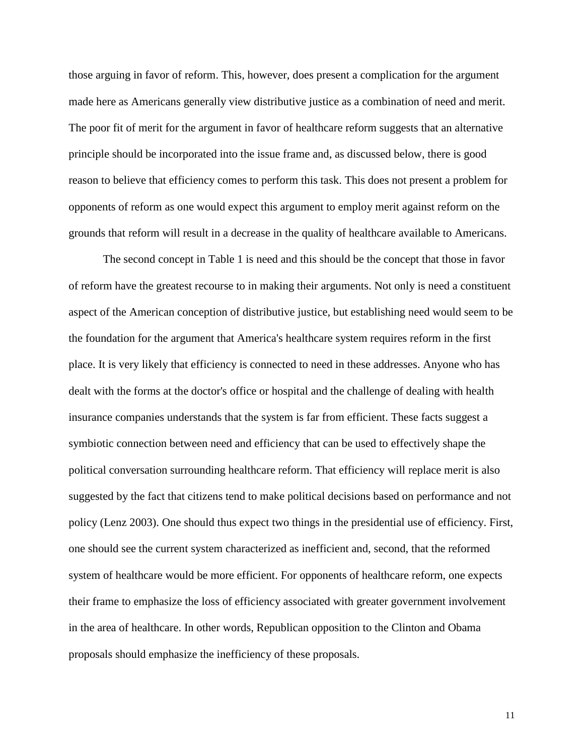those arguing in favor of reform. This, however, does present a complication for the argument made here as Americans generally view distributive justice as a combination of need and merit. The poor fit of merit for the argument in favor of healthcare reform suggests that an alternative principle should be incorporated into the issue frame and, as discussed below, there is good reason to believe that efficiency comes to perform this task. This does not present a problem for opponents of reform as one would expect this argument to employ merit against reform on the grounds that reform will result in a decrease in the quality of healthcare available to Americans.

The second concept in Table 1 is need and this should be the concept that those in favor of reform have the greatest recourse to in making their arguments. Not only is need a constituent aspect of the American conception of distributive justice, but establishing need would seem to be the foundation for the argument that America's healthcare system requires reform in the first place. It is very likely that efficiency is connected to need in these addresses. Anyone who has dealt with the forms at the doctor's office or hospital and the challenge of dealing with health insurance companies understands that the system is far from efficient. These facts suggest a symbiotic connection between need and efficiency that can be used to effectively shape the political conversation surrounding healthcare reform. That efficiency will replace merit is also suggested by the fact that citizens tend to make political decisions based on performance and not policy (Lenz 2003). One should thus expect two things in the presidential use of efficiency. First, one should see the current system characterized as inefficient and, second, that the reformed system of healthcare would be more efficient. For opponents of healthcare reform, one expects their frame to emphasize the loss of efficiency associated with greater government involvement in the area of healthcare. In other words, Republican opposition to the Clinton and Obama proposals should emphasize the inefficiency of these proposals.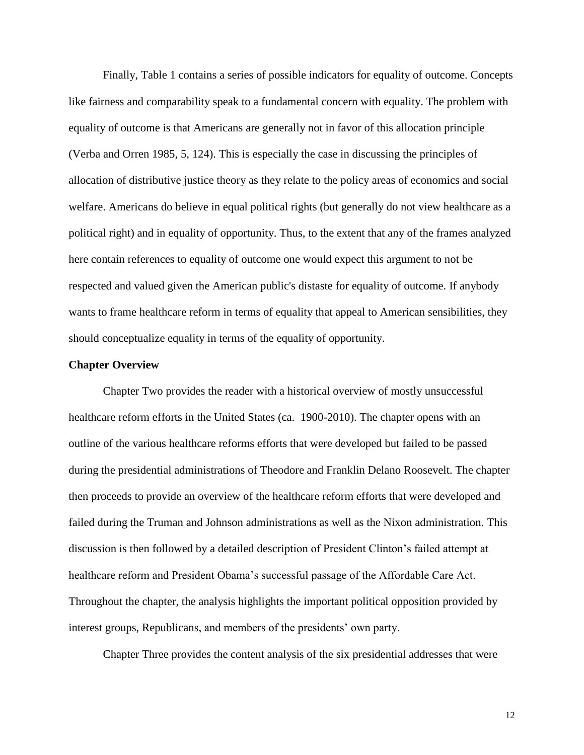Finally, Table 1 contains a series of possible indicators for equality of outcome. Concepts like fairness and comparability speak to a fundamental concern with equality. The problem with equality of outcome is that Americans are generally not in favor of this allocation principle (Verba and Orren 1985, 5, 124). This is especially the case in discussing the principles of allocation of distributive justice theory as they relate to the policy areas of economics and social welfare. Americans do believe in equal political rights (but generally do not view healthcare as a political right) and in equality of opportunity. Thus, to the extent that any of the frames analyzed here contain references to equality of outcome one would expect this argument to not be respected and valued given the American public's distaste for equality of outcome. If anybody wants to frame healthcare reform in terms of equality that appeal to American sensibilities, they should conceptualize equality in terms of the equality of opportunity.

## **Chapter Overview**

Chapter Two provides the reader with a historical overview of mostly unsuccessful healthcare reform efforts in the United States (ca. 1900-2010). The chapter opens with an outline of the various healthcare reforms efforts that were developed but failed to be passed during the presidential administrations of Theodore and Franklin Delano Roosevelt. The chapter then proceeds to provide an overview of the healthcare reform efforts that were developed and failed during the Truman and Johnson administrations as well as the Nixon administration. This discussion is then followed by a detailed description of President Clinton's failed attempt at healthcare reform and President Obama's successful passage of the Affordable Care Act. Throughout the chapter, the analysis highlights the important political opposition provided by interest groups, Republicans, and members of the presidents' own party.

Chapter Three provides the content analysis of the six presidential addresses that were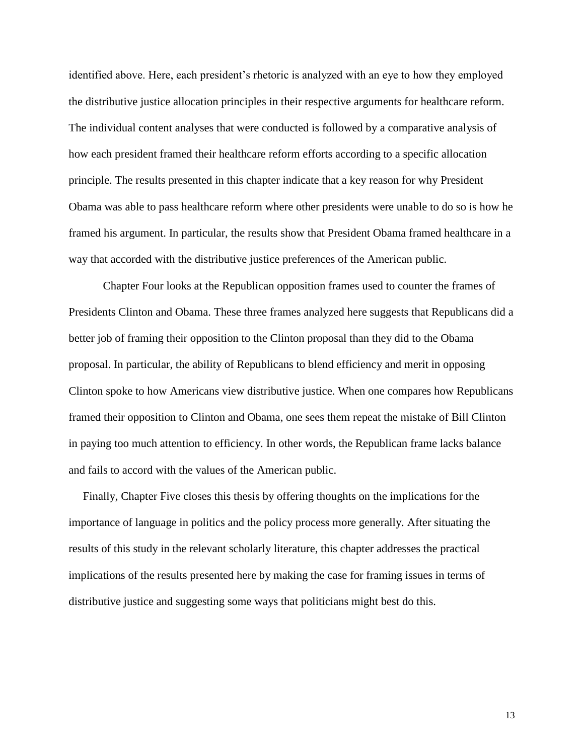identified above. Here, each president's rhetoric is analyzed with an eye to how they employed the distributive justice allocation principles in their respective arguments for healthcare reform. The individual content analyses that were conducted is followed by a comparative analysis of how each president framed their healthcare reform efforts according to a specific allocation principle. The results presented in this chapter indicate that a key reason for why President Obama was able to pass healthcare reform where other presidents were unable to do so is how he framed his argument. In particular, the results show that President Obama framed healthcare in a way that accorded with the distributive justice preferences of the American public.

Chapter Four looks at the Republican opposition frames used to counter the frames of Presidents Clinton and Obama. These three frames analyzed here suggests that Republicans did a better job of framing their opposition to the Clinton proposal than they did to the Obama proposal. In particular, the ability of Republicans to blend efficiency and merit in opposing Clinton spoke to how Americans view distributive justice. When one compares how Republicans framed their opposition to Clinton and Obama, one sees them repeat the mistake of Bill Clinton in paying too much attention to efficiency. In other words, the Republican frame lacks balance and fails to accord with the values of the American public.

 Finally, Chapter Five closes this thesis by offering thoughts on the implications for the importance of language in politics and the policy process more generally. After situating the results of this study in the relevant scholarly literature, this chapter addresses the practical implications of the results presented here by making the case for framing issues in terms of distributive justice and suggesting some ways that politicians might best do this.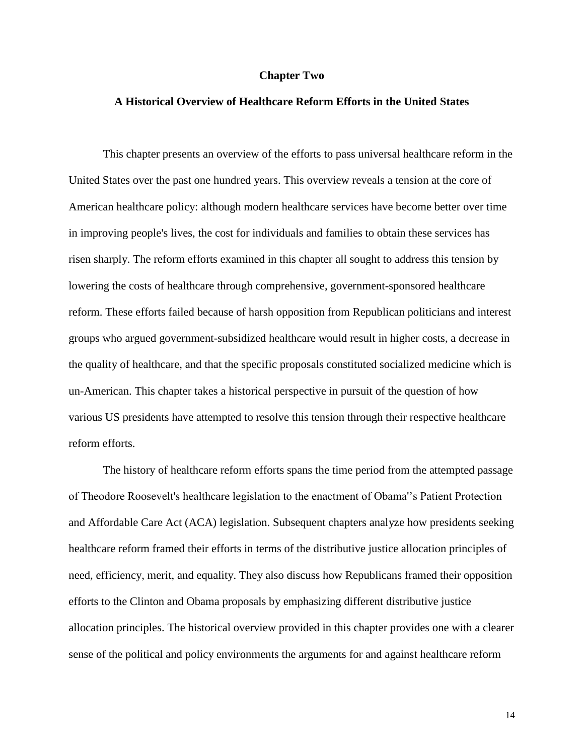#### **Chapter Two**

## **A Historical Overview of Healthcare Reform Efforts in the United States**

This chapter presents an overview of the efforts to pass universal healthcare reform in the United States over the past one hundred years. This overview reveals a tension at the core of American healthcare policy: although modern healthcare services have become better over time in improving people's lives, the cost for individuals and families to obtain these services has risen sharply. The reform efforts examined in this chapter all sought to address this tension by lowering the costs of healthcare through comprehensive, government-sponsored healthcare reform. These efforts failed because of harsh opposition from Republican politicians and interest groups who argued government-subsidized healthcare would result in higher costs, a decrease in the quality of healthcare, and that the specific proposals constituted socialized medicine which is un-American. This chapter takes a historical perspective in pursuit of the question of how various US presidents have attempted to resolve this tension through their respective healthcare reform efforts.

The history of healthcare reform efforts spans the time period from the attempted passage of Theodore Roosevelt's healthcare legislation to the enactment of Obama''s Patient Protection and Affordable Care Act (ACA) legislation. Subsequent chapters analyze how presidents seeking healthcare reform framed their efforts in terms of the distributive justice allocation principles of need, efficiency, merit, and equality. They also discuss how Republicans framed their opposition efforts to the Clinton and Obama proposals by emphasizing different distributive justice allocation principles. The historical overview provided in this chapter provides one with a clearer sense of the political and policy environments the arguments for and against healthcare reform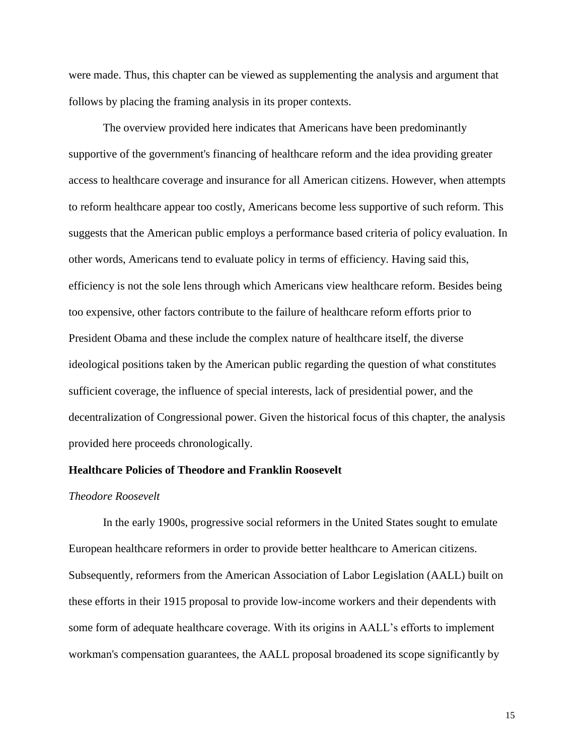were made. Thus, this chapter can be viewed as supplementing the analysis and argument that follows by placing the framing analysis in its proper contexts.

The overview provided here indicates that Americans have been predominantly supportive of the government's financing of healthcare reform and the idea providing greater access to healthcare coverage and insurance for all American citizens. However, when attempts to reform healthcare appear too costly, Americans become less supportive of such reform. This suggests that the American public employs a performance based criteria of policy evaluation. In other words, Americans tend to evaluate policy in terms of efficiency. Having said this, efficiency is not the sole lens through which Americans view healthcare reform. Besides being too expensive, other factors contribute to the failure of healthcare reform efforts prior to President Obama and these include the complex nature of healthcare itself, the diverse ideological positions taken by the American public regarding the question of what constitutes sufficient coverage, the influence of special interests, lack of presidential power, and the decentralization of Congressional power. Given the historical focus of this chapter, the analysis provided here proceeds chronologically.

## **Healthcare Policies of Theodore and Franklin Roosevelt**

#### *Theodore Roosevelt*

In the early 1900s, progressive social reformers in the United States sought to emulate European healthcare reformers in order to provide better healthcare to American citizens. Subsequently, reformers from the American Association of Labor Legislation (AALL) built on these efforts in their 1915 proposal to provide low-income workers and their dependents with some form of adequate healthcare coverage. With its origins in AALL's efforts to implement workman's compensation guarantees, the AALL proposal broadened its scope significantly by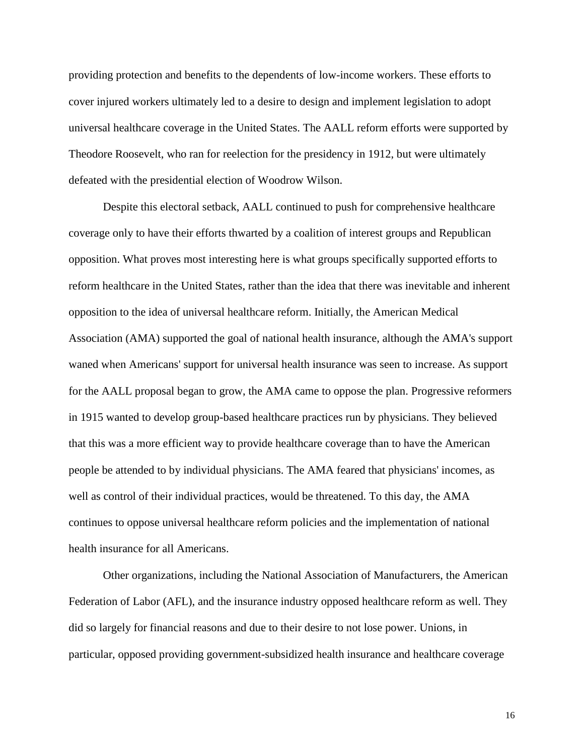providing protection and benefits to the dependents of low-income workers. These efforts to cover injured workers ultimately led to a desire to design and implement legislation to adopt universal healthcare coverage in the United States. The AALL reform efforts were supported by Theodore Roosevelt, who ran for reelection for the presidency in 1912, but were ultimately defeated with the presidential election of Woodrow Wilson.

Despite this electoral setback, AALL continued to push for comprehensive healthcare coverage only to have their efforts thwarted by a coalition of interest groups and Republican opposition. What proves most interesting here is what groups specifically supported efforts to reform healthcare in the United States, rather than the idea that there was inevitable and inherent opposition to the idea of universal healthcare reform. Initially, the American Medical Association (AMA) supported the goal of national health insurance, although the AMA's support waned when Americans' support for universal health insurance was seen to increase. As support for the AALL proposal began to grow, the AMA came to oppose the plan. Progressive reformers in 1915 wanted to develop group-based healthcare practices run by physicians. They believed that this was a more efficient way to provide healthcare coverage than to have the American people be attended to by individual physicians. The AMA feared that physicians' incomes, as well as control of their individual practices, would be threatened. To this day, the AMA continues to oppose universal healthcare reform policies and the implementation of national health insurance for all Americans.

Other organizations, including the National Association of Manufacturers, the American Federation of Labor (AFL), and the insurance industry opposed healthcare reform as well. They did so largely for financial reasons and due to their desire to not lose power. Unions, in particular, opposed providing government-subsidized health insurance and healthcare coverage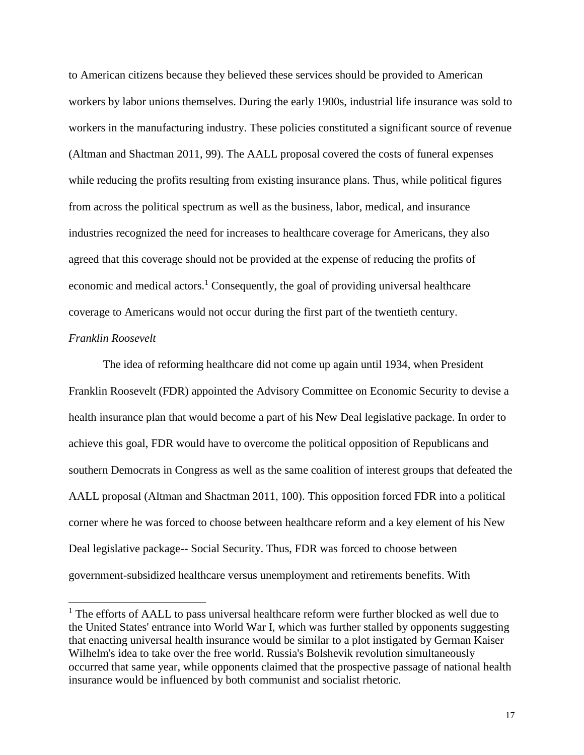to American citizens because they believed these services should be provided to American workers by labor unions themselves. During the early 1900s, industrial life insurance was sold to workers in the manufacturing industry. These policies constituted a significant source of revenue (Altman and Shactman 2011, 99). The AALL proposal covered the costs of funeral expenses while reducing the profits resulting from existing insurance plans. Thus, while political figures from across the political spectrum as well as the business, labor, medical, and insurance industries recognized the need for increases to healthcare coverage for Americans, they also agreed that this coverage should not be provided at the expense of reducing the profits of economic and medical actors.<sup>1</sup> Consequently, the goal of providing universal healthcare coverage to Americans would not occur during the first part of the twentieth century.

## *Franklin Roosevelt*

l

The idea of reforming healthcare did not come up again until 1934, when President Franklin Roosevelt (FDR) appointed the Advisory Committee on Economic Security to devise a health insurance plan that would become a part of his New Deal legislative package. In order to achieve this goal, FDR would have to overcome the political opposition of Republicans and southern Democrats in Congress as well as the same coalition of interest groups that defeated the AALL proposal (Altman and Shactman 2011, 100). This opposition forced FDR into a political corner where he was forced to choose between healthcare reform and a key element of his New Deal legislative package-- Social Security. Thus, FDR was forced to choose between government-subsidized healthcare versus unemployment and retirements benefits. With

 $<sup>1</sup>$  The efforts of AALL to pass universal healthcare reform were further blocked as well due to</sup> the United States' entrance into World War I, which was further stalled by opponents suggesting that enacting universal health insurance would be similar to a plot instigated by German Kaiser Wilhelm's idea to take over the free world. Russia's Bolshevik revolution simultaneously occurred that same year, while opponents claimed that the prospective passage of national health insurance would be influenced by both communist and socialist rhetoric.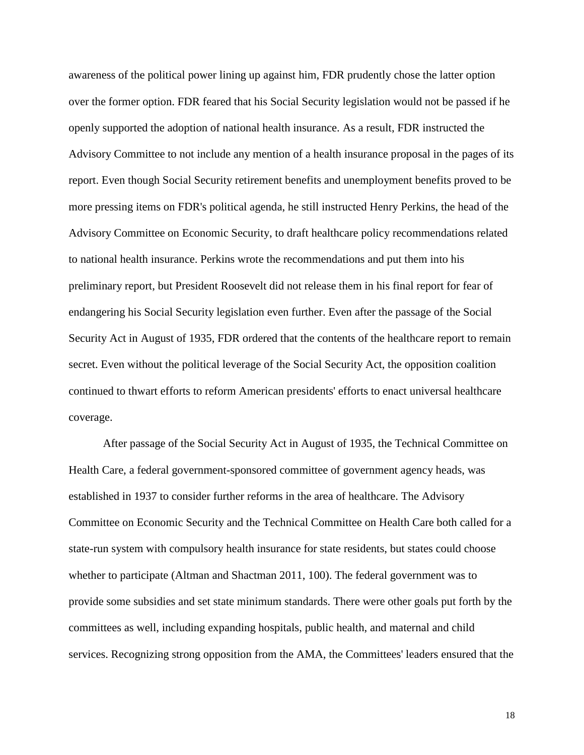awareness of the political power lining up against him, FDR prudently chose the latter option over the former option. FDR feared that his Social Security legislation would not be passed if he openly supported the adoption of national health insurance. As a result, FDR instructed the Advisory Committee to not include any mention of a health insurance proposal in the pages of its report. Even though Social Security retirement benefits and unemployment benefits proved to be more pressing items on FDR's political agenda, he still instructed Henry Perkins, the head of the Advisory Committee on Economic Security, to draft healthcare policy recommendations related to national health insurance. Perkins wrote the recommendations and put them into his preliminary report, but President Roosevelt did not release them in his final report for fear of endangering his Social Security legislation even further. Even after the passage of the Social Security Act in August of 1935, FDR ordered that the contents of the healthcare report to remain secret. Even without the political leverage of the Social Security Act, the opposition coalition continued to thwart efforts to reform American presidents' efforts to enact universal healthcare coverage.

After passage of the Social Security Act in August of 1935, the Technical Committee on Health Care, a federal government-sponsored committee of government agency heads, was established in 1937 to consider further reforms in the area of healthcare. The Advisory Committee on Economic Security and the Technical Committee on Health Care both called for a state-run system with compulsory health insurance for state residents, but states could choose whether to participate (Altman and Shactman 2011, 100). The federal government was to provide some subsidies and set state minimum standards. There were other goals put forth by the committees as well, including expanding hospitals, public health, and maternal and child services. Recognizing strong opposition from the AMA, the Committees' leaders ensured that the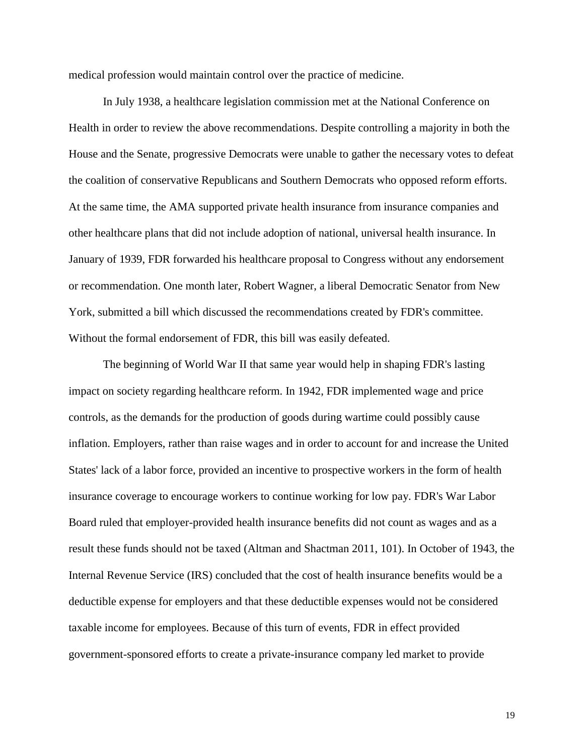medical profession would maintain control over the practice of medicine.

In July 1938, a healthcare legislation commission met at the National Conference on Health in order to review the above recommendations. Despite controlling a majority in both the House and the Senate, progressive Democrats were unable to gather the necessary votes to defeat the coalition of conservative Republicans and Southern Democrats who opposed reform efforts. At the same time, the AMA supported private health insurance from insurance companies and other healthcare plans that did not include adoption of national, universal health insurance. In January of 1939, FDR forwarded his healthcare proposal to Congress without any endorsement or recommendation. One month later, Robert Wagner, a liberal Democratic Senator from New York, submitted a bill which discussed the recommendations created by FDR's committee. Without the formal endorsement of FDR, this bill was easily defeated.

The beginning of World War II that same year would help in shaping FDR's lasting impact on society regarding healthcare reform. In 1942, FDR implemented wage and price controls, as the demands for the production of goods during wartime could possibly cause inflation. Employers, rather than raise wages and in order to account for and increase the United States' lack of a labor force, provided an incentive to prospective workers in the form of health insurance coverage to encourage workers to continue working for low pay. FDR's War Labor Board ruled that employer-provided health insurance benefits did not count as wages and as a result these funds should not be taxed (Altman and Shactman 2011, 101). In October of 1943, the Internal Revenue Service (IRS) concluded that the cost of health insurance benefits would be a deductible expense for employers and that these deductible expenses would not be considered taxable income for employees. Because of this turn of events, FDR in effect provided government-sponsored efforts to create a private-insurance company led market to provide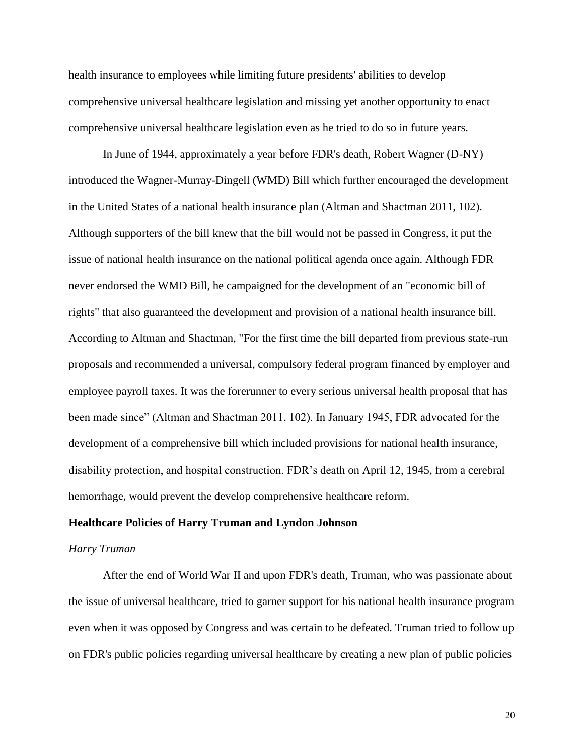health insurance to employees while limiting future presidents' abilities to develop comprehensive universal healthcare legislation and missing yet another opportunity to enact comprehensive universal healthcare legislation even as he tried to do so in future years.

In June of 1944, approximately a year before FDR's death, Robert Wagner (D-NY) introduced the Wagner-Murray-Dingell (WMD) Bill which further encouraged the development in the United States of a national health insurance plan (Altman and Shactman 2011, 102). Although supporters of the bill knew that the bill would not be passed in Congress, it put the issue of national health insurance on the national political agenda once again. Although FDR never endorsed the WMD Bill, he campaigned for the development of an "economic bill of rights" that also guaranteed the development and provision of a national health insurance bill. According to Altman and Shactman, "For the first time the bill departed from previous state-run proposals and recommended a universal, compulsory federal program financed by employer and employee payroll taxes. It was the forerunner to every serious universal health proposal that has been made since" (Altman and Shactman 2011, 102). In January 1945, FDR advocated for the development of a comprehensive bill which included provisions for national health insurance, disability protection, and hospital construction. FDR's death on April 12, 1945, from a cerebral hemorrhage, would prevent the develop comprehensive healthcare reform.

#### **Healthcare Policies of Harry Truman and Lyndon Johnson**

## *Harry Truman*

After the end of World War II and upon FDR's death, Truman, who was passionate about the issue of universal healthcare, tried to garner support for his national health insurance program even when it was opposed by Congress and was certain to be defeated. Truman tried to follow up on FDR's public policies regarding universal healthcare by creating a new plan of public policies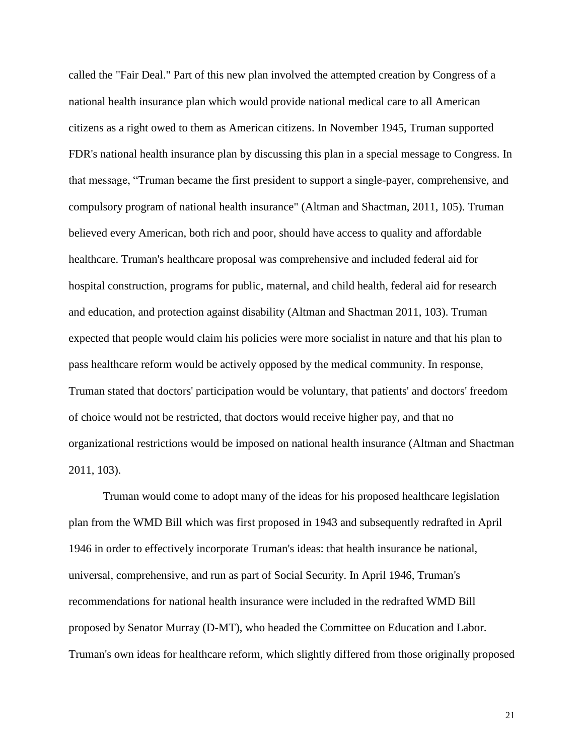called the "Fair Deal." Part of this new plan involved the attempted creation by Congress of a national health insurance plan which would provide national medical care to all American citizens as a right owed to them as American citizens. In November 1945, Truman supported FDR's national health insurance plan by discussing this plan in a special message to Congress. In that message, "Truman became the first president to support a single-payer, comprehensive, and compulsory program of national health insurance" (Altman and Shactman, 2011, 105). Truman believed every American, both rich and poor, should have access to quality and affordable healthcare. Truman's healthcare proposal was comprehensive and included federal aid for hospital construction, programs for public, maternal, and child health, federal aid for research and education, and protection against disability (Altman and Shactman 2011, 103). Truman expected that people would claim his policies were more socialist in nature and that his plan to pass healthcare reform would be actively opposed by the medical community. In response, Truman stated that doctors' participation would be voluntary, that patients' and doctors' freedom of choice would not be restricted, that doctors would receive higher pay, and that no organizational restrictions would be imposed on national health insurance (Altman and Shactman 2011, 103).

Truman would come to adopt many of the ideas for his proposed healthcare legislation plan from the WMD Bill which was first proposed in 1943 and subsequently redrafted in April 1946 in order to effectively incorporate Truman's ideas: that health insurance be national, universal, comprehensive, and run as part of Social Security. In April 1946, Truman's recommendations for national health insurance were included in the redrafted WMD Bill proposed by Senator Murray (D-MT), who headed the Committee on Education and Labor. Truman's own ideas for healthcare reform, which slightly differed from those originally proposed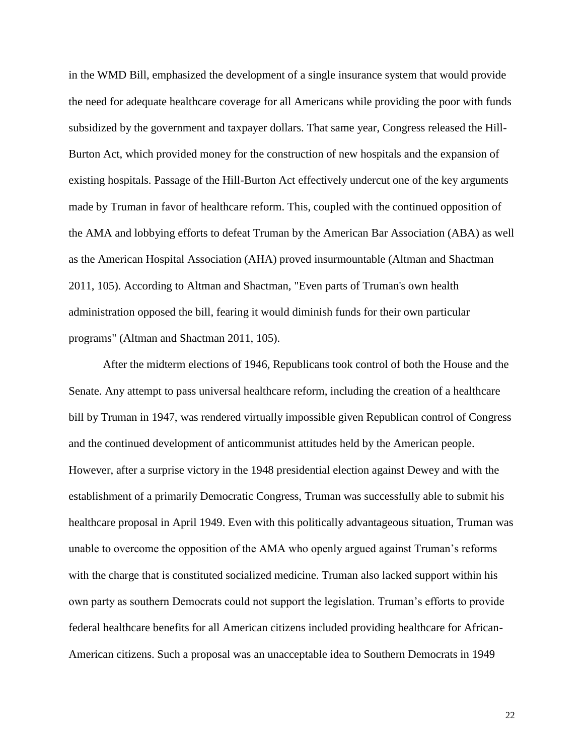in the WMD Bill, emphasized the development of a single insurance system that would provide the need for adequate healthcare coverage for all Americans while providing the poor with funds subsidized by the government and taxpayer dollars. That same year, Congress released the Hill-Burton Act, which provided money for the construction of new hospitals and the expansion of existing hospitals. Passage of the Hill-Burton Act effectively undercut one of the key arguments made by Truman in favor of healthcare reform. This, coupled with the continued opposition of the AMA and lobbying efforts to defeat Truman by the American Bar Association (ABA) as well as the American Hospital Association (AHA) proved insurmountable (Altman and Shactman 2011, 105). According to Altman and Shactman, "Even parts of Truman's own health administration opposed the bill, fearing it would diminish funds for their own particular programs" (Altman and Shactman 2011, 105).

After the midterm elections of 1946, Republicans took control of both the House and the Senate. Any attempt to pass universal healthcare reform, including the creation of a healthcare bill by Truman in 1947, was rendered virtually impossible given Republican control of Congress and the continued development of anticommunist attitudes held by the American people. However, after a surprise victory in the 1948 presidential election against Dewey and with the establishment of a primarily Democratic Congress, Truman was successfully able to submit his healthcare proposal in April 1949. Even with this politically advantageous situation, Truman was unable to overcome the opposition of the AMA who openly argued against Truman's reforms with the charge that is constituted socialized medicine. Truman also lacked support within his own party as southern Democrats could not support the legislation. Truman's efforts to provide federal healthcare benefits for all American citizens included providing healthcare for African-American citizens. Such a proposal was an unacceptable idea to Southern Democrats in 1949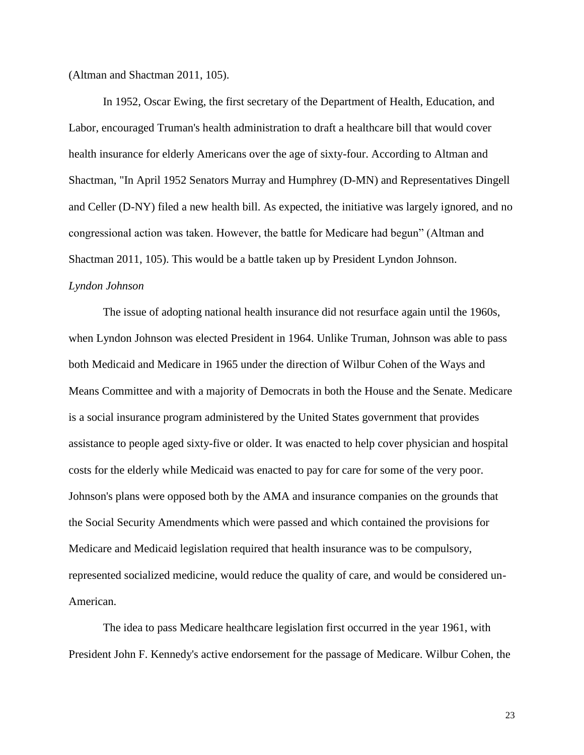(Altman and Shactman 2011, 105).

In 1952, Oscar Ewing, the first secretary of the Department of Health, Education, and Labor, encouraged Truman's health administration to draft a healthcare bill that would cover health insurance for elderly Americans over the age of sixty-four. According to Altman and Shactman, "In April 1952 Senators Murray and Humphrey (D-MN) and Representatives Dingell and Celler (D-NY) filed a new health bill. As expected, the initiative was largely ignored, and no congressional action was taken. However, the battle for Medicare had begun" (Altman and Shactman 2011, 105). This would be a battle taken up by President Lyndon Johnson. *Lyndon Johnson*

The issue of adopting national health insurance did not resurface again until the 1960s, when Lyndon Johnson was elected President in 1964. Unlike Truman, Johnson was able to pass both Medicaid and Medicare in 1965 under the direction of Wilbur Cohen of the Ways and Means Committee and with a majority of Democrats in both the House and the Senate. Medicare is a social insurance program administered by the United States government that provides assistance to people aged sixty-five or older. It was enacted to help cover physician and hospital costs for the elderly while Medicaid was enacted to pay for care for some of the very poor. Johnson's plans were opposed both by the AMA and insurance companies on the grounds that the Social Security Amendments which were passed and which contained the provisions for Medicare and Medicaid legislation required that health insurance was to be compulsory, represented socialized medicine, would reduce the quality of care, and would be considered un-American.

The idea to pass Medicare healthcare legislation first occurred in the year 1961, with President John F. Kennedy's active endorsement for the passage of Medicare. Wilbur Cohen, the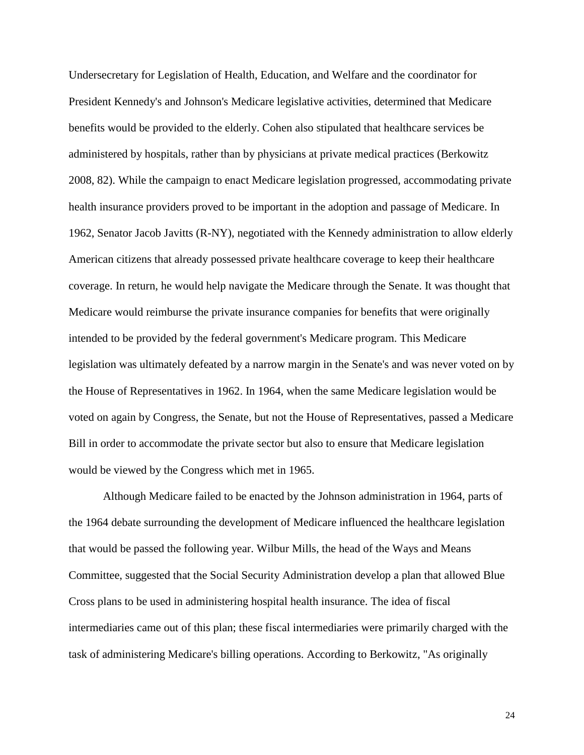Undersecretary for Legislation of Health, Education, and Welfare and the coordinator for President Kennedy's and Johnson's Medicare legislative activities, determined that Medicare benefits would be provided to the elderly. Cohen also stipulated that healthcare services be administered by hospitals, rather than by physicians at private medical practices (Berkowitz 2008, 82). While the campaign to enact Medicare legislation progressed, accommodating private health insurance providers proved to be important in the adoption and passage of Medicare. In 1962, Senator Jacob Javitts (R-NY), negotiated with the Kennedy administration to allow elderly American citizens that already possessed private healthcare coverage to keep their healthcare coverage. In return, he would help navigate the Medicare through the Senate. It was thought that Medicare would reimburse the private insurance companies for benefits that were originally intended to be provided by the federal government's Medicare program. This Medicare legislation was ultimately defeated by a narrow margin in the Senate's and was never voted on by the House of Representatives in 1962. In 1964, when the same Medicare legislation would be voted on again by Congress, the Senate, but not the House of Representatives, passed a Medicare Bill in order to accommodate the private sector but also to ensure that Medicare legislation would be viewed by the Congress which met in 1965.

Although Medicare failed to be enacted by the Johnson administration in 1964, parts of the 1964 debate surrounding the development of Medicare influenced the healthcare legislation that would be passed the following year. Wilbur Mills, the head of the Ways and Means Committee, suggested that the Social Security Administration develop a plan that allowed Blue Cross plans to be used in administering hospital health insurance. The idea of fiscal intermediaries came out of this plan; these fiscal intermediaries were primarily charged with the task of administering Medicare's billing operations. According to Berkowitz, "As originally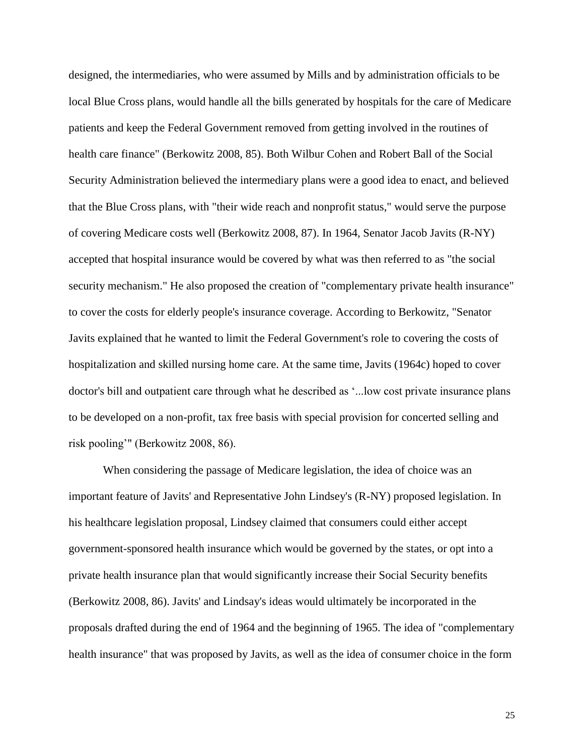designed, the intermediaries, who were assumed by Mills and by administration officials to be local Blue Cross plans, would handle all the bills generated by hospitals for the care of Medicare patients and keep the Federal Government removed from getting involved in the routines of health care finance" (Berkowitz 2008, 85). Both Wilbur Cohen and Robert Ball of the Social Security Administration believed the intermediary plans were a good idea to enact, and believed that the Blue Cross plans, with "their wide reach and nonprofit status," would serve the purpose of covering Medicare costs well (Berkowitz 2008, 87). In 1964, Senator Jacob Javits (R-NY) accepted that hospital insurance would be covered by what was then referred to as "the social security mechanism." He also proposed the creation of "complementary private health insurance" to cover the costs for elderly people's insurance coverage. According to Berkowitz, "Senator Javits explained that he wanted to limit the Federal Government's role to covering the costs of hospitalization and skilled nursing home care. At the same time, Javits (1964c) hoped to cover doctor's bill and outpatient care through what he described as '...low cost private insurance plans to be developed on a non-profit, tax free basis with special provision for concerted selling and risk pooling'" (Berkowitz 2008, 86).

When considering the passage of Medicare legislation, the idea of choice was an important feature of Javits' and Representative John Lindsey's (R-NY) proposed legislation. In his healthcare legislation proposal, Lindsey claimed that consumers could either accept government-sponsored health insurance which would be governed by the states, or opt into a private health insurance plan that would significantly increase their Social Security benefits (Berkowitz 2008, 86). Javits' and Lindsay's ideas would ultimately be incorporated in the proposals drafted during the end of 1964 and the beginning of 1965. The idea of "complementary health insurance" that was proposed by Javits, as well as the idea of consumer choice in the form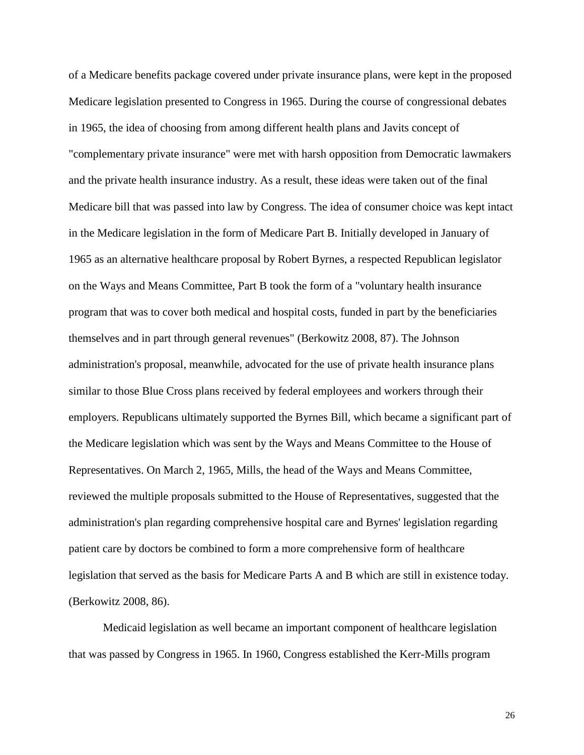of a Medicare benefits package covered under private insurance plans, were kept in the proposed Medicare legislation presented to Congress in 1965. During the course of congressional debates in 1965, the idea of choosing from among different health plans and Javits concept of "complementary private insurance" were met with harsh opposition from Democratic lawmakers and the private health insurance industry. As a result, these ideas were taken out of the final Medicare bill that was passed into law by Congress. The idea of consumer choice was kept intact in the Medicare legislation in the form of Medicare Part B. Initially developed in January of 1965 as an alternative healthcare proposal by Robert Byrnes, a respected Republican legislator on the Ways and Means Committee, Part B took the form of a "voluntary health insurance program that was to cover both medical and hospital costs, funded in part by the beneficiaries themselves and in part through general revenues" (Berkowitz 2008, 87). The Johnson administration's proposal, meanwhile, advocated for the use of private health insurance plans similar to those Blue Cross plans received by federal employees and workers through their employers. Republicans ultimately supported the Byrnes Bill, which became a significant part of the Medicare legislation which was sent by the Ways and Means Committee to the House of Representatives. On March 2, 1965, Mills, the head of the Ways and Means Committee, reviewed the multiple proposals submitted to the House of Representatives, suggested that the administration's plan regarding comprehensive hospital care and Byrnes' legislation regarding patient care by doctors be combined to form a more comprehensive form of healthcare legislation that served as the basis for Medicare Parts A and B which are still in existence today. (Berkowitz 2008, 86).

Medicaid legislation as well became an important component of healthcare legislation that was passed by Congress in 1965. In 1960, Congress established the Kerr-Mills program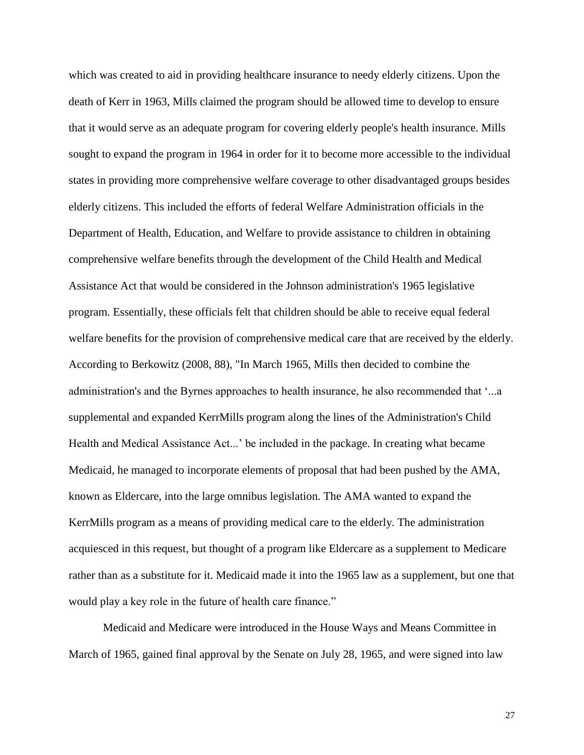which was created to aid in providing healthcare insurance to needy elderly citizens. Upon the death of Kerr in 1963, Mills claimed the program should be allowed time to develop to ensure that it would serve as an adequate program for covering elderly people's health insurance. Mills sought to expand the program in 1964 in order for it to become more accessible to the individual states in providing more comprehensive welfare coverage to other disadvantaged groups besides elderly citizens. This included the efforts of federal Welfare Administration officials in the Department of Health, Education, and Welfare to provide assistance to children in obtaining comprehensive welfare benefits through the development of the Child Health and Medical Assistance Act that would be considered in the Johnson administration's 1965 legislative program. Essentially, these officials felt that children should be able to receive equal federal welfare benefits for the provision of comprehensive medical care that are received by the elderly. According to Berkowitz (2008, 88), "In March 1965, Mills then decided to combine the administration's and the Byrnes approaches to health insurance, he also recommended that '...a supplemental and expanded KerrMills program along the lines of the Administration's Child Health and Medical Assistance Act...' be included in the package. In creating what became Medicaid, he managed to incorporate elements of proposal that had been pushed by the AMA, known as Eldercare, into the large omnibus legislation. The AMA wanted to expand the KerrMills program as a means of providing medical care to the elderly. The administration acquiesced in this request, but thought of a program like Eldercare as a supplement to Medicare rather than as a substitute for it. Medicaid made it into the 1965 law as a supplement, but one that would play a key role in the future of health care finance."

Medicaid and Medicare were introduced in the House Ways and Means Committee in March of 1965, gained final approval by the Senate on July 28, 1965, and were signed into law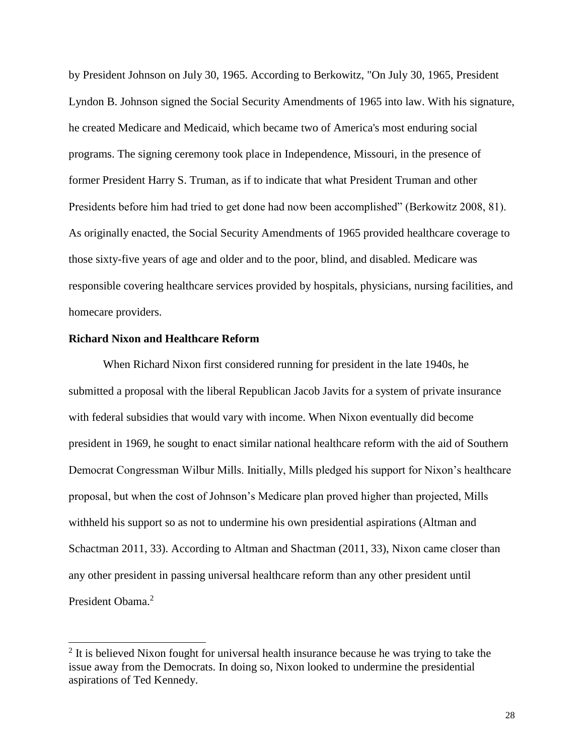by President Johnson on July 30, 1965. According to Berkowitz, "On July 30, 1965, President Lyndon B. Johnson signed the Social Security Amendments of 1965 into law. With his signature, he created Medicare and Medicaid, which became two of America's most enduring social programs. The signing ceremony took place in Independence, Missouri, in the presence of former President Harry S. Truman, as if to indicate that what President Truman and other Presidents before him had tried to get done had now been accomplished" (Berkowitz 2008, 81). As originally enacted, the Social Security Amendments of 1965 provided healthcare coverage to those sixty-five years of age and older and to the poor, blind, and disabled. Medicare was responsible covering healthcare services provided by hospitals, physicians, nursing facilities, and homecare providers.

## **Richard Nixon and Healthcare Reform**

 $\overline{a}$ 

When Richard Nixon first considered running for president in the late 1940s, he submitted a proposal with the liberal Republican Jacob Javits for a system of private insurance with federal subsidies that would vary with income. When Nixon eventually did become president in 1969, he sought to enact similar national healthcare reform with the aid of Southern Democrat Congressman Wilbur Mills. Initially, Mills pledged his support for Nixon's healthcare proposal, but when the cost of Johnson's Medicare plan proved higher than projected, Mills withheld his support so as not to undermine his own presidential aspirations (Altman and Schactman 2011, 33). According to Altman and Shactman (2011, 33), Nixon came closer than any other president in passing universal healthcare reform than any other president until President Obama.<sup>2</sup>

 $2$  It is believed Nixon fought for universal health insurance because he was trying to take the issue away from the Democrats. In doing so, Nixon looked to undermine the presidential aspirations of Ted Kennedy.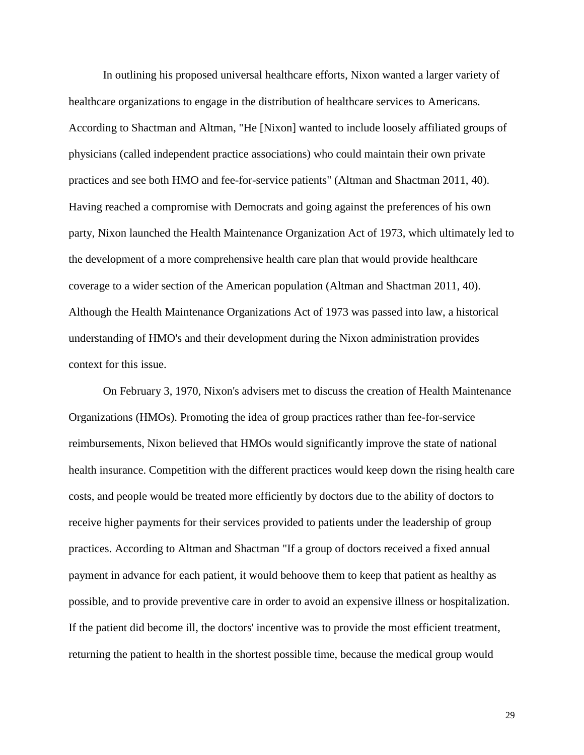In outlining his proposed universal healthcare efforts, Nixon wanted a larger variety of healthcare organizations to engage in the distribution of healthcare services to Americans. According to Shactman and Altman, "He [Nixon] wanted to include loosely affiliated groups of physicians (called independent practice associations) who could maintain their own private practices and see both HMO and fee-for-service patients" (Altman and Shactman 2011, 40). Having reached a compromise with Democrats and going against the preferences of his own party, Nixon launched the Health Maintenance Organization Act of 1973, which ultimately led to the development of a more comprehensive health care plan that would provide healthcare coverage to a wider section of the American population (Altman and Shactman 2011, 40). Although the Health Maintenance Organizations Act of 1973 was passed into law, a historical understanding of HMO's and their development during the Nixon administration provides context for this issue.

On February 3, 1970, Nixon's advisers met to discuss the creation of Health Maintenance Organizations (HMOs). Promoting the idea of group practices rather than fee-for-service reimbursements, Nixon believed that HMOs would significantly improve the state of national health insurance. Competition with the different practices would keep down the rising health care costs, and people would be treated more efficiently by doctors due to the ability of doctors to receive higher payments for their services provided to patients under the leadership of group practices. According to Altman and Shactman "If a group of doctors received a fixed annual payment in advance for each patient, it would behoove them to keep that patient as healthy as possible, and to provide preventive care in order to avoid an expensive illness or hospitalization. If the patient did become ill, the doctors' incentive was to provide the most efficient treatment, returning the patient to health in the shortest possible time, because the medical group would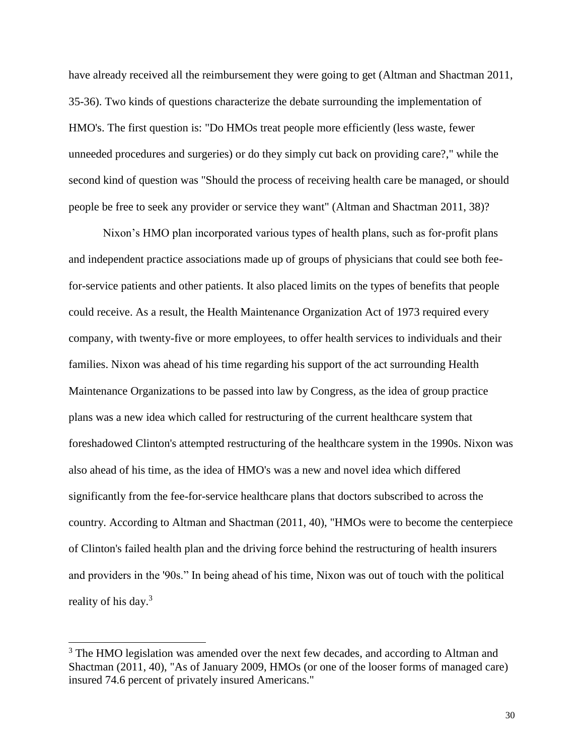have already received all the reimbursement they were going to get (Altman and Shactman 2011, 35-36). Two kinds of questions characterize the debate surrounding the implementation of HMO's. The first question is: "Do HMOs treat people more efficiently (less waste, fewer unneeded procedures and surgeries) or do they simply cut back on providing care?," while the second kind of question was "Should the process of receiving health care be managed, or should people be free to seek any provider or service they want" (Altman and Shactman 2011, 38)?

Nixon's HMO plan incorporated various types of health plans, such as for-profit plans and independent practice associations made up of groups of physicians that could see both feefor-service patients and other patients. It also placed limits on the types of benefits that people could receive. As a result, the Health Maintenance Organization Act of 1973 required every company, with twenty-five or more employees, to offer health services to individuals and their families. Nixon was ahead of his time regarding his support of the act surrounding Health Maintenance Organizations to be passed into law by Congress, as the idea of group practice plans was a new idea which called for restructuring of the current healthcare system that foreshadowed Clinton's attempted restructuring of the healthcare system in the 1990s. Nixon was also ahead of his time, as the idea of HMO's was a new and novel idea which differed significantly from the fee-for-service healthcare plans that doctors subscribed to across the country. According to Altman and Shactman (2011, 40), "HMOs were to become the centerpiece of Clinton's failed health plan and the driving force behind the restructuring of health insurers and providers in the '90s." In being ahead of his time, Nixon was out of touch with the political reality of his day.<sup>3</sup>

 $\overline{a}$ 

<sup>&</sup>lt;sup>3</sup> The HMO legislation was amended over the next few decades, and according to Altman and Shactman (2011, 40), "As of January 2009, HMOs (or one of the looser forms of managed care) insured 74.6 percent of privately insured Americans."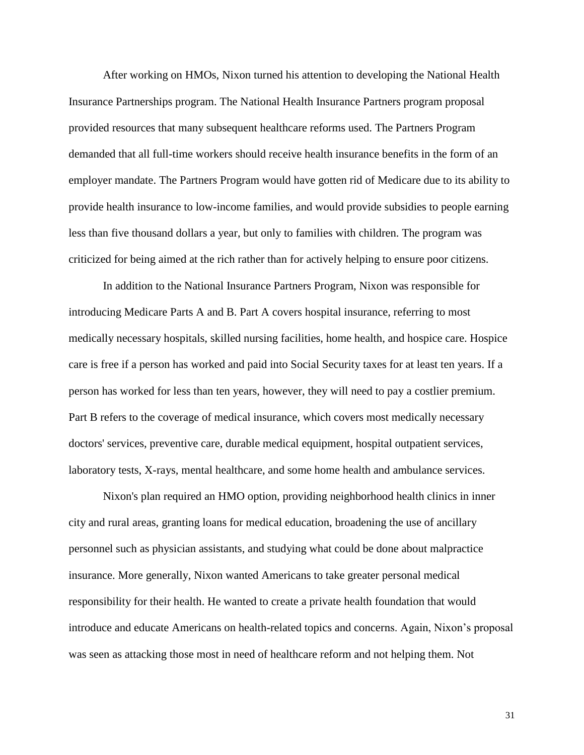After working on HMOs, Nixon turned his attention to developing the National Health Insurance Partnerships program. The National Health Insurance Partners program proposal provided resources that many subsequent healthcare reforms used. The Partners Program demanded that all full-time workers should receive health insurance benefits in the form of an employer mandate. The Partners Program would have gotten rid of Medicare due to its ability to provide health insurance to low-income families, and would provide subsidies to people earning less than five thousand dollars a year, but only to families with children. The program was criticized for being aimed at the rich rather than for actively helping to ensure poor citizens.

In addition to the National Insurance Partners Program, Nixon was responsible for introducing Medicare Parts A and B. Part A covers hospital insurance, referring to most medically necessary hospitals, skilled nursing facilities, home health, and hospice care. Hospice care is free if a person has worked and paid into Social Security taxes for at least ten years. If a person has worked for less than ten years, however, they will need to pay a costlier premium. Part B refers to the coverage of medical insurance, which covers most medically necessary doctors' services, preventive care, durable medical equipment, hospital outpatient services, laboratory tests, X-rays, mental healthcare, and some home health and ambulance services.

Nixon's plan required an HMO option, providing neighborhood health clinics in inner city and rural areas, granting loans for medical education, broadening the use of ancillary personnel such as physician assistants, and studying what could be done about malpractice insurance. More generally, Nixon wanted Americans to take greater personal medical responsibility for their health. He wanted to create a private health foundation that would introduce and educate Americans on health-related topics and concerns. Again, Nixon's proposal was seen as attacking those most in need of healthcare reform and not helping them. Not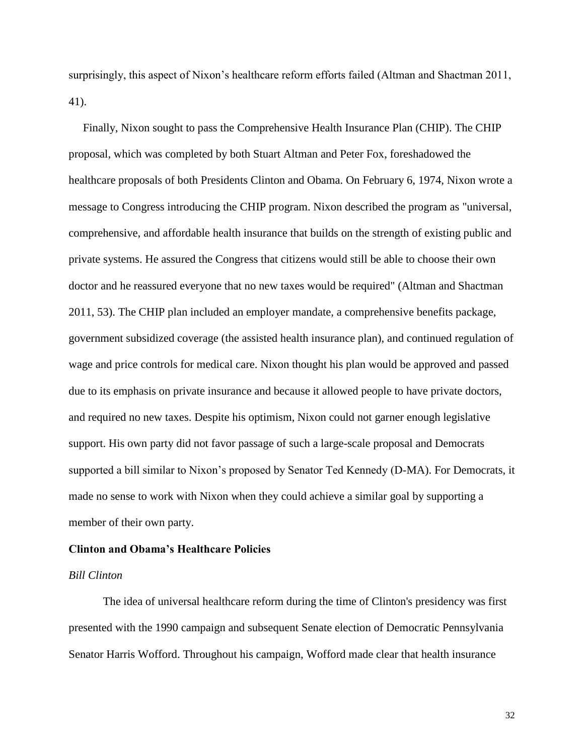surprisingly, this aspect of Nixon's healthcare reform efforts failed (Altman and Shactman 2011, 41).

 Finally, Nixon sought to pass the Comprehensive Health Insurance Plan (CHIP). The CHIP proposal, which was completed by both Stuart Altman and Peter Fox, foreshadowed the healthcare proposals of both Presidents Clinton and Obama. On February 6, 1974, Nixon wrote a message to Congress introducing the CHIP program. Nixon described the program as "universal, comprehensive, and affordable health insurance that builds on the strength of existing public and private systems. He assured the Congress that citizens would still be able to choose their own doctor and he reassured everyone that no new taxes would be required" (Altman and Shactman 2011, 53). The CHIP plan included an employer mandate, a comprehensive benefits package, government subsidized coverage (the assisted health insurance plan), and continued regulation of wage and price controls for medical care. Nixon thought his plan would be approved and passed due to its emphasis on private insurance and because it allowed people to have private doctors, and required no new taxes. Despite his optimism, Nixon could not garner enough legislative support. His own party did not favor passage of such a large-scale proposal and Democrats supported a bill similar to Nixon's proposed by Senator Ted Kennedy (D-MA). For Democrats, it made no sense to work with Nixon when they could achieve a similar goal by supporting a member of their own party.

## **Clinton and Obama's Healthcare Policies**

## *Bill Clinton*

The idea of universal healthcare reform during the time of Clinton's presidency was first presented with the 1990 campaign and subsequent Senate election of Democratic Pennsylvania Senator Harris Wofford. Throughout his campaign, Wofford made clear that health insurance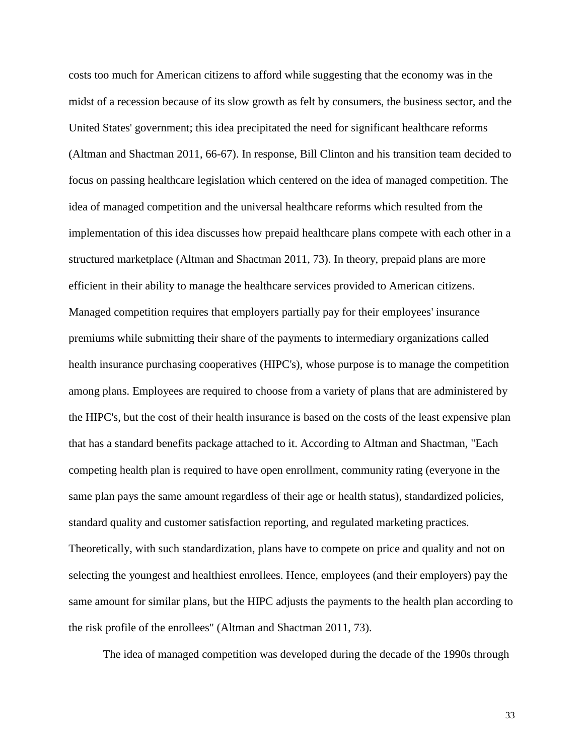costs too much for American citizens to afford while suggesting that the economy was in the midst of a recession because of its slow growth as felt by consumers, the business sector, and the United States' government; this idea precipitated the need for significant healthcare reforms (Altman and Shactman 2011, 66-67). In response, Bill Clinton and his transition team decided to focus on passing healthcare legislation which centered on the idea of managed competition. The idea of managed competition and the universal healthcare reforms which resulted from the implementation of this idea discusses how prepaid healthcare plans compete with each other in a structured marketplace (Altman and Shactman 2011, 73). In theory, prepaid plans are more efficient in their ability to manage the healthcare services provided to American citizens. Managed competition requires that employers partially pay for their employees' insurance premiums while submitting their share of the payments to intermediary organizations called health insurance purchasing cooperatives (HIPC's), whose purpose is to manage the competition among plans. Employees are required to choose from a variety of plans that are administered by the HIPC's, but the cost of their health insurance is based on the costs of the least expensive plan that has a standard benefits package attached to it. According to Altman and Shactman, "Each competing health plan is required to have open enrollment, community rating (everyone in the same plan pays the same amount regardless of their age or health status), standardized policies, standard quality and customer satisfaction reporting, and regulated marketing practices. Theoretically, with such standardization, plans have to compete on price and quality and not on selecting the youngest and healthiest enrollees. Hence, employees (and their employers) pay the same amount for similar plans, but the HIPC adjusts the payments to the health plan according to the risk profile of the enrollees" (Altman and Shactman 2011, 73).

The idea of managed competition was developed during the decade of the 1990s through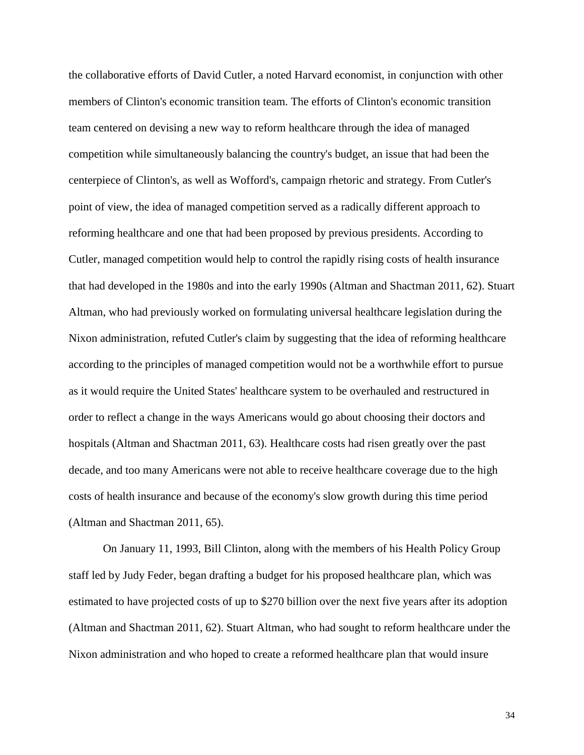the collaborative efforts of David Cutler, a noted Harvard economist, in conjunction with other members of Clinton's economic transition team. The efforts of Clinton's economic transition team centered on devising a new way to reform healthcare through the idea of managed competition while simultaneously balancing the country's budget, an issue that had been the centerpiece of Clinton's, as well as Wofford's, campaign rhetoric and strategy. From Cutler's point of view, the idea of managed competition served as a radically different approach to reforming healthcare and one that had been proposed by previous presidents. According to Cutler, managed competition would help to control the rapidly rising costs of health insurance that had developed in the 1980s and into the early 1990s (Altman and Shactman 2011, 62). Stuart Altman, who had previously worked on formulating universal healthcare legislation during the Nixon administration, refuted Cutler's claim by suggesting that the idea of reforming healthcare according to the principles of managed competition would not be a worthwhile effort to pursue as it would require the United States' healthcare system to be overhauled and restructured in order to reflect a change in the ways Americans would go about choosing their doctors and hospitals (Altman and Shactman 2011, 63). Healthcare costs had risen greatly over the past decade, and too many Americans were not able to receive healthcare coverage due to the high costs of health insurance and because of the economy's slow growth during this time period (Altman and Shactman 2011, 65).

On January 11, 1993, Bill Clinton, along with the members of his Health Policy Group staff led by Judy Feder, began drafting a budget for his proposed healthcare plan, which was estimated to have projected costs of up to \$270 billion over the next five years after its adoption (Altman and Shactman 2011, 62). Stuart Altman, who had sought to reform healthcare under the Nixon administration and who hoped to create a reformed healthcare plan that would insure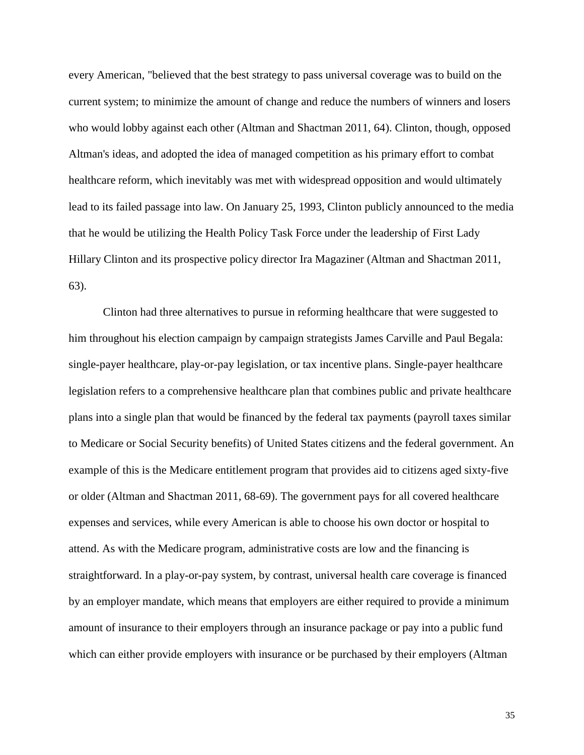every American, "believed that the best strategy to pass universal coverage was to build on the current system; to minimize the amount of change and reduce the numbers of winners and losers who would lobby against each other (Altman and Shactman 2011, 64). Clinton, though, opposed Altman's ideas, and adopted the idea of managed competition as his primary effort to combat healthcare reform, which inevitably was met with widespread opposition and would ultimately lead to its failed passage into law. On January 25, 1993, Clinton publicly announced to the media that he would be utilizing the Health Policy Task Force under the leadership of First Lady Hillary Clinton and its prospective policy director Ira Magaziner (Altman and Shactman 2011, 63).

Clinton had three alternatives to pursue in reforming healthcare that were suggested to him throughout his election campaign by campaign strategists James Carville and Paul Begala: single-payer healthcare, play-or-pay legislation, or tax incentive plans. Single-payer healthcare legislation refers to a comprehensive healthcare plan that combines public and private healthcare plans into a single plan that would be financed by the federal tax payments (payroll taxes similar to Medicare or Social Security benefits) of United States citizens and the federal government. An example of this is the Medicare entitlement program that provides aid to citizens aged sixty-five or older (Altman and Shactman 2011, 68-69). The government pays for all covered healthcare expenses and services, while every American is able to choose his own doctor or hospital to attend. As with the Medicare program, administrative costs are low and the financing is straightforward. In a play-or-pay system, by contrast, universal health care coverage is financed by an employer mandate, which means that employers are either required to provide a minimum amount of insurance to their employers through an insurance package or pay into a public fund which can either provide employers with insurance or be purchased by their employers (Altman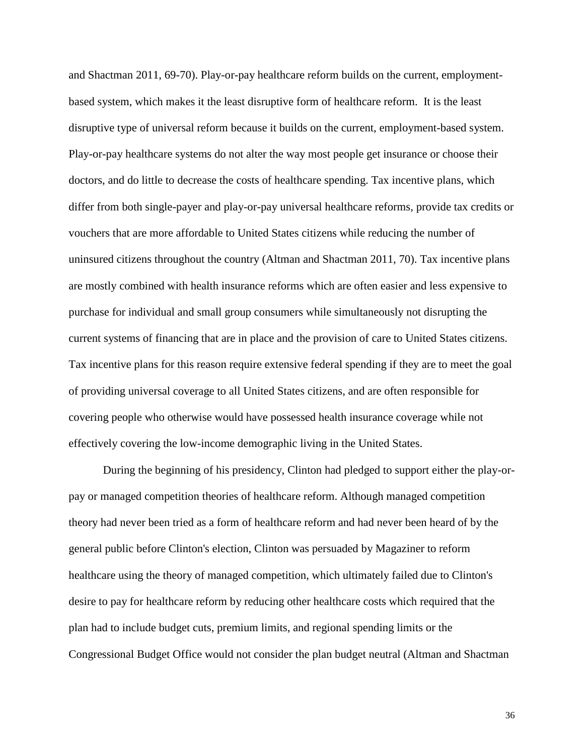and Shactman 2011, 69-70). Play-or-pay healthcare reform builds on the current, employmentbased system, which makes it the least disruptive form of healthcare reform. It is the least disruptive type of universal reform because it builds on the current, employment-based system. Play-or-pay healthcare systems do not alter the way most people get insurance or choose their doctors, and do little to decrease the costs of healthcare spending. Tax incentive plans, which differ from both single-payer and play-or-pay universal healthcare reforms, provide tax credits or vouchers that are more affordable to United States citizens while reducing the number of uninsured citizens throughout the country (Altman and Shactman 2011, 70). Tax incentive plans are mostly combined with health insurance reforms which are often easier and less expensive to purchase for individual and small group consumers while simultaneously not disrupting the current systems of financing that are in place and the provision of care to United States citizens. Tax incentive plans for this reason require extensive federal spending if they are to meet the goal of providing universal coverage to all United States citizens, and are often responsible for covering people who otherwise would have possessed health insurance coverage while not effectively covering the low-income demographic living in the United States.

During the beginning of his presidency, Clinton had pledged to support either the play-orpay or managed competition theories of healthcare reform. Although managed competition theory had never been tried as a form of healthcare reform and had never been heard of by the general public before Clinton's election, Clinton was persuaded by Magaziner to reform healthcare using the theory of managed competition, which ultimately failed due to Clinton's desire to pay for healthcare reform by reducing other healthcare costs which required that the plan had to include budget cuts, premium limits, and regional spending limits or the Congressional Budget Office would not consider the plan budget neutral (Altman and Shactman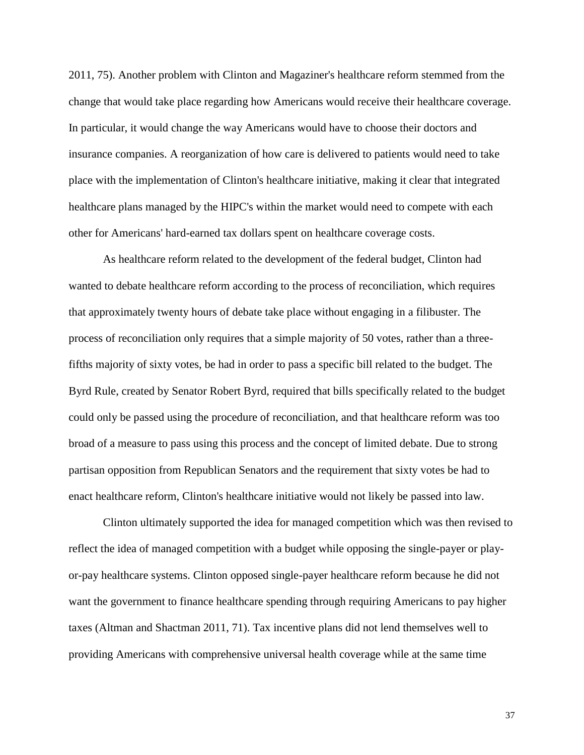2011, 75). Another problem with Clinton and Magaziner's healthcare reform stemmed from the change that would take place regarding how Americans would receive their healthcare coverage. In particular, it would change the way Americans would have to choose their doctors and insurance companies. A reorganization of how care is delivered to patients would need to take place with the implementation of Clinton's healthcare initiative, making it clear that integrated healthcare plans managed by the HIPC's within the market would need to compete with each other for Americans' hard-earned tax dollars spent on healthcare coverage costs.

As healthcare reform related to the development of the federal budget, Clinton had wanted to debate healthcare reform according to the process of reconciliation, which requires that approximately twenty hours of debate take place without engaging in a filibuster. The process of reconciliation only requires that a simple majority of 50 votes, rather than a threefifths majority of sixty votes, be had in order to pass a specific bill related to the budget. The Byrd Rule, created by Senator Robert Byrd, required that bills specifically related to the budget could only be passed using the procedure of reconciliation, and that healthcare reform was too broad of a measure to pass using this process and the concept of limited debate. Due to strong partisan opposition from Republican Senators and the requirement that sixty votes be had to enact healthcare reform, Clinton's healthcare initiative would not likely be passed into law.

Clinton ultimately supported the idea for managed competition which was then revised to reflect the idea of managed competition with a budget while opposing the single-payer or playor-pay healthcare systems. Clinton opposed single-payer healthcare reform because he did not want the government to finance healthcare spending through requiring Americans to pay higher taxes (Altman and Shactman 2011, 71). Tax incentive plans did not lend themselves well to providing Americans with comprehensive universal health coverage while at the same time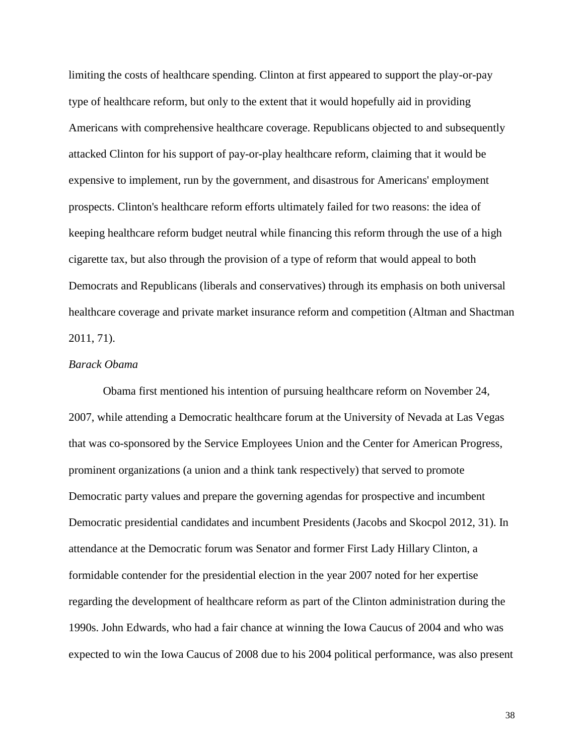limiting the costs of healthcare spending. Clinton at first appeared to support the play-or-pay type of healthcare reform, but only to the extent that it would hopefully aid in providing Americans with comprehensive healthcare coverage. Republicans objected to and subsequently attacked Clinton for his support of pay-or-play healthcare reform, claiming that it would be expensive to implement, run by the government, and disastrous for Americans' employment prospects. Clinton's healthcare reform efforts ultimately failed for two reasons: the idea of keeping healthcare reform budget neutral while financing this reform through the use of a high cigarette tax, but also through the provision of a type of reform that would appeal to both Democrats and Republicans (liberals and conservatives) through its emphasis on both universal healthcare coverage and private market insurance reform and competition (Altman and Shactman 2011, 71).

## *Barack Obama*

Obama first mentioned his intention of pursuing healthcare reform on November 24, 2007, while attending a Democratic healthcare forum at the University of Nevada at Las Vegas that was co-sponsored by the Service Employees Union and the Center for American Progress, prominent organizations (a union and a think tank respectively) that served to promote Democratic party values and prepare the governing agendas for prospective and incumbent Democratic presidential candidates and incumbent Presidents (Jacobs and Skocpol 2012, 31). In attendance at the Democratic forum was Senator and former First Lady Hillary Clinton, a formidable contender for the presidential election in the year 2007 noted for her expertise regarding the development of healthcare reform as part of the Clinton administration during the 1990s. John Edwards, who had a fair chance at winning the Iowa Caucus of 2004 and who was expected to win the Iowa Caucus of 2008 due to his 2004 political performance, was also present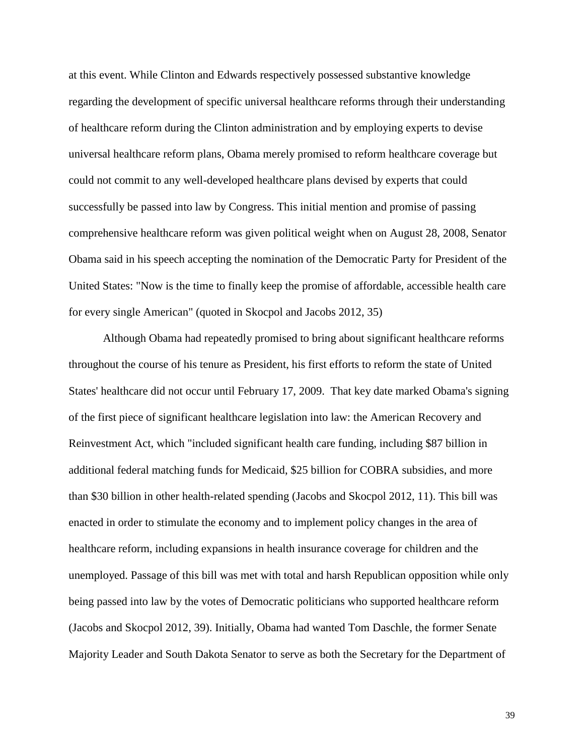at this event. While Clinton and Edwards respectively possessed substantive knowledge regarding the development of specific universal healthcare reforms through their understanding of healthcare reform during the Clinton administration and by employing experts to devise universal healthcare reform plans, Obama merely promised to reform healthcare coverage but could not commit to any well-developed healthcare plans devised by experts that could successfully be passed into law by Congress. This initial mention and promise of passing comprehensive healthcare reform was given political weight when on August 28, 2008, Senator Obama said in his speech accepting the nomination of the Democratic Party for President of the United States: "Now is the time to finally keep the promise of affordable, accessible health care for every single American" (quoted in Skocpol and Jacobs 2012, 35)

Although Obama had repeatedly promised to bring about significant healthcare reforms throughout the course of his tenure as President, his first efforts to reform the state of United States' healthcare did not occur until February 17, 2009. That key date marked Obama's signing of the first piece of significant healthcare legislation into law: the American Recovery and Reinvestment Act, which "included significant health care funding, including \$87 billion in additional federal matching funds for Medicaid, \$25 billion for COBRA subsidies, and more than \$30 billion in other health-related spending (Jacobs and Skocpol 2012, 11). This bill was enacted in order to stimulate the economy and to implement policy changes in the area of healthcare reform, including expansions in health insurance coverage for children and the unemployed. Passage of this bill was met with total and harsh Republican opposition while only being passed into law by the votes of Democratic politicians who supported healthcare reform (Jacobs and Skocpol 2012, 39). Initially, Obama had wanted Tom Daschle, the former Senate Majority Leader and South Dakota Senator to serve as both the Secretary for the Department of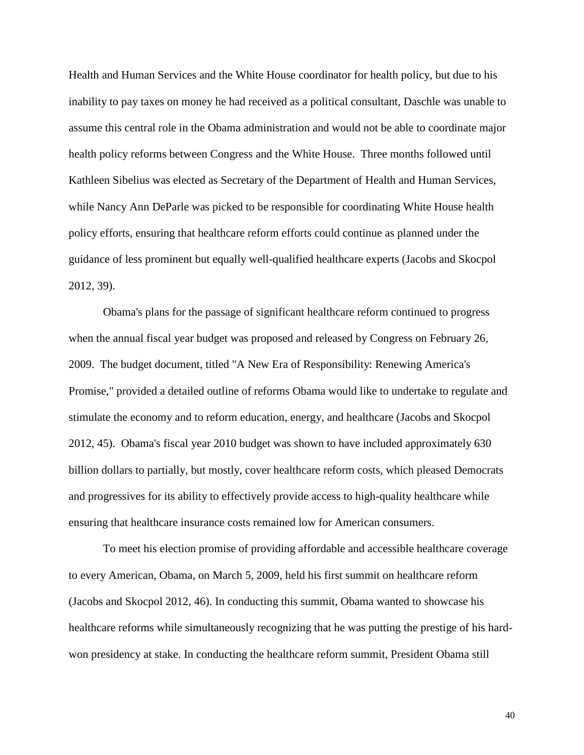Health and Human Services and the White House coordinator for health policy, but due to his inability to pay taxes on money he had received as a political consultant, Daschle was unable to assume this central role in the Obama administration and would not be able to coordinate major health policy reforms between Congress and the White House. Three months followed until Kathleen Sibelius was elected as Secretary of the Department of Health and Human Services, while Nancy Ann DeParle was picked to be responsible for coordinating White House health policy efforts, ensuring that healthcare reform efforts could continue as planned under the guidance of less prominent but equally well-qualified healthcare experts (Jacobs and Skocpol 2012, 39).

Obama's plans for the passage of significant healthcare reform continued to progress when the annual fiscal year budget was proposed and released by Congress on February 26, 2009. The budget document, titled "A New Era of Responsibility: Renewing America's Promise," provided a detailed outline of reforms Obama would like to undertake to regulate and stimulate the economy and to reform education, energy, and healthcare (Jacobs and Skocpol 2012, 45). Obama's fiscal year 2010 budget was shown to have included approximately 630 billion dollars to partially, but mostly, cover healthcare reform costs, which pleased Democrats and progressives for its ability to effectively provide access to high-quality healthcare while ensuring that healthcare insurance costs remained low for American consumers.

To meet his election promise of providing affordable and accessible healthcare coverage to every American, Obama, on March 5, 2009, held his first summit on healthcare reform (Jacobs and Skocpol 2012, 46). In conducting this summit, Obama wanted to showcase his healthcare reforms while simultaneously recognizing that he was putting the prestige of his hardwon presidency at stake. In conducting the healthcare reform summit, President Obama still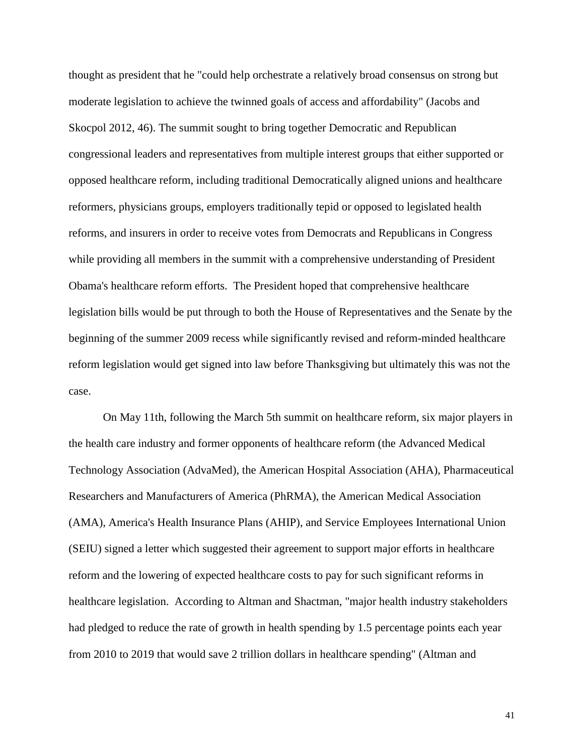thought as president that he "could help orchestrate a relatively broad consensus on strong but moderate legislation to achieve the twinned goals of access and affordability" (Jacobs and Skocpol 2012, 46). The summit sought to bring together Democratic and Republican congressional leaders and representatives from multiple interest groups that either supported or opposed healthcare reform, including traditional Democratically aligned unions and healthcare reformers, physicians groups, employers traditionally tepid or opposed to legislated health reforms, and insurers in order to receive votes from Democrats and Republicans in Congress while providing all members in the summit with a comprehensive understanding of President Obama's healthcare reform efforts. The President hoped that comprehensive healthcare legislation bills would be put through to both the House of Representatives and the Senate by the beginning of the summer 2009 recess while significantly revised and reform-minded healthcare reform legislation would get signed into law before Thanksgiving but ultimately this was not the case.

On May 11th, following the March 5th summit on healthcare reform, six major players in the health care industry and former opponents of healthcare reform (the Advanced Medical Technology Association (AdvaMed), the American Hospital Association (AHA), Pharmaceutical Researchers and Manufacturers of America (PhRMA), the American Medical Association (AMA), America's Health Insurance Plans (AHIP), and Service Employees International Union (SEIU) signed a letter which suggested their agreement to support major efforts in healthcare reform and the lowering of expected healthcare costs to pay for such significant reforms in healthcare legislation. According to Altman and Shactman, "major health industry stakeholders had pledged to reduce the rate of growth in health spending by 1.5 percentage points each year from 2010 to 2019 that would save 2 trillion dollars in healthcare spending" (Altman and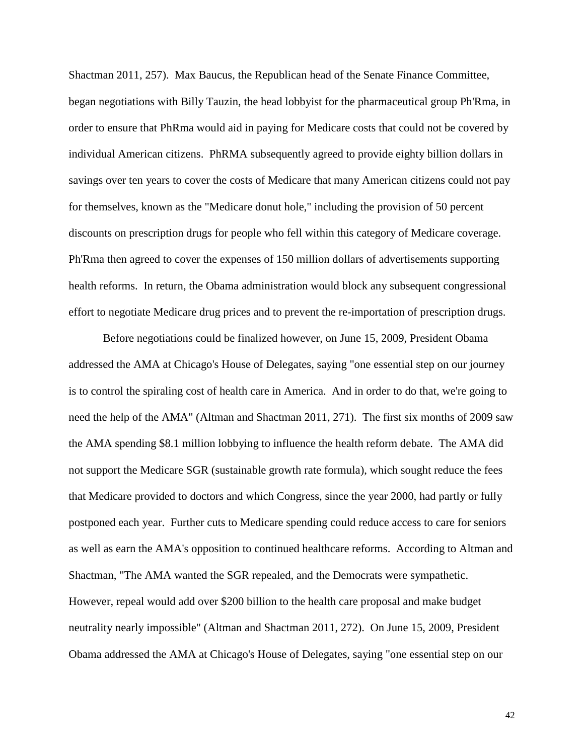Shactman 2011, 257). Max Baucus, the Republican head of the Senate Finance Committee, began negotiations with Billy Tauzin, the head lobbyist for the pharmaceutical group Ph'Rma, in order to ensure that PhRma would aid in paying for Medicare costs that could not be covered by individual American citizens. PhRMA subsequently agreed to provide eighty billion dollars in savings over ten years to cover the costs of Medicare that many American citizens could not pay for themselves, known as the "Medicare donut hole," including the provision of 50 percent discounts on prescription drugs for people who fell within this category of Medicare coverage. Ph'Rma then agreed to cover the expenses of 150 million dollars of advertisements supporting health reforms. In return, the Obama administration would block any subsequent congressional effort to negotiate Medicare drug prices and to prevent the re-importation of prescription drugs.

Before negotiations could be finalized however, on June 15, 2009, President Obama addressed the AMA at Chicago's House of Delegates, saying "one essential step on our journey is to control the spiraling cost of health care in America. And in order to do that, we're going to need the help of the AMA" (Altman and Shactman 2011, 271). The first six months of 2009 saw the AMA spending \$8.1 million lobbying to influence the health reform debate. The AMA did not support the Medicare SGR (sustainable growth rate formula), which sought reduce the fees that Medicare provided to doctors and which Congress, since the year 2000, had partly or fully postponed each year. Further cuts to Medicare spending could reduce access to care for seniors as well as earn the AMA's opposition to continued healthcare reforms. According to Altman and Shactman, "The AMA wanted the SGR repealed, and the Democrats were sympathetic. However, repeal would add over \$200 billion to the health care proposal and make budget neutrality nearly impossible" (Altman and Shactman 2011, 272). On June 15, 2009, President Obama addressed the AMA at Chicago's House of Delegates, saying "one essential step on our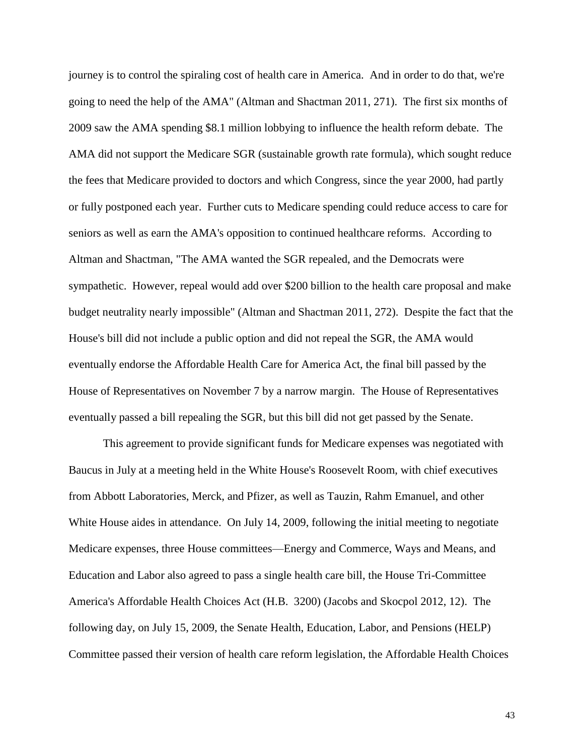journey is to control the spiraling cost of health care in America. And in order to do that, we're going to need the help of the AMA" (Altman and Shactman 2011, 271). The first six months of 2009 saw the AMA spending \$8.1 million lobbying to influence the health reform debate. The AMA did not support the Medicare SGR (sustainable growth rate formula), which sought reduce the fees that Medicare provided to doctors and which Congress, since the year 2000, had partly or fully postponed each year. Further cuts to Medicare spending could reduce access to care for seniors as well as earn the AMA's opposition to continued healthcare reforms. According to Altman and Shactman, "The AMA wanted the SGR repealed, and the Democrats were sympathetic. However, repeal would add over \$200 billion to the health care proposal and make budget neutrality nearly impossible" (Altman and Shactman 2011, 272). Despite the fact that the House's bill did not include a public option and did not repeal the SGR, the AMA would eventually endorse the Affordable Health Care for America Act, the final bill passed by the House of Representatives on November 7 by a narrow margin. The House of Representatives eventually passed a bill repealing the SGR, but this bill did not get passed by the Senate.

This agreement to provide significant funds for Medicare expenses was negotiated with Baucus in July at a meeting held in the White House's Roosevelt Room, with chief executives from Abbott Laboratories, Merck, and Pfizer, as well as Tauzin, Rahm Emanuel, and other White House aides in attendance. On July 14, 2009, following the initial meeting to negotiate Medicare expenses, three House committees—Energy and Commerce, Ways and Means, and Education and Labor also agreed to pass a single health care bill, the House Tri-Committee America's Affordable Health Choices Act (H.B. 3200) (Jacobs and Skocpol 2012, 12). The following day, on July 15, 2009, the Senate Health, Education, Labor, and Pensions (HELP) Committee passed their version of health care reform legislation, the Affordable Health Choices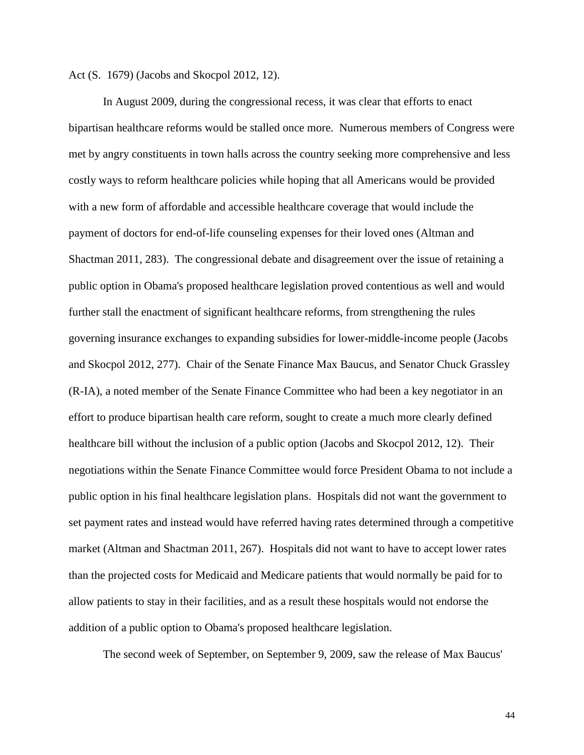Act (S. 1679) (Jacobs and Skocpol 2012, 12).

In August 2009, during the congressional recess, it was clear that efforts to enact bipartisan healthcare reforms would be stalled once more. Numerous members of Congress were met by angry constituents in town halls across the country seeking more comprehensive and less costly ways to reform healthcare policies while hoping that all Americans would be provided with a new form of affordable and accessible healthcare coverage that would include the payment of doctors for end-of-life counseling expenses for their loved ones (Altman and Shactman 2011, 283). The congressional debate and disagreement over the issue of retaining a public option in Obama's proposed healthcare legislation proved contentious as well and would further stall the enactment of significant healthcare reforms, from strengthening the rules governing insurance exchanges to expanding subsidies for lower-middle-income people (Jacobs and Skocpol 2012, 277). Chair of the Senate Finance Max Baucus, and Senator Chuck Grassley (R-IA), a noted member of the Senate Finance Committee who had been a key negotiator in an effort to produce bipartisan health care reform, sought to create a much more clearly defined healthcare bill without the inclusion of a public option (Jacobs and Skocpol 2012, 12). Their negotiations within the Senate Finance Committee would force President Obama to not include a public option in his final healthcare legislation plans. Hospitals did not want the government to set payment rates and instead would have referred having rates determined through a competitive market (Altman and Shactman 2011, 267). Hospitals did not want to have to accept lower rates than the projected costs for Medicaid and Medicare patients that would normally be paid for to allow patients to stay in their facilities, and as a result these hospitals would not endorse the addition of a public option to Obama's proposed healthcare legislation.

The second week of September, on September 9, 2009, saw the release of Max Baucus'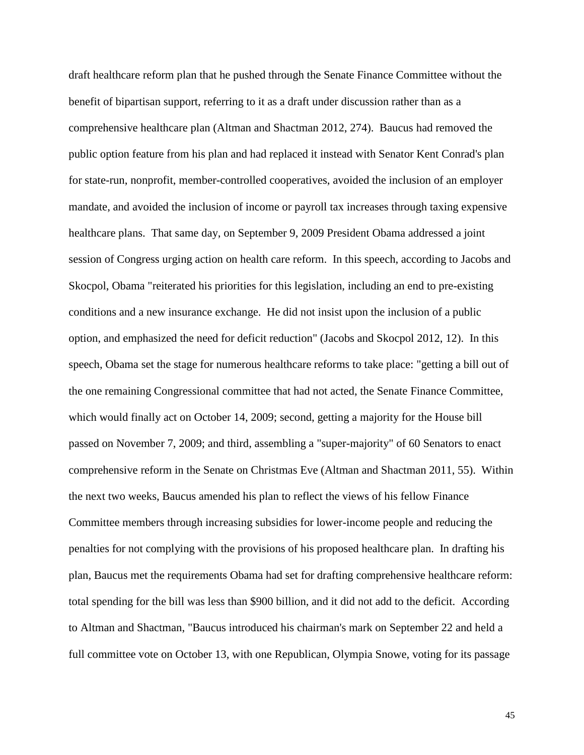draft healthcare reform plan that he pushed through the Senate Finance Committee without the benefit of bipartisan support, referring to it as a draft under discussion rather than as a comprehensive healthcare plan (Altman and Shactman 2012, 274). Baucus had removed the public option feature from his plan and had replaced it instead with Senator Kent Conrad's plan for state-run, nonprofit, member-controlled cooperatives, avoided the inclusion of an employer mandate, and avoided the inclusion of income or payroll tax increases through taxing expensive healthcare plans. That same day, on September 9, 2009 President Obama addressed a joint session of Congress urging action on health care reform. In this speech, according to Jacobs and Skocpol, Obama "reiterated his priorities for this legislation, including an end to pre-existing conditions and a new insurance exchange. He did not insist upon the inclusion of a public option, and emphasized the need for deficit reduction" (Jacobs and Skocpol 2012, 12). In this speech, Obama set the stage for numerous healthcare reforms to take place: "getting a bill out of the one remaining Congressional committee that had not acted, the Senate Finance Committee, which would finally act on October 14, 2009; second, getting a majority for the House bill passed on November 7, 2009; and third, assembling a "super-majority" of 60 Senators to enact comprehensive reform in the Senate on Christmas Eve (Altman and Shactman 2011, 55). Within the next two weeks, Baucus amended his plan to reflect the views of his fellow Finance Committee members through increasing subsidies for lower-income people and reducing the penalties for not complying with the provisions of his proposed healthcare plan. In drafting his plan, Baucus met the requirements Obama had set for drafting comprehensive healthcare reform: total spending for the bill was less than \$900 billion, and it did not add to the deficit. According to Altman and Shactman, "Baucus introduced his chairman's mark on September 22 and held a full committee vote on October 13, with one Republican, Olympia Snowe, voting for its passage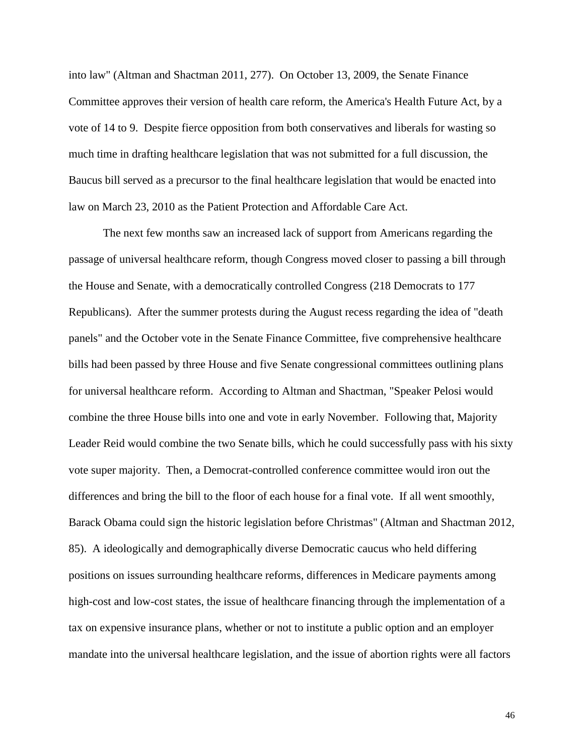into law" (Altman and Shactman 2011, 277). On October 13, 2009, the Senate Finance Committee approves their version of health care reform, the America's Health Future Act, by a vote of 14 to 9. Despite fierce opposition from both conservatives and liberals for wasting so much time in drafting healthcare legislation that was not submitted for a full discussion, the Baucus bill served as a precursor to the final healthcare legislation that would be enacted into law on March 23, 2010 as the Patient Protection and Affordable Care Act.

The next few months saw an increased lack of support from Americans regarding the passage of universal healthcare reform, though Congress moved closer to passing a bill through the House and Senate, with a democratically controlled Congress (218 Democrats to 177 Republicans). After the summer protests during the August recess regarding the idea of "death panels" and the October vote in the Senate Finance Committee, five comprehensive healthcare bills had been passed by three House and five Senate congressional committees outlining plans for universal healthcare reform. According to Altman and Shactman, "Speaker Pelosi would combine the three House bills into one and vote in early November. Following that, Majority Leader Reid would combine the two Senate bills, which he could successfully pass with his sixty vote super majority. Then, a Democrat-controlled conference committee would iron out the differences and bring the bill to the floor of each house for a final vote. If all went smoothly, Barack Obama could sign the historic legislation before Christmas" (Altman and Shactman 2012, 85). A ideologically and demographically diverse Democratic caucus who held differing positions on issues surrounding healthcare reforms, differences in Medicare payments among high-cost and low-cost states, the issue of healthcare financing through the implementation of a tax on expensive insurance plans, whether or not to institute a public option and an employer mandate into the universal healthcare legislation, and the issue of abortion rights were all factors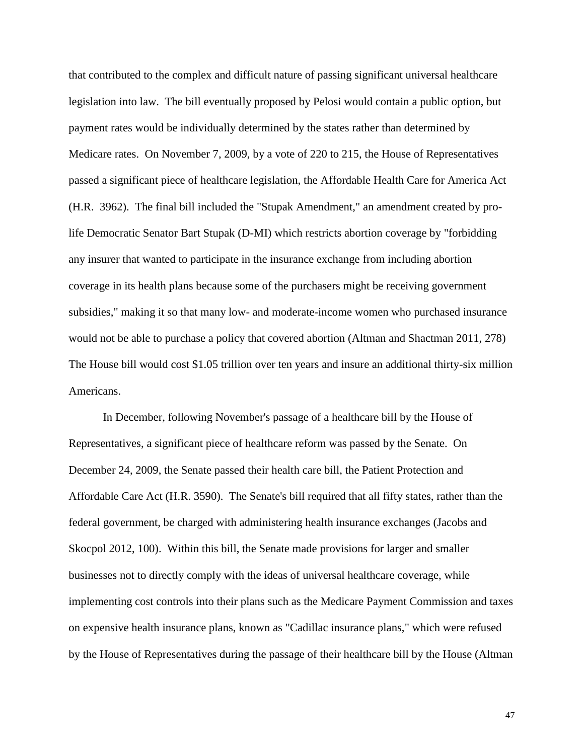that contributed to the complex and difficult nature of passing significant universal healthcare legislation into law. The bill eventually proposed by Pelosi would contain a public option, but payment rates would be individually determined by the states rather than determined by Medicare rates. On November 7, 2009, by a vote of 220 to 215, the House of Representatives passed a significant piece of healthcare legislation, the Affordable Health Care for America Act (H.R. 3962). The final bill included the "Stupak Amendment," an amendment created by prolife Democratic Senator Bart Stupak (D-MI) which restricts abortion coverage by "forbidding any insurer that wanted to participate in the insurance exchange from including abortion coverage in its health plans because some of the purchasers might be receiving government subsidies," making it so that many low- and moderate-income women who purchased insurance would not be able to purchase a policy that covered abortion (Altman and Shactman 2011, 278) The House bill would cost \$1.05 trillion over ten years and insure an additional thirty-six million Americans.

In December, following November's passage of a healthcare bill by the House of Representatives, a significant piece of healthcare reform was passed by the Senate. On December 24, 2009, the Senate passed their health care bill, the Patient Protection and Affordable Care Act (H.R. 3590). The Senate's bill required that all fifty states, rather than the federal government, be charged with administering health insurance exchanges (Jacobs and Skocpol 2012, 100). Within this bill, the Senate made provisions for larger and smaller businesses not to directly comply with the ideas of universal healthcare coverage, while implementing cost controls into their plans such as the Medicare Payment Commission and taxes on expensive health insurance plans, known as "Cadillac insurance plans," which were refused by the House of Representatives during the passage of their healthcare bill by the House (Altman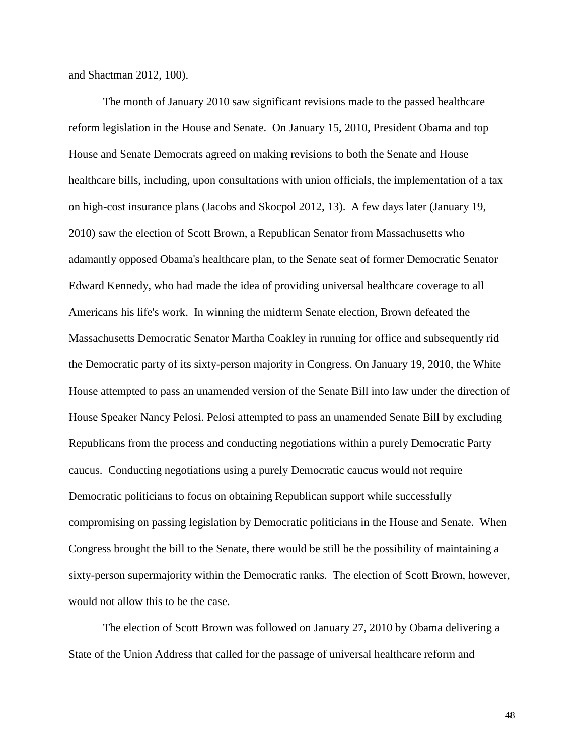and Shactman 2012, 100).

The month of January 2010 saw significant revisions made to the passed healthcare reform legislation in the House and Senate. On January 15, 2010, President Obama and top House and Senate Democrats agreed on making revisions to both the Senate and House healthcare bills, including, upon consultations with union officials, the implementation of a tax on high-cost insurance plans (Jacobs and Skocpol 2012, 13). A few days later (January 19, 2010) saw the election of Scott Brown, a Republican Senator from Massachusetts who adamantly opposed Obama's healthcare plan, to the Senate seat of former Democratic Senator Edward Kennedy, who had made the idea of providing universal healthcare coverage to all Americans his life's work. In winning the midterm Senate election, Brown defeated the Massachusetts Democratic Senator Martha Coakley in running for office and subsequently rid the Democratic party of its sixty-person majority in Congress. On January 19, 2010, the White House attempted to pass an unamended version of the Senate Bill into law under the direction of House Speaker Nancy Pelosi. Pelosi attempted to pass an unamended Senate Bill by excluding Republicans from the process and conducting negotiations within a purely Democratic Party caucus. Conducting negotiations using a purely Democratic caucus would not require Democratic politicians to focus on obtaining Republican support while successfully compromising on passing legislation by Democratic politicians in the House and Senate. When Congress brought the bill to the Senate, there would be still be the possibility of maintaining a sixty-person supermajority within the Democratic ranks. The election of Scott Brown, however, would not allow this to be the case.

The election of Scott Brown was followed on January 27, 2010 by Obama delivering a State of the Union Address that called for the passage of universal healthcare reform and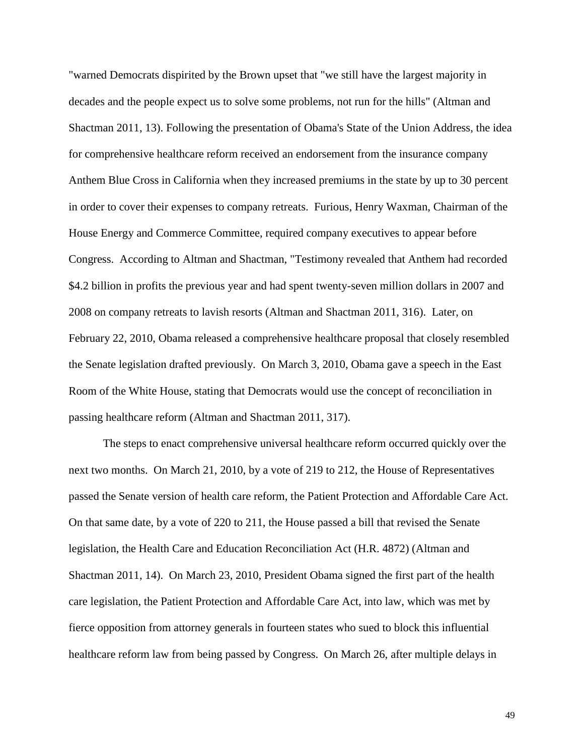"warned Democrats dispirited by the Brown upset that "we still have the largest majority in decades and the people expect us to solve some problems, not run for the hills" (Altman and Shactman 2011, 13). Following the presentation of Obama's State of the Union Address, the idea for comprehensive healthcare reform received an endorsement from the insurance company Anthem Blue Cross in California when they increased premiums in the state by up to 30 percent in order to cover their expenses to company retreats. Furious, Henry Waxman, Chairman of the House Energy and Commerce Committee, required company executives to appear before Congress. According to Altman and Shactman, "Testimony revealed that Anthem had recorded \$4.2 billion in profits the previous year and had spent twenty-seven million dollars in 2007 and 2008 on company retreats to lavish resorts (Altman and Shactman 2011, 316). Later, on February 22, 2010, Obama released a comprehensive healthcare proposal that closely resembled the Senate legislation drafted previously. On March 3, 2010, Obama gave a speech in the East Room of the White House, stating that Democrats would use the concept of reconciliation in passing healthcare reform (Altman and Shactman 2011, 317).

The steps to enact comprehensive universal healthcare reform occurred quickly over the next two months. On March 21, 2010, by a vote of 219 to 212, the House of Representatives passed the Senate version of health care reform, the Patient Protection and Affordable Care Act. On that same date, by a vote of 220 to 211, the House passed a bill that revised the Senate legislation, the Health Care and Education Reconciliation Act (H.R. 4872) (Altman and Shactman 2011, 14). On March 23, 2010, President Obama signed the first part of the health care legislation, the Patient Protection and Affordable Care Act, into law, which was met by fierce opposition from attorney generals in fourteen states who sued to block this influential healthcare reform law from being passed by Congress. On March 26, after multiple delays in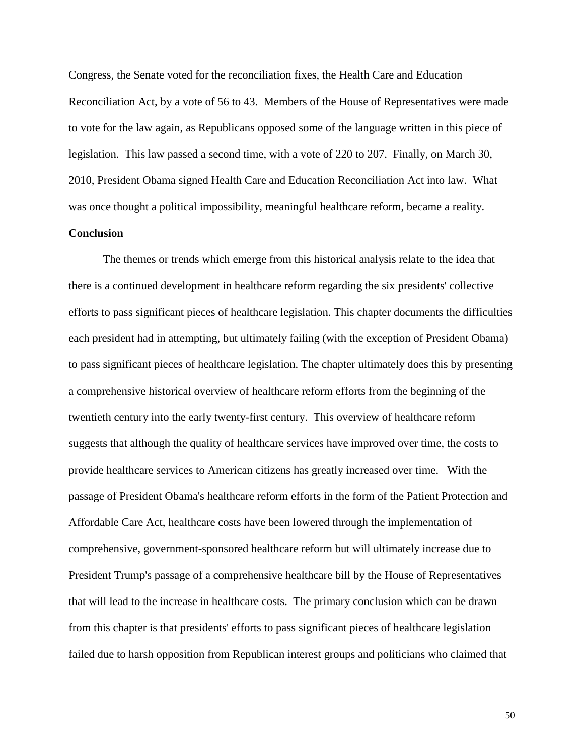Congress, the Senate voted for the reconciliation fixes, the Health Care and Education Reconciliation Act, by a vote of 56 to 43. Members of the House of Representatives were made to vote for the law again, as Republicans opposed some of the language written in this piece of legislation. This law passed a second time, with a vote of 220 to 207. Finally, on March 30, 2010, President Obama signed Health Care and Education Reconciliation Act into law. What was once thought a political impossibility, meaningful healthcare reform, became a reality.

## **Conclusion**

The themes or trends which emerge from this historical analysis relate to the idea that there is a continued development in healthcare reform regarding the six presidents' collective efforts to pass significant pieces of healthcare legislation. This chapter documents the difficulties each president had in attempting, but ultimately failing (with the exception of President Obama) to pass significant pieces of healthcare legislation. The chapter ultimately does this by presenting a comprehensive historical overview of healthcare reform efforts from the beginning of the twentieth century into the early twenty-first century. This overview of healthcare reform suggests that although the quality of healthcare services have improved over time, the costs to provide healthcare services to American citizens has greatly increased over time. With the passage of President Obama's healthcare reform efforts in the form of the Patient Protection and Affordable Care Act, healthcare costs have been lowered through the implementation of comprehensive, government-sponsored healthcare reform but will ultimately increase due to President Trump's passage of a comprehensive healthcare bill by the House of Representatives that will lead to the increase in healthcare costs. The primary conclusion which can be drawn from this chapter is that presidents' efforts to pass significant pieces of healthcare legislation failed due to harsh opposition from Republican interest groups and politicians who claimed that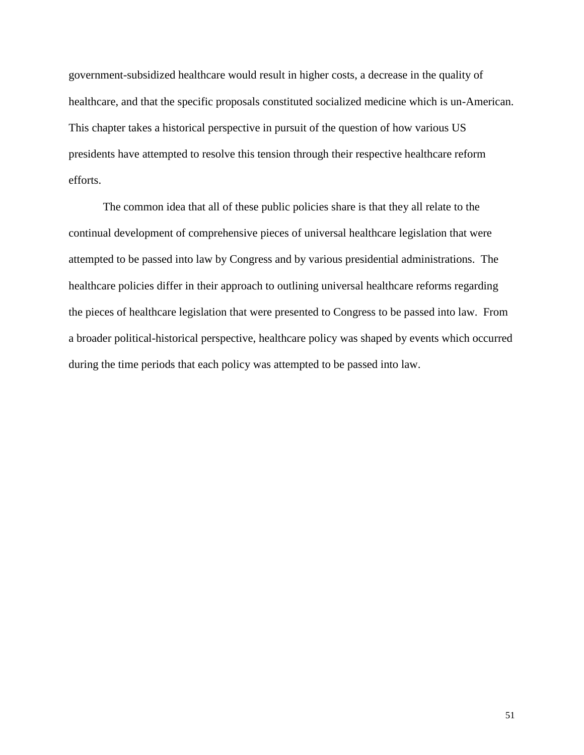government-subsidized healthcare would result in higher costs, a decrease in the quality of healthcare, and that the specific proposals constituted socialized medicine which is un-American. This chapter takes a historical perspective in pursuit of the question of how various US presidents have attempted to resolve this tension through their respective healthcare reform efforts.

The common idea that all of these public policies share is that they all relate to the continual development of comprehensive pieces of universal healthcare legislation that were attempted to be passed into law by Congress and by various presidential administrations. The healthcare policies differ in their approach to outlining universal healthcare reforms regarding the pieces of healthcare legislation that were presented to Congress to be passed into law. From a broader political-historical perspective, healthcare policy was shaped by events which occurred during the time periods that each policy was attempted to be passed into law.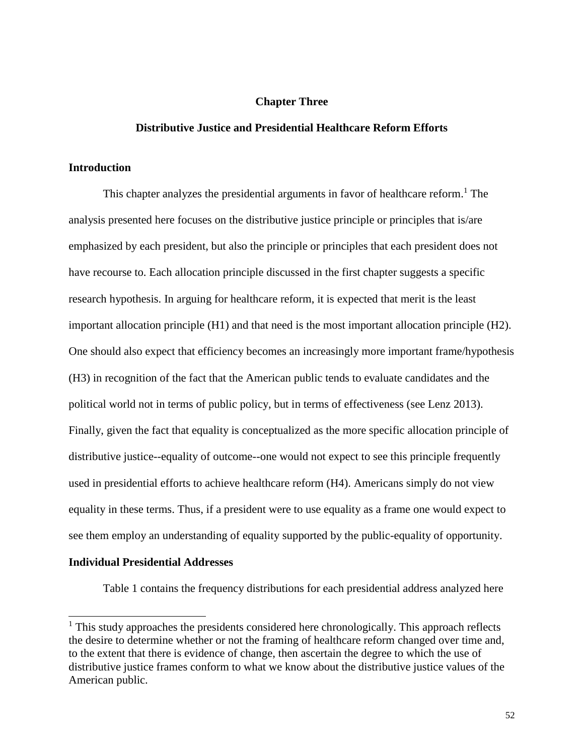## **Chapter Three**

## **Distributive Justice and Presidential Healthcare Reform Efforts**

# **Introduction**

This chapter analyzes the presidential arguments in favor of healthcare reform.<sup>1</sup> The analysis presented here focuses on the distributive justice principle or principles that is/are emphasized by each president, but also the principle or principles that each president does not have recourse to. Each allocation principle discussed in the first chapter suggests a specific research hypothesis. In arguing for healthcare reform, it is expected that merit is the least important allocation principle (H1) and that need is the most important allocation principle (H2). One should also expect that efficiency becomes an increasingly more important frame/hypothesis (H3) in recognition of the fact that the American public tends to evaluate candidates and the political world not in terms of public policy, but in terms of effectiveness (see Lenz 2013). Finally, given the fact that equality is conceptualized as the more specific allocation principle of distributive justice--equality of outcome--one would not expect to see this principle frequently used in presidential efforts to achieve healthcare reform (H4). Americans simply do not view equality in these terms. Thus, if a president were to use equality as a frame one would expect to see them employ an understanding of equality supported by the public-equality of opportunity.

## **Individual Presidential Addresses**

 $\overline{a}$ 

Table 1 contains the frequency distributions for each presidential address analyzed here

 $<sup>1</sup>$  This study approaches the presidents considered here chronologically. This approach reflects</sup> the desire to determine whether or not the framing of healthcare reform changed over time and, to the extent that there is evidence of change, then ascertain the degree to which the use of distributive justice frames conform to what we know about the distributive justice values of the American public.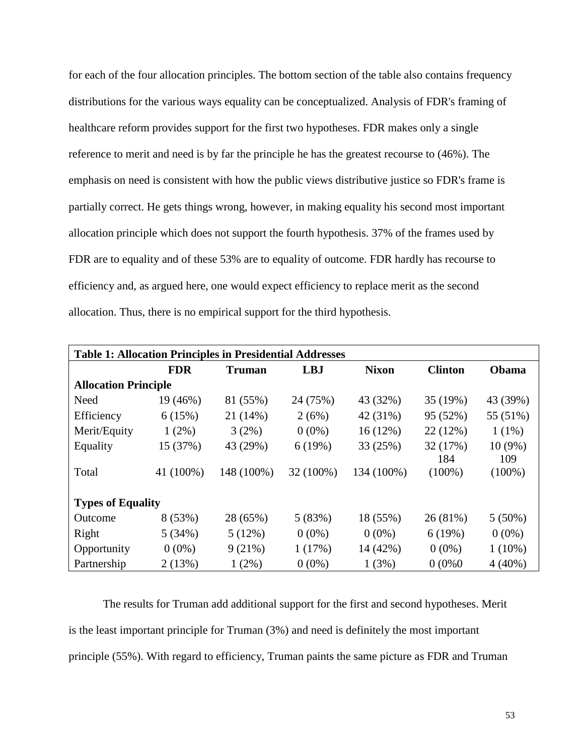for each of the four allocation principles. The bottom section of the table also contains frequency distributions for the various ways equality can be conceptualized. Analysis of FDR's framing of healthcare reform provides support for the first two hypotheses. FDR makes only a single reference to merit and need is by far the principle he has the greatest recourse to (46%). The emphasis on need is consistent with how the public views distributive justice so FDR's frame is partially correct. He gets things wrong, however, in making equality his second most important allocation principle which does not support the fourth hypothesis. 37% of the frames used by FDR are to equality and of these 53% are to equality of outcome. FDR hardly has recourse to efficiency and, as argued here, one would expect efficiency to replace merit as the second allocation. Thus, there is no empirical support for the third hypothesis.

| <b>Table 1: Allocation Principles in Presidential Addresses</b> |            |               |            |              |                |           |  |  |  |  |
|-----------------------------------------------------------------|------------|---------------|------------|--------------|----------------|-----------|--|--|--|--|
|                                                                 | <b>FDR</b> | <b>Truman</b> | <b>LBJ</b> | <b>Nixon</b> | <b>Clinton</b> | Obama     |  |  |  |  |
| <b>Allocation Principle</b>                                     |            |               |            |              |                |           |  |  |  |  |
| Need                                                            | 19 (46%)   | 81 (55%)      | 24 (75%)   | 43 (32%)     | 35(19%)        | 43 (39%)  |  |  |  |  |
| Efficiency                                                      | 6(15%)     | 21(14%)       | 2(6%)      | 42 (31%)     | 95 (52%)       | 55 (51%)  |  |  |  |  |
| Merit/Equity                                                    | $1(2\%)$   | 3(2%)         | $0(0\%)$   | 16(12%)      | 22(12%)        | $1(1\%)$  |  |  |  |  |
| Equality                                                        | 15 (37%)   | 43 (29%)      | 6(19%)     | 33 (25%)     | 32 (17%)       | $10(9\%)$ |  |  |  |  |
|                                                                 |            |               |            |              | 184            | 109       |  |  |  |  |
| Total                                                           | 41 (100%)  | 148 (100%)    | 32 (100%)  | 134 (100%)   | $(100\%)$      | $(100\%)$ |  |  |  |  |
|                                                                 |            |               |            |              |                |           |  |  |  |  |
| <b>Types of Equality</b>                                        |            |               |            |              |                |           |  |  |  |  |
| Outcome                                                         | 8(53%)     | 28 (65%)      | 5(83%)     | 18 (55%)     | 26(81%)        | $5(50\%)$ |  |  |  |  |
| Right                                                           | 5(34%)     | 5(12%)        | $0(0\%)$   | $0(0\%)$     | 6(19%)         | $0(0\%)$  |  |  |  |  |
| Opportunity                                                     | $0(0\%)$   | 9(21%)        | 1(17%)     | 14 (42%)     | $0(0\%)$       | $1(10\%)$ |  |  |  |  |
| Partnership                                                     | 2(13%)     | $1(2\%)$      | $0(0\%)$   | 1(3%)        | 0(0%0)         | $4(40\%)$ |  |  |  |  |

The results for Truman add additional support for the first and second hypotheses. Merit is the least important principle for Truman (3%) and need is definitely the most important principle (55%). With regard to efficiency, Truman paints the same picture as FDR and Truman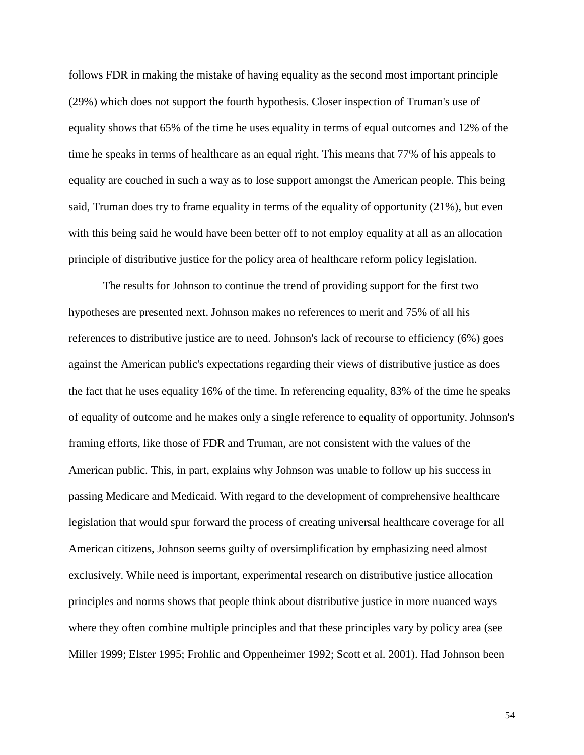follows FDR in making the mistake of having equality as the second most important principle (29%) which does not support the fourth hypothesis. Closer inspection of Truman's use of equality shows that 65% of the time he uses equality in terms of equal outcomes and 12% of the time he speaks in terms of healthcare as an equal right. This means that 77% of his appeals to equality are couched in such a way as to lose support amongst the American people. This being said, Truman does try to frame equality in terms of the equality of opportunity (21%), but even with this being said he would have been better off to not employ equality at all as an allocation principle of distributive justice for the policy area of healthcare reform policy legislation.

The results for Johnson to continue the trend of providing support for the first two hypotheses are presented next. Johnson makes no references to merit and 75% of all his references to distributive justice are to need. Johnson's lack of recourse to efficiency (6%) goes against the American public's expectations regarding their views of distributive justice as does the fact that he uses equality 16% of the time. In referencing equality, 83% of the time he speaks of equality of outcome and he makes only a single reference to equality of opportunity. Johnson's framing efforts, like those of FDR and Truman, are not consistent with the values of the American public. This, in part, explains why Johnson was unable to follow up his success in passing Medicare and Medicaid. With regard to the development of comprehensive healthcare legislation that would spur forward the process of creating universal healthcare coverage for all American citizens, Johnson seems guilty of oversimplification by emphasizing need almost exclusively. While need is important, experimental research on distributive justice allocation principles and norms shows that people think about distributive justice in more nuanced ways where they often combine multiple principles and that these principles vary by policy area (see Miller 1999; Elster 1995; Frohlic and Oppenheimer 1992; Scott et al. 2001). Had Johnson been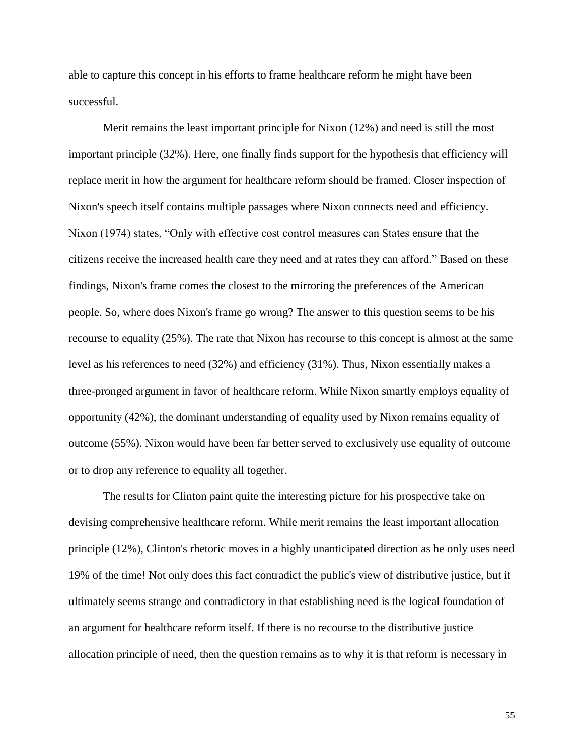able to capture this concept in his efforts to frame healthcare reform he might have been successful.

Merit remains the least important principle for Nixon (12%) and need is still the most important principle (32%). Here, one finally finds support for the hypothesis that efficiency will replace merit in how the argument for healthcare reform should be framed. Closer inspection of Nixon's speech itself contains multiple passages where Nixon connects need and efficiency. Nixon (1974) states, "Only with effective cost control measures can States ensure that the citizens receive the increased health care they need and at rates they can afford." Based on these findings, Nixon's frame comes the closest to the mirroring the preferences of the American people. So, where does Nixon's frame go wrong? The answer to this question seems to be his recourse to equality (25%). The rate that Nixon has recourse to this concept is almost at the same level as his references to need (32%) and efficiency (31%). Thus, Nixon essentially makes a three-pronged argument in favor of healthcare reform. While Nixon smartly employs equality of opportunity (42%), the dominant understanding of equality used by Nixon remains equality of outcome (55%). Nixon would have been far better served to exclusively use equality of outcome or to drop any reference to equality all together.

The results for Clinton paint quite the interesting picture for his prospective take on devising comprehensive healthcare reform. While merit remains the least important allocation principle (12%), Clinton's rhetoric moves in a highly unanticipated direction as he only uses need 19% of the time! Not only does this fact contradict the public's view of distributive justice, but it ultimately seems strange and contradictory in that establishing need is the logical foundation of an argument for healthcare reform itself. If there is no recourse to the distributive justice allocation principle of need, then the question remains as to why it is that reform is necessary in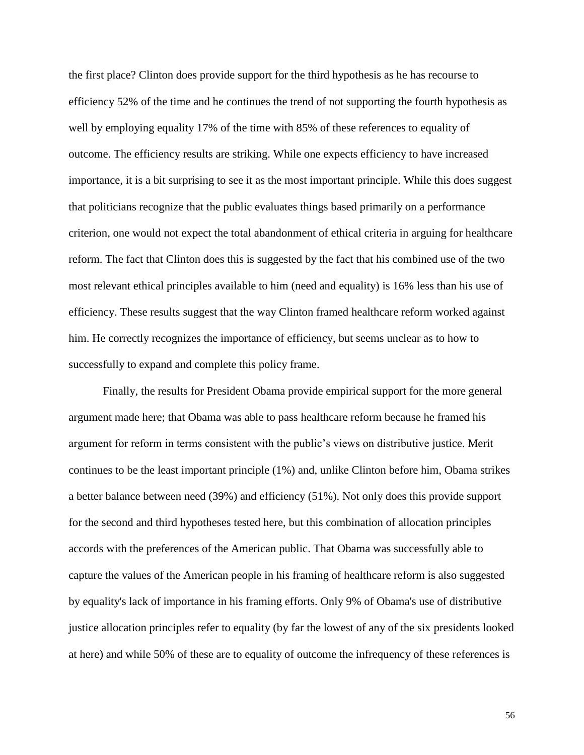the first place? Clinton does provide support for the third hypothesis as he has recourse to efficiency 52% of the time and he continues the trend of not supporting the fourth hypothesis as well by employing equality 17% of the time with 85% of these references to equality of outcome. The efficiency results are striking. While one expects efficiency to have increased importance, it is a bit surprising to see it as the most important principle. While this does suggest that politicians recognize that the public evaluates things based primarily on a performance criterion, one would not expect the total abandonment of ethical criteria in arguing for healthcare reform. The fact that Clinton does this is suggested by the fact that his combined use of the two most relevant ethical principles available to him (need and equality) is 16% less than his use of efficiency. These results suggest that the way Clinton framed healthcare reform worked against him. He correctly recognizes the importance of efficiency, but seems unclear as to how to successfully to expand and complete this policy frame.

Finally, the results for President Obama provide empirical support for the more general argument made here; that Obama was able to pass healthcare reform because he framed his argument for reform in terms consistent with the public's views on distributive justice. Merit continues to be the least important principle (1%) and, unlike Clinton before him, Obama strikes a better balance between need (39%) and efficiency (51%). Not only does this provide support for the second and third hypotheses tested here, but this combination of allocation principles accords with the preferences of the American public. That Obama was successfully able to capture the values of the American people in his framing of healthcare reform is also suggested by equality's lack of importance in his framing efforts. Only 9% of Obama's use of distributive justice allocation principles refer to equality (by far the lowest of any of the six presidents looked at here) and while 50% of these are to equality of outcome the infrequency of these references is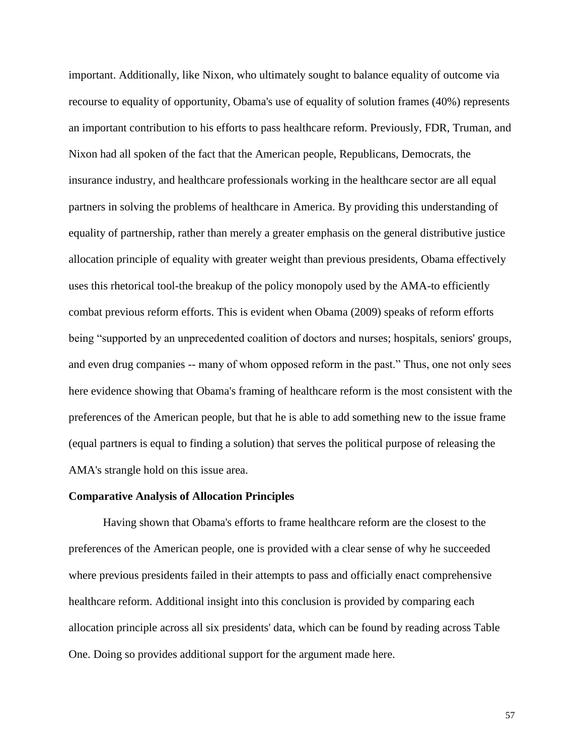important. Additionally, like Nixon, who ultimately sought to balance equality of outcome via recourse to equality of opportunity, Obama's use of equality of solution frames (40%) represents an important contribution to his efforts to pass healthcare reform. Previously, FDR, Truman, and Nixon had all spoken of the fact that the American people, Republicans, Democrats, the insurance industry, and healthcare professionals working in the healthcare sector are all equal partners in solving the problems of healthcare in America. By providing this understanding of equality of partnership, rather than merely a greater emphasis on the general distributive justice allocation principle of equality with greater weight than previous presidents, Obama effectively uses this rhetorical tool-the breakup of the policy monopoly used by the AMA-to efficiently combat previous reform efforts. This is evident when Obama (2009) speaks of reform efforts being "supported by an unprecedented coalition of doctors and nurses; hospitals, seniors' groups, and even drug companies -- many of whom opposed reform in the past." Thus, one not only sees here evidence showing that Obama's framing of healthcare reform is the most consistent with the preferences of the American people, but that he is able to add something new to the issue frame (equal partners is equal to finding a solution) that serves the political purpose of releasing the AMA's strangle hold on this issue area.

#### **Comparative Analysis of Allocation Principles**

Having shown that Obama's efforts to frame healthcare reform are the closest to the preferences of the American people, one is provided with a clear sense of why he succeeded where previous presidents failed in their attempts to pass and officially enact comprehensive healthcare reform. Additional insight into this conclusion is provided by comparing each allocation principle across all six presidents' data, which can be found by reading across Table One. Doing so provides additional support for the argument made here.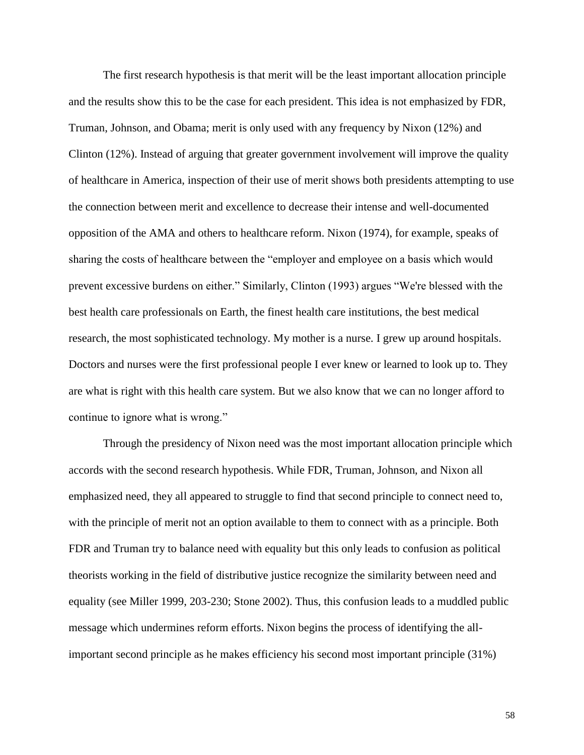The first research hypothesis is that merit will be the least important allocation principle and the results show this to be the case for each president. This idea is not emphasized by FDR, Truman, Johnson, and Obama; merit is only used with any frequency by Nixon (12%) and Clinton (12%). Instead of arguing that greater government involvement will improve the quality of healthcare in America, inspection of their use of merit shows both presidents attempting to use the connection between merit and excellence to decrease their intense and well-documented opposition of the AMA and others to healthcare reform. Nixon (1974), for example, speaks of sharing the costs of healthcare between the "employer and employee on a basis which would prevent excessive burdens on either." Similarly, Clinton (1993) argues "We're blessed with the best health care professionals on Earth, the finest health care institutions, the best medical research, the most sophisticated technology. My mother is a nurse. I grew up around hospitals. Doctors and nurses were the first professional people I ever knew or learned to look up to. They are what is right with this health care system. But we also know that we can no longer afford to continue to ignore what is wrong."

Through the presidency of Nixon need was the most important allocation principle which accords with the second research hypothesis. While FDR, Truman, Johnson, and Nixon all emphasized need, they all appeared to struggle to find that second principle to connect need to, with the principle of merit not an option available to them to connect with as a principle. Both FDR and Truman try to balance need with equality but this only leads to confusion as political theorists working in the field of distributive justice recognize the similarity between need and equality (see Miller 1999, 203-230; Stone 2002). Thus, this confusion leads to a muddled public message which undermines reform efforts. Nixon begins the process of identifying the allimportant second principle as he makes efficiency his second most important principle (31%)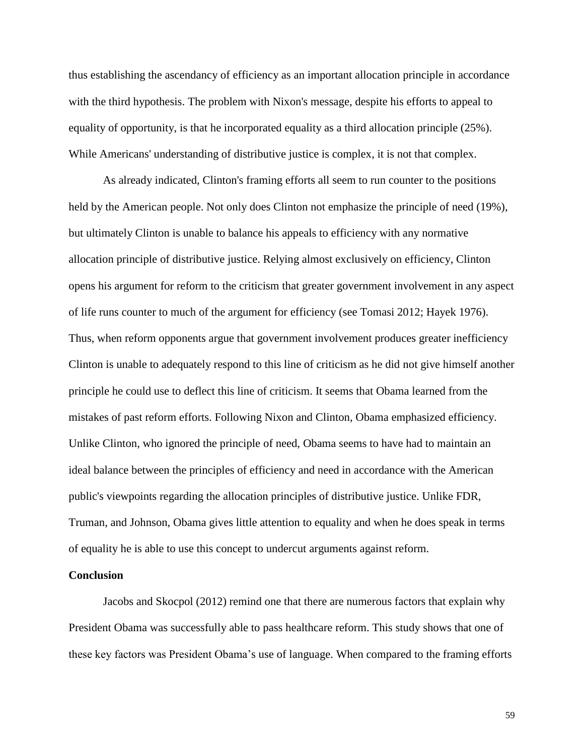thus establishing the ascendancy of efficiency as an important allocation principle in accordance with the third hypothesis. The problem with Nixon's message, despite his efforts to appeal to equality of opportunity, is that he incorporated equality as a third allocation principle (25%). While Americans' understanding of distributive justice is complex, it is not that complex.

As already indicated, Clinton's framing efforts all seem to run counter to the positions held by the American people. Not only does Clinton not emphasize the principle of need (19%), but ultimately Clinton is unable to balance his appeals to efficiency with any normative allocation principle of distributive justice. Relying almost exclusively on efficiency, Clinton opens his argument for reform to the criticism that greater government involvement in any aspect of life runs counter to much of the argument for efficiency (see Tomasi 2012; Hayek 1976). Thus, when reform opponents argue that government involvement produces greater inefficiency Clinton is unable to adequately respond to this line of criticism as he did not give himself another principle he could use to deflect this line of criticism. It seems that Obama learned from the mistakes of past reform efforts. Following Nixon and Clinton, Obama emphasized efficiency. Unlike Clinton, who ignored the principle of need, Obama seems to have had to maintain an ideal balance between the principles of efficiency and need in accordance with the American public's viewpoints regarding the allocation principles of distributive justice. Unlike FDR, Truman, and Johnson, Obama gives little attention to equality and when he does speak in terms of equality he is able to use this concept to undercut arguments against reform.

### **Conclusion**

Jacobs and Skocpol (2012) remind one that there are numerous factors that explain why President Obama was successfully able to pass healthcare reform. This study shows that one of these key factors was President Obama's use of language. When compared to the framing efforts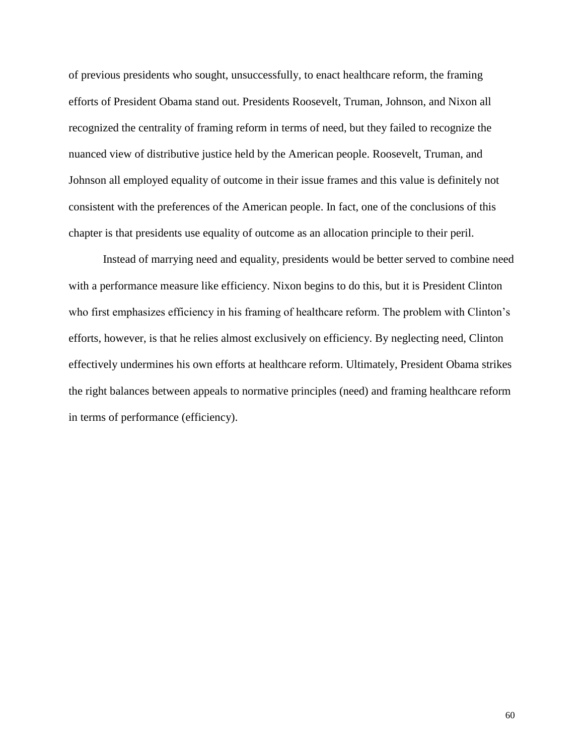of previous presidents who sought, unsuccessfully, to enact healthcare reform, the framing efforts of President Obama stand out. Presidents Roosevelt, Truman, Johnson, and Nixon all recognized the centrality of framing reform in terms of need, but they failed to recognize the nuanced view of distributive justice held by the American people. Roosevelt, Truman, and Johnson all employed equality of outcome in their issue frames and this value is definitely not consistent with the preferences of the American people. In fact, one of the conclusions of this chapter is that presidents use equality of outcome as an allocation principle to their peril.

Instead of marrying need and equality, presidents would be better served to combine need with a performance measure like efficiency. Nixon begins to do this, but it is President Clinton who first emphasizes efficiency in his framing of healthcare reform. The problem with Clinton's efforts, however, is that he relies almost exclusively on efficiency. By neglecting need, Clinton effectively undermines his own efforts at healthcare reform. Ultimately, President Obama strikes the right balances between appeals to normative principles (need) and framing healthcare reform in terms of performance (efficiency).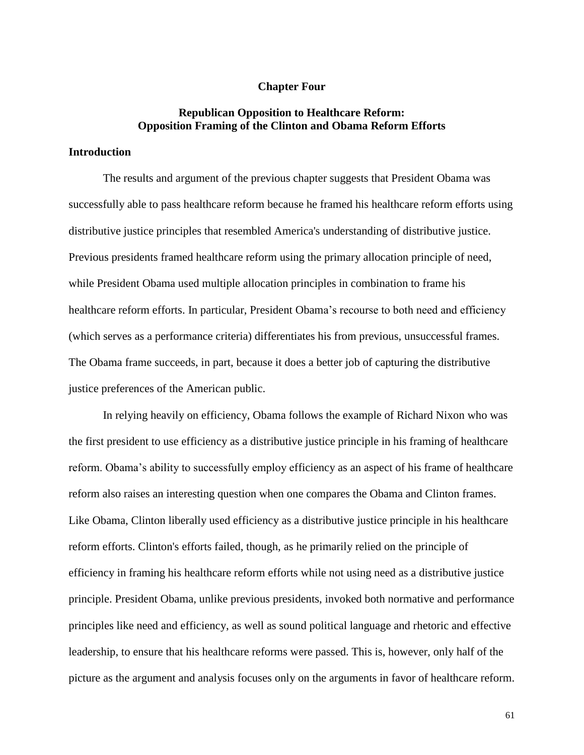#### **Chapter Four**

# **Republican Opposition to Healthcare Reform: Opposition Framing of the Clinton and Obama Reform Efforts**

# **Introduction**

The results and argument of the previous chapter suggests that President Obama was successfully able to pass healthcare reform because he framed his healthcare reform efforts using distributive justice principles that resembled America's understanding of distributive justice. Previous presidents framed healthcare reform using the primary allocation principle of need, while President Obama used multiple allocation principles in combination to frame his healthcare reform efforts. In particular, President Obama's recourse to both need and efficiency (which serves as a performance criteria) differentiates his from previous, unsuccessful frames. The Obama frame succeeds, in part, because it does a better job of capturing the distributive justice preferences of the American public.

In relying heavily on efficiency, Obama follows the example of Richard Nixon who was the first president to use efficiency as a distributive justice principle in his framing of healthcare reform. Obama's ability to successfully employ efficiency as an aspect of his frame of healthcare reform also raises an interesting question when one compares the Obama and Clinton frames. Like Obama, Clinton liberally used efficiency as a distributive justice principle in his healthcare reform efforts. Clinton's efforts failed, though, as he primarily relied on the principle of efficiency in framing his healthcare reform efforts while not using need as a distributive justice principle. President Obama, unlike previous presidents, invoked both normative and performance principles like need and efficiency, as well as sound political language and rhetoric and effective leadership, to ensure that his healthcare reforms were passed. This is, however, only half of the picture as the argument and analysis focuses only on the arguments in favor of healthcare reform.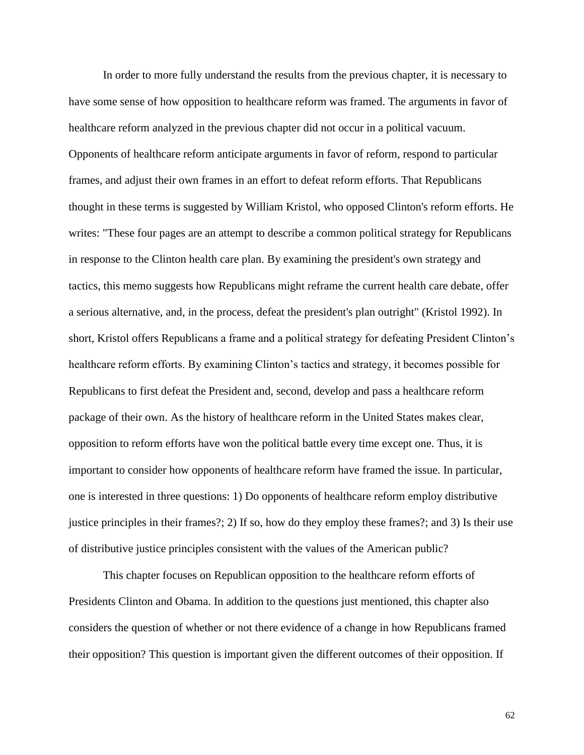In order to more fully understand the results from the previous chapter, it is necessary to have some sense of how opposition to healthcare reform was framed. The arguments in favor of healthcare reform analyzed in the previous chapter did not occur in a political vacuum. Opponents of healthcare reform anticipate arguments in favor of reform, respond to particular frames, and adjust their own frames in an effort to defeat reform efforts. That Republicans thought in these terms is suggested by William Kristol, who opposed Clinton's reform efforts. He writes: "These four pages are an attempt to describe a common political strategy for Republicans in response to the Clinton health care plan. By examining the president's own strategy and tactics, this memo suggests how Republicans might reframe the current health care debate, offer a serious alternative, and, in the process, defeat the president's plan outright" (Kristol 1992). In short, Kristol offers Republicans a frame and a political strategy for defeating President Clinton's healthcare reform efforts. By examining Clinton's tactics and strategy, it becomes possible for Republicans to first defeat the President and, second, develop and pass a healthcare reform package of their own. As the history of healthcare reform in the United States makes clear, opposition to reform efforts have won the political battle every time except one. Thus, it is important to consider how opponents of healthcare reform have framed the issue. In particular, one is interested in three questions: 1) Do opponents of healthcare reform employ distributive justice principles in their frames?; 2) If so, how do they employ these frames?; and 3) Is their use of distributive justice principles consistent with the values of the American public?

This chapter focuses on Republican opposition to the healthcare reform efforts of Presidents Clinton and Obama. In addition to the questions just mentioned, this chapter also considers the question of whether or not there evidence of a change in how Republicans framed their opposition? This question is important given the different outcomes of their opposition. If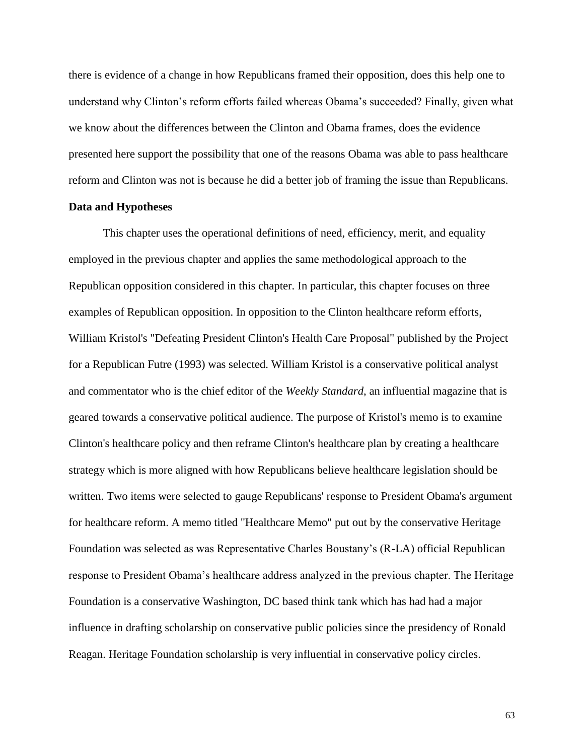there is evidence of a change in how Republicans framed their opposition, does this help one to understand why Clinton's reform efforts failed whereas Obama's succeeded? Finally, given what we know about the differences between the Clinton and Obama frames, does the evidence presented here support the possibility that one of the reasons Obama was able to pass healthcare reform and Clinton was not is because he did a better job of framing the issue than Republicans.

#### **Data and Hypotheses**

This chapter uses the operational definitions of need, efficiency, merit, and equality employed in the previous chapter and applies the same methodological approach to the Republican opposition considered in this chapter. In particular, this chapter focuses on three examples of Republican opposition. In opposition to the Clinton healthcare reform efforts, William Kristol's "Defeating President Clinton's Health Care Proposal" published by the Project for a Republican Futre (1993) was selected. William Kristol is a conservative political analyst and commentator who is the chief editor of the *Weekly Standard*, an influential magazine that is geared towards a conservative political audience. The purpose of Kristol's memo is to examine Clinton's healthcare policy and then reframe Clinton's healthcare plan by creating a healthcare strategy which is more aligned with how Republicans believe healthcare legislation should be written. Two items were selected to gauge Republicans' response to President Obama's argument for healthcare reform. A memo titled "Healthcare Memo" put out by the conservative Heritage Foundation was selected as was Representative Charles Boustany's (R-LA) official Republican response to President Obama's healthcare address analyzed in the previous chapter. The Heritage Foundation is a conservative Washington, DC based think tank which has had had a major influence in drafting scholarship on conservative public policies since the presidency of Ronald Reagan. Heritage Foundation scholarship is very influential in conservative policy circles.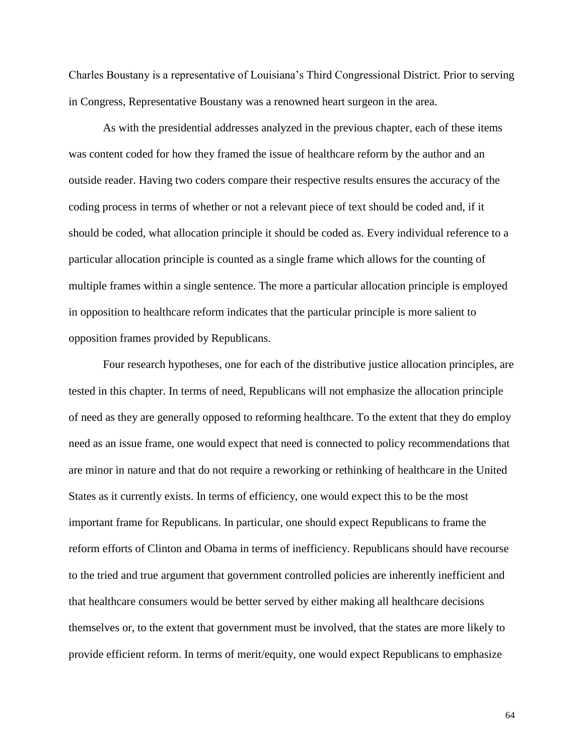Charles Boustany is a representative of Louisiana's Third Congressional District. Prior to serving in Congress, Representative Boustany was a renowned heart surgeon in the area.

As with the presidential addresses analyzed in the previous chapter, each of these items was content coded for how they framed the issue of healthcare reform by the author and an outside reader. Having two coders compare their respective results ensures the accuracy of the coding process in terms of whether or not a relevant piece of text should be coded and, if it should be coded, what allocation principle it should be coded as. Every individual reference to a particular allocation principle is counted as a single frame which allows for the counting of multiple frames within a single sentence. The more a particular allocation principle is employed in opposition to healthcare reform indicates that the particular principle is more salient to opposition frames provided by Republicans.

Four research hypotheses, one for each of the distributive justice allocation principles, are tested in this chapter. In terms of need, Republicans will not emphasize the allocation principle of need as they are generally opposed to reforming healthcare. To the extent that they do employ need as an issue frame, one would expect that need is connected to policy recommendations that are minor in nature and that do not require a reworking or rethinking of healthcare in the United States as it currently exists. In terms of efficiency, one would expect this to be the most important frame for Republicans. In particular, one should expect Republicans to frame the reform efforts of Clinton and Obama in terms of inefficiency. Republicans should have recourse to the tried and true argument that government controlled policies are inherently inefficient and that healthcare consumers would be better served by either making all healthcare decisions themselves or, to the extent that government must be involved, that the states are more likely to provide efficient reform. In terms of merit/equity, one would expect Republicans to emphasize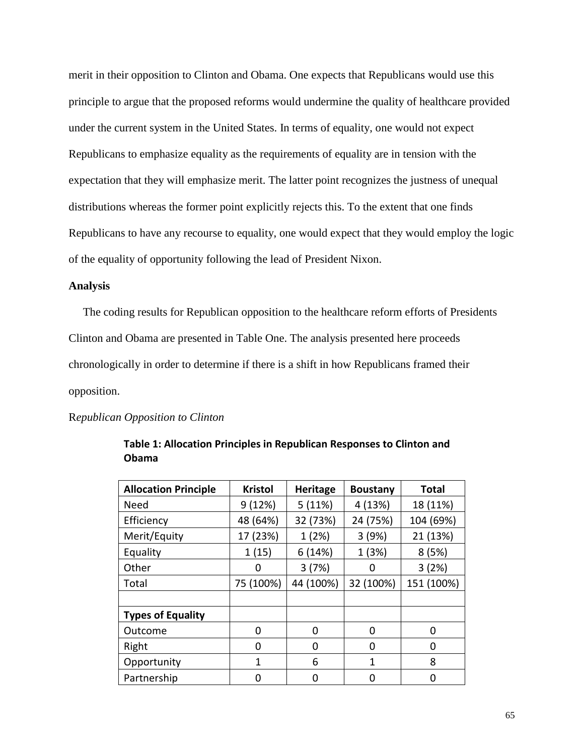merit in their opposition to Clinton and Obama. One expects that Republicans would use this principle to argue that the proposed reforms would undermine the quality of healthcare provided under the current system in the United States. In terms of equality, one would not expect Republicans to emphasize equality as the requirements of equality are in tension with the expectation that they will emphasize merit. The latter point recognizes the justness of unequal distributions whereas the former point explicitly rejects this. To the extent that one finds Republicans to have any recourse to equality, one would expect that they would employ the logic of the equality of opportunity following the lead of President Nixon.

## **Analysis**

 The coding results for Republican opposition to the healthcare reform efforts of Presidents Clinton and Obama are presented in Table One. The analysis presented here proceeds chronologically in order to determine if there is a shift in how Republicans framed their opposition.

#### R*epublican Opposition to Clinton*

| <b>Allocation Principle</b> | <b>Kristol</b> | <b>Heritage</b> | <b>Boustany</b> | <b>Total</b> |
|-----------------------------|----------------|-----------------|-----------------|--------------|
| <b>Need</b>                 | 9(12%)         | 5(11%)          | 4 (13%)         | 18 (11%)     |
| Efficiency                  | 48 (64%)       | 32 (73%)        | 24 (75%)        | 104 (69%)    |
| Merit/Equity                | 17 (23%)       | 1(2%)           | 3(9%)           | 21 (13%)     |
| Equality                    | 1(15)          | 6(14%)          | 1 (3%)          | 8(5%)        |
| Other                       | 0              | 3(7%)           | 0               | 3(2%)        |
| Total                       | 75 (100%)      | 44 (100%)       | 32 (100%)       | 151 (100%)   |
|                             |                |                 |                 |              |
| <b>Types of Equality</b>    |                |                 |                 |              |
| Outcome                     | 0              | $\Omega$        | 0               | O            |
| Right                       | 0              | 0               | 0               | 0            |
| Opportunity                 | 1              | 6               | 1               | 8            |
| Partnership                 | O              | 0               | 0               | Ⴖ            |

**Table 1: Allocation Principles in Republican Responses to Clinton and Obama**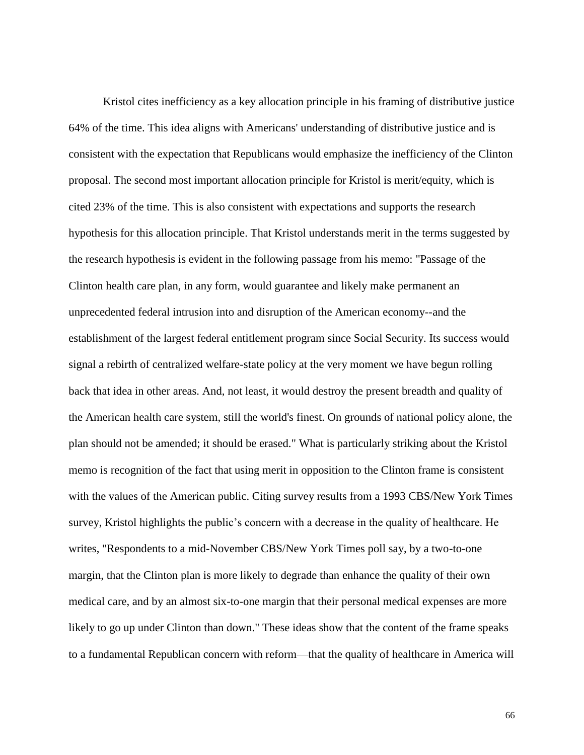Kristol cites inefficiency as a key allocation principle in his framing of distributive justice 64% of the time. This idea aligns with Americans' understanding of distributive justice and is consistent with the expectation that Republicans would emphasize the inefficiency of the Clinton proposal. The second most important allocation principle for Kristol is merit/equity, which is cited 23% of the time. This is also consistent with expectations and supports the research hypothesis for this allocation principle. That Kristol understands merit in the terms suggested by the research hypothesis is evident in the following passage from his memo: "Passage of the Clinton health care plan, in any form, would guarantee and likely make permanent an unprecedented federal intrusion into and disruption of the American economy--and the establishment of the largest federal entitlement program since Social Security. Its success would signal a rebirth of centralized welfare-state policy at the very moment we have begun rolling back that idea in other areas. And, not least, it would destroy the present breadth and quality of the American health care system, still the world's finest. On grounds of national policy alone, the plan should not be amended; it should be erased." What is particularly striking about the Kristol memo is recognition of the fact that using merit in opposition to the Clinton frame is consistent with the values of the American public. Citing survey results from a 1993 CBS/New York Times survey, Kristol highlights the public's concern with a decrease in the quality of healthcare. He writes, "Respondents to a mid-November CBS/New York Times poll say, by a two-to-one margin, that the Clinton plan is more likely to degrade than enhance the quality of their own medical care, and by an almost six-to-one margin that their personal medical expenses are more likely to go up under Clinton than down." These ideas show that the content of the frame speaks to a fundamental Republican concern with reform—that the quality of healthcare in America will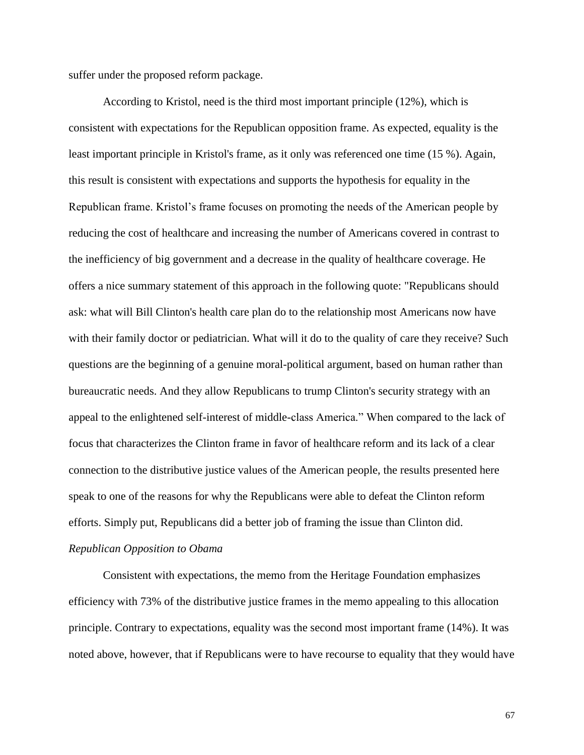suffer under the proposed reform package.

According to Kristol, need is the third most important principle (12%), which is consistent with expectations for the Republican opposition frame. As expected, equality is the least important principle in Kristol's frame, as it only was referenced one time (15 %). Again, this result is consistent with expectations and supports the hypothesis for equality in the Republican frame. Kristol's frame focuses on promoting the needs of the American people by reducing the cost of healthcare and increasing the number of Americans covered in contrast to the inefficiency of big government and a decrease in the quality of healthcare coverage. He offers a nice summary statement of this approach in the following quote: "Republicans should ask: what will Bill Clinton's health care plan do to the relationship most Americans now have with their family doctor or pediatrician. What will it do to the quality of care they receive? Such questions are the beginning of a genuine moral-political argument, based on human rather than bureaucratic needs. And they allow Republicans to trump Clinton's security strategy with an appeal to the enlightened self-interest of middle-class America." When compared to the lack of focus that characterizes the Clinton frame in favor of healthcare reform and its lack of a clear connection to the distributive justice values of the American people, the results presented here speak to one of the reasons for why the Republicans were able to defeat the Clinton reform efforts. Simply put, Republicans did a better job of framing the issue than Clinton did.

# *Republican Opposition to Obama*

Consistent with expectations, the memo from the Heritage Foundation emphasizes efficiency with 73% of the distributive justice frames in the memo appealing to this allocation principle. Contrary to expectations, equality was the second most important frame (14%). It was noted above, however, that if Republicans were to have recourse to equality that they would have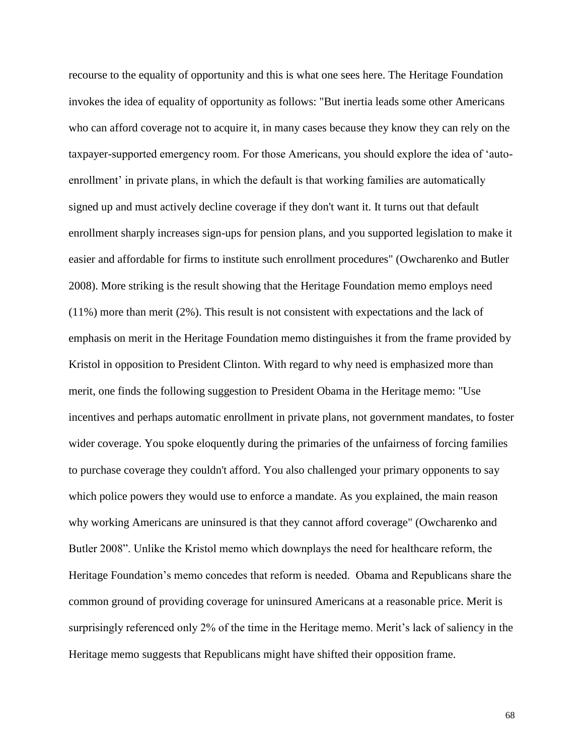recourse to the equality of opportunity and this is what one sees here. The Heritage Foundation invokes the idea of equality of opportunity as follows: "But inertia leads some other Americans who can afford coverage not to acquire it, in many cases because they know they can rely on the taxpayer-supported emergency room. For those Americans, you should explore the idea of 'autoenrollment' in private plans, in which the default is that working families are automatically signed up and must actively decline coverage if they don't want it. It turns out that default enrollment sharply increases sign-ups for pension plans, and you supported legislation to make it easier and affordable for firms to institute such enrollment procedures" (Owcharenko and Butler 2008). More striking is the result showing that the Heritage Foundation memo employs need (11%) more than merit (2%). This result is not consistent with expectations and the lack of emphasis on merit in the Heritage Foundation memo distinguishes it from the frame provided by Kristol in opposition to President Clinton. With regard to why need is emphasized more than merit, one finds the following suggestion to President Obama in the Heritage memo: "Use incentives and perhaps automatic enrollment in private plans, not government mandates, to foster wider coverage. You spoke eloquently during the primaries of the unfairness of forcing families to purchase coverage they couldn't afford. You also challenged your primary opponents to say which police powers they would use to enforce a mandate. As you explained, the main reason why working Americans are uninsured is that they cannot afford coverage" (Owcharenko and Butler 2008". Unlike the Kristol memo which downplays the need for healthcare reform, the Heritage Foundation's memo concedes that reform is needed. Obama and Republicans share the common ground of providing coverage for uninsured Americans at a reasonable price. Merit is surprisingly referenced only 2% of the time in the Heritage memo. Merit's lack of saliency in the Heritage memo suggests that Republicans might have shifted their opposition frame.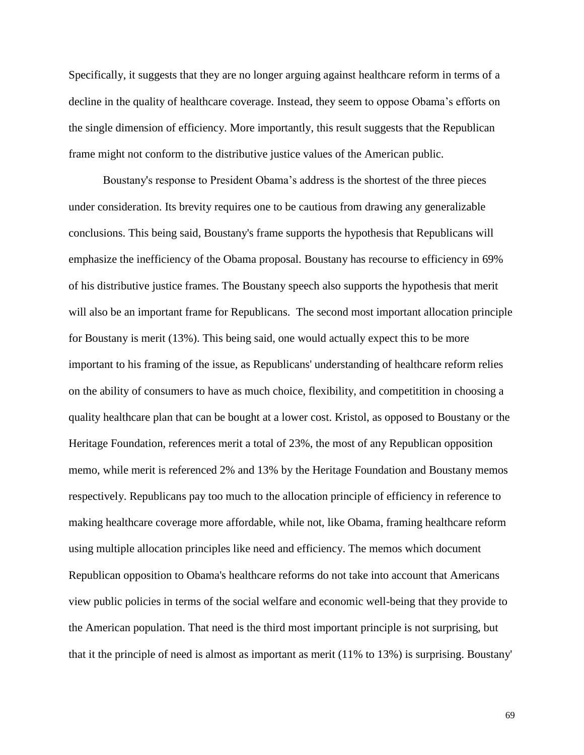Specifically, it suggests that they are no longer arguing against healthcare reform in terms of a decline in the quality of healthcare coverage. Instead, they seem to oppose Obama's efforts on the single dimension of efficiency. More importantly, this result suggests that the Republican frame might not conform to the distributive justice values of the American public.

Boustany's response to President Obama's address is the shortest of the three pieces under consideration. Its brevity requires one to be cautious from drawing any generalizable conclusions. This being said, Boustany's frame supports the hypothesis that Republicans will emphasize the inefficiency of the Obama proposal. Boustany has recourse to efficiency in 69% of his distributive justice frames. The Boustany speech also supports the hypothesis that merit will also be an important frame for Republicans. The second most important allocation principle for Boustany is merit (13%). This being said, one would actually expect this to be more important to his framing of the issue, as Republicans' understanding of healthcare reform relies on the ability of consumers to have as much choice, flexibility, and competitition in choosing a quality healthcare plan that can be bought at a lower cost. Kristol, as opposed to Boustany or the Heritage Foundation, references merit a total of 23%, the most of any Republican opposition memo, while merit is referenced 2% and 13% by the Heritage Foundation and Boustany memos respectively. Republicans pay too much to the allocation principle of efficiency in reference to making healthcare coverage more affordable, while not, like Obama, framing healthcare reform using multiple allocation principles like need and efficiency. The memos which document Republican opposition to Obama's healthcare reforms do not take into account that Americans view public policies in terms of the social welfare and economic well-being that they provide to the American population. That need is the third most important principle is not surprising, but that it the principle of need is almost as important as merit (11% to 13%) is surprising. Boustany'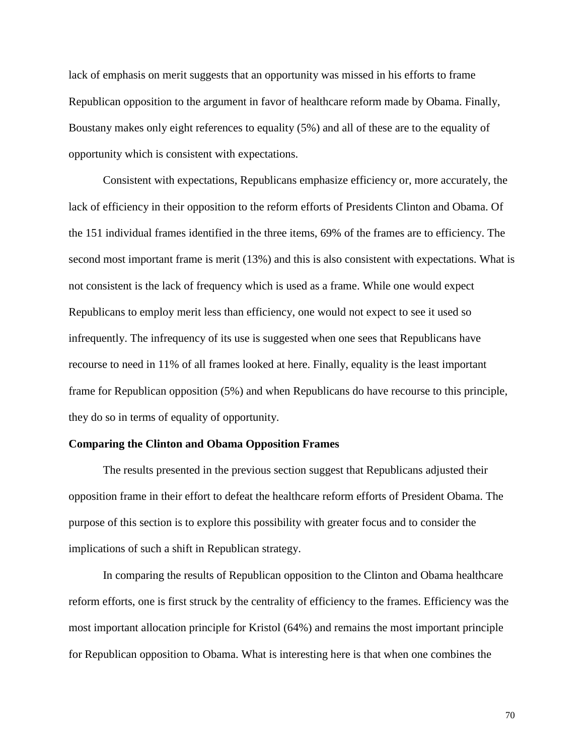lack of emphasis on merit suggests that an opportunity was missed in his efforts to frame Republican opposition to the argument in favor of healthcare reform made by Obama. Finally, Boustany makes only eight references to equality (5%) and all of these are to the equality of opportunity which is consistent with expectations.

Consistent with expectations, Republicans emphasize efficiency or, more accurately, the lack of efficiency in their opposition to the reform efforts of Presidents Clinton and Obama. Of the 151 individual frames identified in the three items, 69% of the frames are to efficiency. The second most important frame is merit (13%) and this is also consistent with expectations. What is not consistent is the lack of frequency which is used as a frame. While one would expect Republicans to employ merit less than efficiency, one would not expect to see it used so infrequently. The infrequency of its use is suggested when one sees that Republicans have recourse to need in 11% of all frames looked at here. Finally, equality is the least important frame for Republican opposition (5%) and when Republicans do have recourse to this principle, they do so in terms of equality of opportunity.

#### **Comparing the Clinton and Obama Opposition Frames**

The results presented in the previous section suggest that Republicans adjusted their opposition frame in their effort to defeat the healthcare reform efforts of President Obama. The purpose of this section is to explore this possibility with greater focus and to consider the implications of such a shift in Republican strategy.

In comparing the results of Republican opposition to the Clinton and Obama healthcare reform efforts, one is first struck by the centrality of efficiency to the frames. Efficiency was the most important allocation principle for Kristol (64%) and remains the most important principle for Republican opposition to Obama. What is interesting here is that when one combines the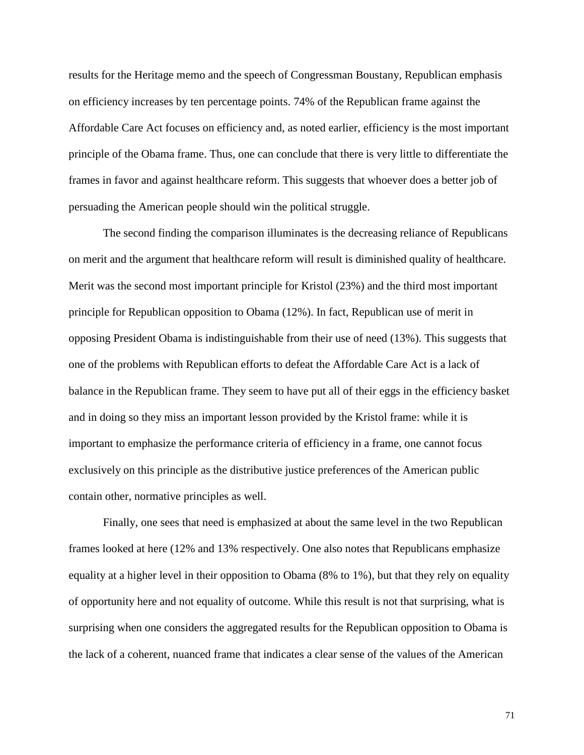results for the Heritage memo and the speech of Congressman Boustany, Republican emphasis on efficiency increases by ten percentage points. 74% of the Republican frame against the Affordable Care Act focuses on efficiency and, as noted earlier, efficiency is the most important principle of the Obama frame. Thus, one can conclude that there is very little to differentiate the frames in favor and against healthcare reform. This suggests that whoever does a better job of persuading the American people should win the political struggle.

The second finding the comparison illuminates is the decreasing reliance of Republicans on merit and the argument that healthcare reform will result is diminished quality of healthcare. Merit was the second most important principle for Kristol (23%) and the third most important principle for Republican opposition to Obama (12%). In fact, Republican use of merit in opposing President Obama is indistinguishable from their use of need (13%). This suggests that one of the problems with Republican efforts to defeat the Affordable Care Act is a lack of balance in the Republican frame. They seem to have put all of their eggs in the efficiency basket and in doing so they miss an important lesson provided by the Kristol frame: while it is important to emphasize the performance criteria of efficiency in a frame, one cannot focus exclusively on this principle as the distributive justice preferences of the American public contain other, normative principles as well.

Finally, one sees that need is emphasized at about the same level in the two Republican frames looked at here (12% and 13% respectively. One also notes that Republicans emphasize equality at a higher level in their opposition to Obama (8% to 1%), but that they rely on equality of opportunity here and not equality of outcome. While this result is not that surprising, what is surprising when one considers the aggregated results for the Republican opposition to Obama is the lack of a coherent, nuanced frame that indicates a clear sense of the values of the American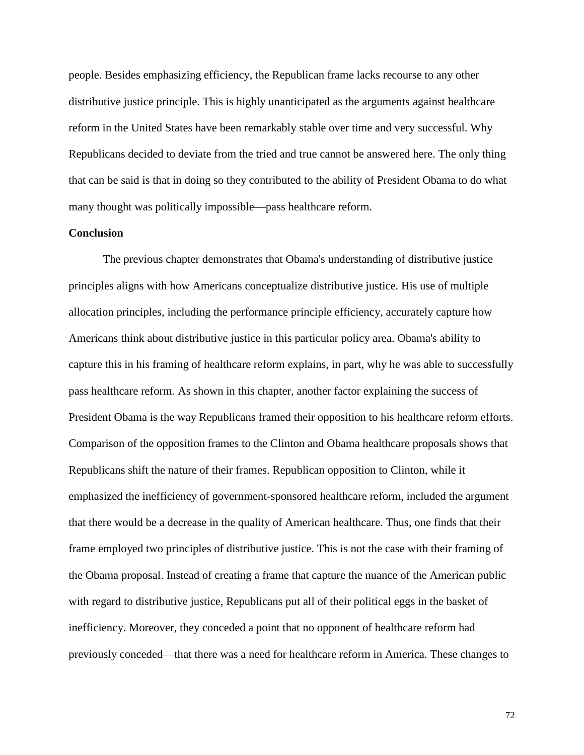people. Besides emphasizing efficiency, the Republican frame lacks recourse to any other distributive justice principle. This is highly unanticipated as the arguments against healthcare reform in the United States have been remarkably stable over time and very successful. Why Republicans decided to deviate from the tried and true cannot be answered here. The only thing that can be said is that in doing so they contributed to the ability of President Obama to do what many thought was politically impossible—pass healthcare reform.

## **Conclusion**

The previous chapter demonstrates that Obama's understanding of distributive justice principles aligns with how Americans conceptualize distributive justice. His use of multiple allocation principles, including the performance principle efficiency, accurately capture how Americans think about distributive justice in this particular policy area. Obama's ability to capture this in his framing of healthcare reform explains, in part, why he was able to successfully pass healthcare reform. As shown in this chapter, another factor explaining the success of President Obama is the way Republicans framed their opposition to his healthcare reform efforts. Comparison of the opposition frames to the Clinton and Obama healthcare proposals shows that Republicans shift the nature of their frames. Republican opposition to Clinton, while it emphasized the inefficiency of government-sponsored healthcare reform, included the argument that there would be a decrease in the quality of American healthcare. Thus, one finds that their frame employed two principles of distributive justice. This is not the case with their framing of the Obama proposal. Instead of creating a frame that capture the nuance of the American public with regard to distributive justice, Republicans put all of their political eggs in the basket of inefficiency. Moreover, they conceded a point that no opponent of healthcare reform had previously conceded—that there was a need for healthcare reform in America. These changes to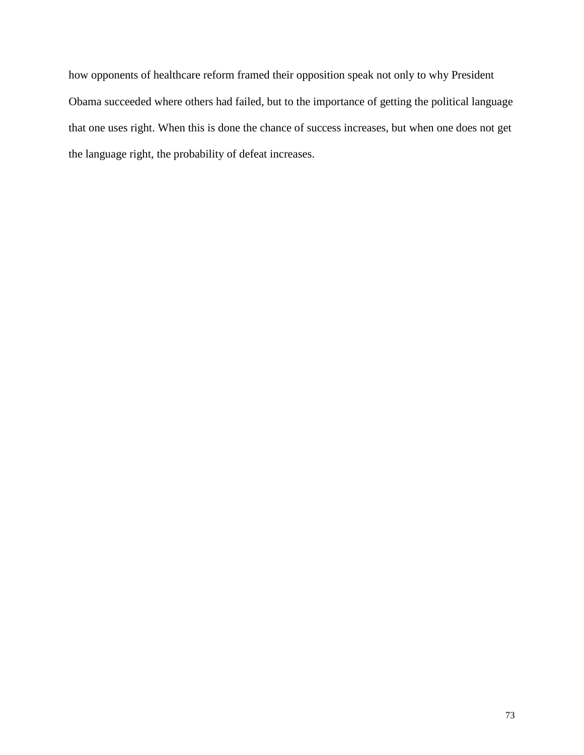how opponents of healthcare reform framed their opposition speak not only to why President Obama succeeded where others had failed, but to the importance of getting the political language that one uses right. When this is done the chance of success increases, but when one does not get the language right, the probability of defeat increases.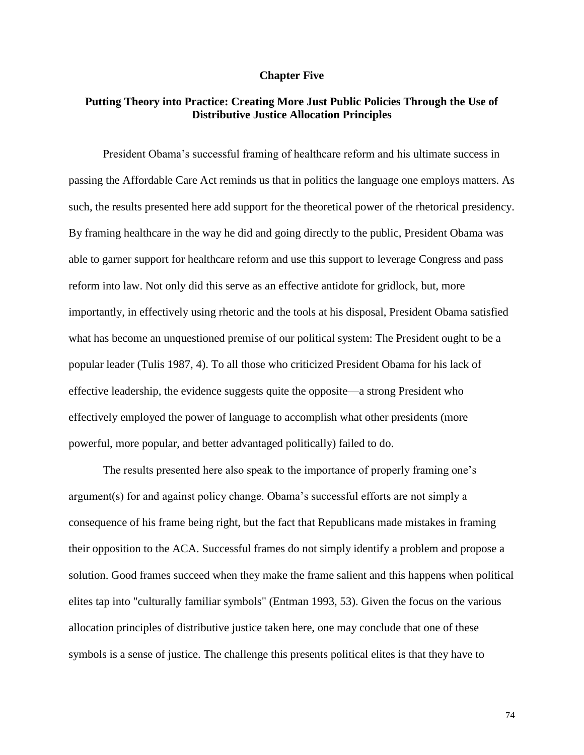## **Chapter Five**

## **Putting Theory into Practice: Creating More Just Public Policies Through the Use of Distributive Justice Allocation Principles**

President Obama's successful framing of healthcare reform and his ultimate success in passing the Affordable Care Act reminds us that in politics the language one employs matters. As such, the results presented here add support for the theoretical power of the rhetorical presidency. By framing healthcare in the way he did and going directly to the public, President Obama was able to garner support for healthcare reform and use this support to leverage Congress and pass reform into law. Not only did this serve as an effective antidote for gridlock, but, more importantly, in effectively using rhetoric and the tools at his disposal, President Obama satisfied what has become an unquestioned premise of our political system: The President ought to be a popular leader (Tulis 1987, 4). To all those who criticized President Obama for his lack of effective leadership, the evidence suggests quite the opposite—a strong President who effectively employed the power of language to accomplish what other presidents (more powerful, more popular, and better advantaged politically) failed to do.

The results presented here also speak to the importance of properly framing one's argument(s) for and against policy change. Obama's successful efforts are not simply a consequence of his frame being right, but the fact that Republicans made mistakes in framing their opposition to the ACA. Successful frames do not simply identify a problem and propose a solution. Good frames succeed when they make the frame salient and this happens when political elites tap into "culturally familiar symbols" (Entman 1993, 53). Given the focus on the various allocation principles of distributive justice taken here, one may conclude that one of these symbols is a sense of justice. The challenge this presents political elites is that they have to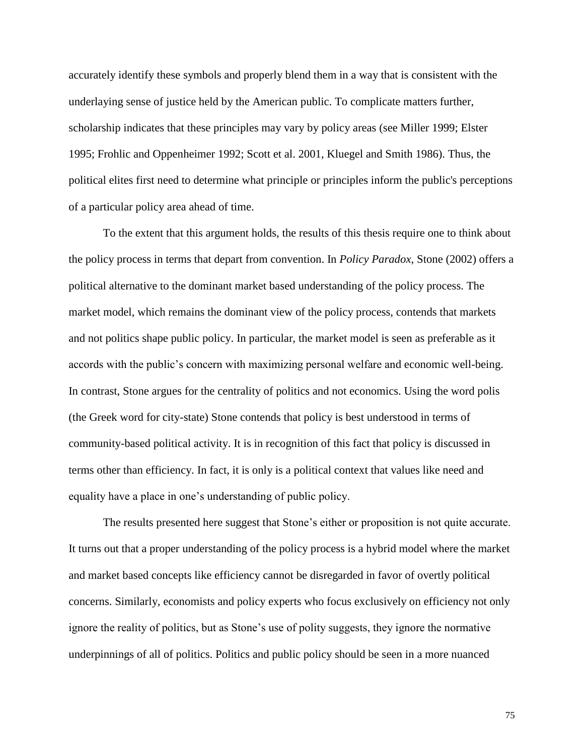accurately identify these symbols and properly blend them in a way that is consistent with the underlaying sense of justice held by the American public. To complicate matters further, scholarship indicates that these principles may vary by policy areas (see Miller 1999; Elster 1995; Frohlic and Oppenheimer 1992; Scott et al. 2001, Kluegel and Smith 1986). Thus, the political elites first need to determine what principle or principles inform the public's perceptions of a particular policy area ahead of time.

To the extent that this argument holds, the results of this thesis require one to think about the policy process in terms that depart from convention. In *Policy Paradox*, Stone (2002) offers a political alternative to the dominant market based understanding of the policy process. The market model, which remains the dominant view of the policy process, contends that markets and not politics shape public policy. In particular, the market model is seen as preferable as it accords with the public's concern with maximizing personal welfare and economic well-being. In contrast, Stone argues for the centrality of politics and not economics. Using the word polis (the Greek word for city-state) Stone contends that policy is best understood in terms of community-based political activity. It is in recognition of this fact that policy is discussed in terms other than efficiency. In fact, it is only is a political context that values like need and equality have a place in one's understanding of public policy.

The results presented here suggest that Stone's either or proposition is not quite accurate. It turns out that a proper understanding of the policy process is a hybrid model where the market and market based concepts like efficiency cannot be disregarded in favor of overtly political concerns. Similarly, economists and policy experts who focus exclusively on efficiency not only ignore the reality of politics, but as Stone's use of polity suggests, they ignore the normative underpinnings of all of politics. Politics and public policy should be seen in a more nuanced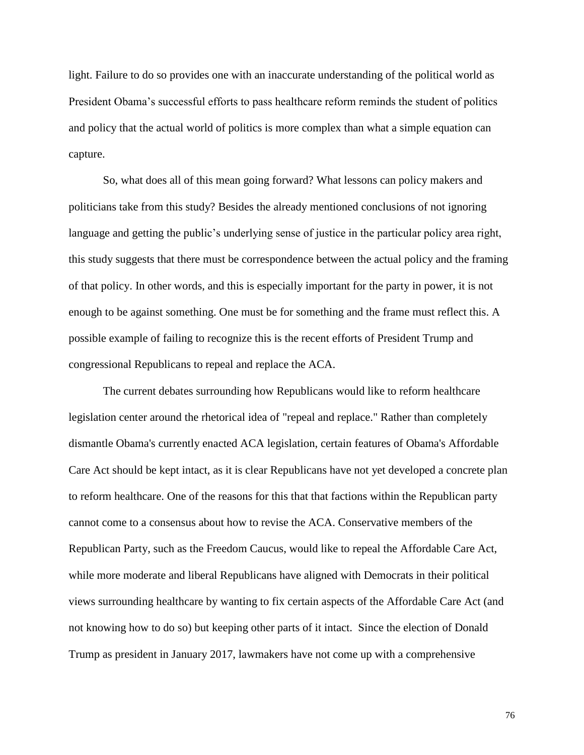light. Failure to do so provides one with an inaccurate understanding of the political world as President Obama's successful efforts to pass healthcare reform reminds the student of politics and policy that the actual world of politics is more complex than what a simple equation can capture.

So, what does all of this mean going forward? What lessons can policy makers and politicians take from this study? Besides the already mentioned conclusions of not ignoring language and getting the public's underlying sense of justice in the particular policy area right, this study suggests that there must be correspondence between the actual policy and the framing of that policy. In other words, and this is especially important for the party in power, it is not enough to be against something. One must be for something and the frame must reflect this. A possible example of failing to recognize this is the recent efforts of President Trump and congressional Republicans to repeal and replace the ACA.

The current debates surrounding how Republicans would like to reform healthcare legislation center around the rhetorical idea of "repeal and replace." Rather than completely dismantle Obama's currently enacted ACA legislation, certain features of Obama's Affordable Care Act should be kept intact, as it is clear Republicans have not yet developed a concrete plan to reform healthcare. One of the reasons for this that that factions within the Republican party cannot come to a consensus about how to revise the ACA. Conservative members of the Republican Party, such as the Freedom Caucus, would like to repeal the Affordable Care Act, while more moderate and liberal Republicans have aligned with Democrats in their political views surrounding healthcare by wanting to fix certain aspects of the Affordable Care Act (and not knowing how to do so) but keeping other parts of it intact. Since the election of Donald Trump as president in January 2017, lawmakers have not come up with a comprehensive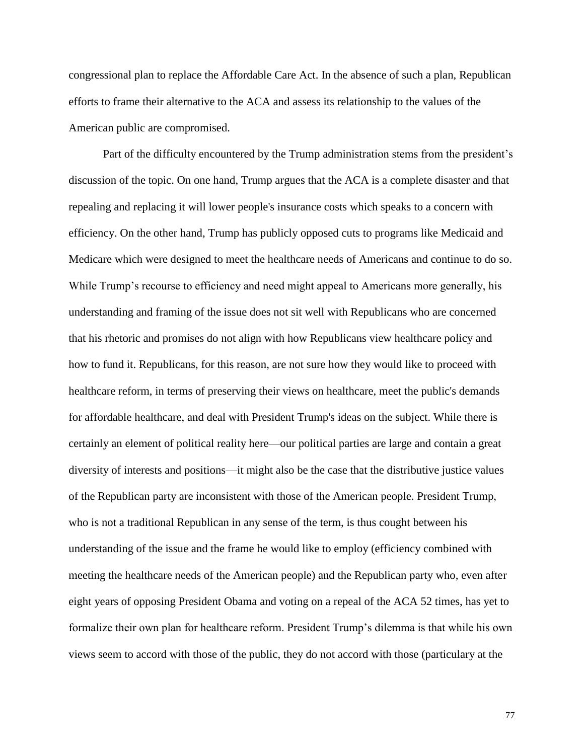congressional plan to replace the Affordable Care Act. In the absence of such a plan, Republican efforts to frame their alternative to the ACA and assess its relationship to the values of the American public are compromised.

Part of the difficulty encountered by the Trump administration stems from the president's discussion of the topic. On one hand, Trump argues that the ACA is a complete disaster and that repealing and replacing it will lower people's insurance costs which speaks to a concern with efficiency. On the other hand, Trump has publicly opposed cuts to programs like Medicaid and Medicare which were designed to meet the healthcare needs of Americans and continue to do so. While Trump's recourse to efficiency and need might appeal to Americans more generally, his understanding and framing of the issue does not sit well with Republicans who are concerned that his rhetoric and promises do not align with how Republicans view healthcare policy and how to fund it. Republicans, for this reason, are not sure how they would like to proceed with healthcare reform, in terms of preserving their views on healthcare, meet the public's demands for affordable healthcare, and deal with President Trump's ideas on the subject. While there is certainly an element of political reality here—our political parties are large and contain a great diversity of interests and positions—it might also be the case that the distributive justice values of the Republican party are inconsistent with those of the American people. President Trump, who is not a traditional Republican in any sense of the term, is thus cought between his understanding of the issue and the frame he would like to employ (efficiency combined with meeting the healthcare needs of the American people) and the Republican party who, even after eight years of opposing President Obama and voting on a repeal of the ACA 52 times, has yet to formalize their own plan for healthcare reform. President Trump's dilemma is that while his own views seem to accord with those of the public, they do not accord with those (particulary at the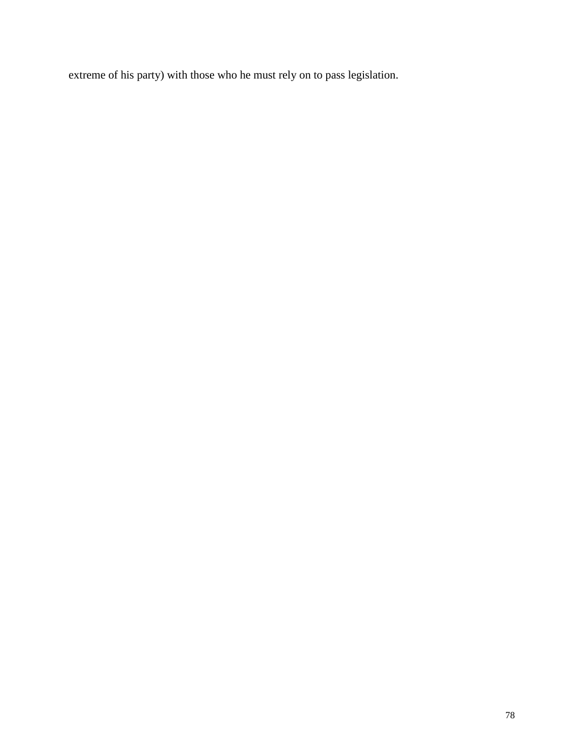extreme of his party) with those who he must rely on to pass legislation.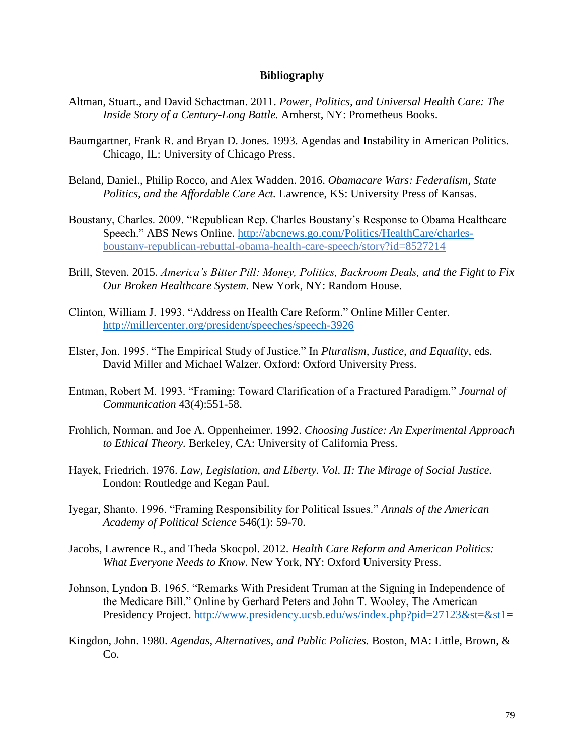## **Bibliography**

- Altman, Stuart., and David Schactman. 2011. *Power, Politics, and Universal Health Care: The Inside Story of a Century-Long Battle.* Amherst, NY: Prometheus Books.
- Baumgartner, Frank R. and Bryan D. Jones. 1993. Agendas and Instability in American Politics. Chicago, IL: University of Chicago Press.
- Beland, Daniel., Philip Rocco, and Alex Wadden. 2016. *Obamacare Wars: Federalism, State Politics, and the Affordable Care Act.* Lawrence, KS: University Press of Kansas.
- Boustany, Charles. 2009. "Republican Rep. Charles Boustany's Response to Obama Healthcare Speech." ABS News Online. [http://abcnews.go.com/Politics/HealthCare/charles](http://abcnews.go.com/Politics/HealthCare/charles-)boustany-republican-rebuttal-obama-health-care-speech/story?id=8527214
- Brill, Steven. 2015. *America's Bitter Pill: Money, Politics, Backroom Deals, and the Fight to Fix Our Broken Healthcare System.* New York, NY: Random House.
- Clinton, William J. 1993. "Address on Health Care Reform." Online Miller Center. <http://millercenter.org/president/speeches/speech-3926>
- Elster, Jon. 1995. "The Empirical Study of Justice." In *Pluralism, Justice, and Equality*, eds. David Miller and Michael Walzer. Oxford: Oxford University Press.
- Entman, Robert M. 1993. "Framing: Toward Clarification of a Fractured Paradigm." *Journal of Communication* 43(4):551-58.
- Frohlich, Norman. and Joe A. Oppenheimer. 1992. *Choosing Justice: An Experimental Approach to Ethical Theory.* Berkeley, CA: University of California Press.
- Hayek, Friedrich. 1976. *Law, Legislation, and Liberty. Vol. II: The Mirage of Social Justice.*  London: Routledge and Kegan Paul.
- Iyegar, Shanto. 1996. "Framing Responsibility for Political Issues." *Annals of the American Academy of Political Science* 546(1): 59-70.
- Jacobs, Lawrence R., and Theda Skocpol. 2012. *Health Care Reform and American Politics: What Everyone Needs to Know.* New York, NY: Oxford University Press.
- Johnson, Lyndon B. 1965. "Remarks With President Truman at the Signing in Independence of the Medicare Bill." Online by Gerhard Peters and John T. Wooley, The American Presidency Project. [http://www.presidency.ucsb.edu/ws/index.php?pid=27123&st=&st1=](http://www.presidency.ucsb.edu/ws/index.php?pid=27123&st=&st1)
- Kingdon, John. 1980. *Agendas, Alternatives, and Public Policies.* Boston, MA: Little, Brown, & Co.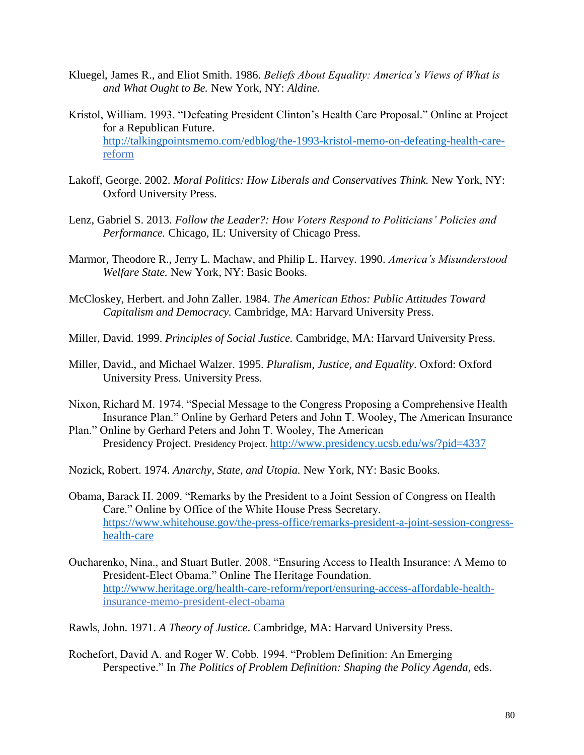- Kluegel, James R., and Eliot Smith. 1986. *Beliefs About Equality: America's Views of What is and What Ought to Be.* New York, NY: *Aldine.*
- Kristol, William. 1993. "Defeating President Clinton's Health Care Proposal." Online at Project for a Republican Future. [http://talkingpointsmemo.com/edblog/the-1993-kristol-memo-on-defeating-health-care](http://talkingpointsmemo.com/edblog/the-1993-kristol-memo-on-defeating-health-care-)reform
- Lakoff, George. 2002. *Moral Politics: How Liberals and Conservatives Think.* New York, NY: Oxford University Press.
- Lenz, Gabriel S. 2013. *Follow the Leader?: How Voters Respond to Politicians' Policies and Performance.* Chicago, IL: University of Chicago Press.
- Marmor, Theodore R., Jerry L. Machaw, and Philip L. Harvey. 1990. *America's Misunderstood Welfare State.* New York, NY: Basic Books.
- McCloskey, Herbert. and John Zaller. 1984. *The American Ethos: Public Attitudes Toward Capitalism and Democracy.* Cambridge, MA: Harvard University Press.
- Miller, David. 1999. *Principles of Social Justice.* Cambridge, MA: Harvard University Press.
- Miller, David., and Michael Walzer. 1995. *Pluralism, Justice, and Equality*. Oxford: Oxford University Press. University Press.
- Nixon, Richard M. 1974. "Special Message to the Congress Proposing a Comprehensive Health Insurance Plan." Online by Gerhard Peters and John T. Wooley, The American Insurance
- Plan." Online by Gerhard Peters and John T. Wooley, The American Presidency Project. Presidency Project. http://www.presidency.ucsb.edu/ws/?pid=4337
- Nozick, Robert. 1974. *Anarchy, State, and Utopia.* New York, NY: Basic Books.
- Obama, Barack H. 2009. "Remarks by the President to a Joint Session of Congress on Health Care." Online by Office of the White House Press Secretary. [https://www.whitehouse.gov/the-press-office/remarks-president-a-joint-session-congress](https://www.whitehouse.gov/the-press-office/remarks-president-a-joint-session-congress-health-care)[health-care](https://www.whitehouse.gov/the-press-office/remarks-president-a-joint-session-congress-health-care)
- Oucharenko, Nina., and Stuart Butler. 2008. "Ensuring Access to Health Insurance: A Memo to President-Elect Obama." Online The Heritage Foundation. [http://www.heritage.org/health-care-reform/report/ensuring-access-affordable-health](http://www.heritage.org/health-care-reform/report/ensuring-access-affordable-health-)insurance-memo-president-elect-obama
- Rawls, John. 1971. *A Theory of Justice*. Cambridge, MA: Harvard University Press.
- Rochefort, David A. and Roger W. Cobb. 1994. "Problem Definition: An Emerging Perspective." In *The Politics of Problem Definition: Shaping the Policy Agenda*, eds.